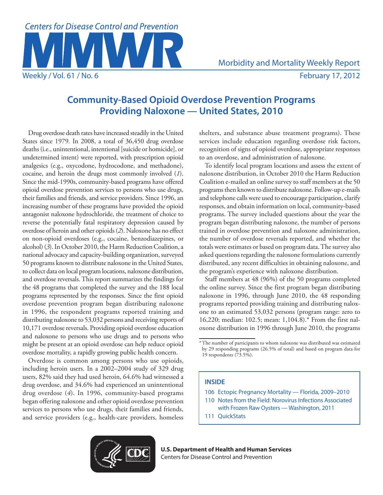

# **Community-Based Opioid Overdose Prevention Programs Providing Naloxone — United States, 2010**

Drug overdose death rates have increased steadily in the United States since 1979*.* In 2008, a total of 36,450 drug overdose deaths (i.e., unintentional, intentional [suicide or homicide], or undetermined intent) were reported, with prescription opioid analgesics (e.g., oxycodone, hydrocodone, and methadone), cocaine, and heroin the drugs most commonly involved (*1*). Since the mid-1990s, community-based programs have offered opioid overdose prevention services to persons who use drugs, their families and friends, and service providers. Since 1996, an increasing number of these programs have provided the opioid antagonist naloxone hydrochloride, the treatment of choice to reverse the potentially fatal respiratory depression caused by overdose of heroin and other opioids (*2*). Naloxone has no effect on non-opioid overdoses (e.g., cocaine, benzodiazepines, or alcohol) (*3*). In October 2010, the Harm Reduction Coalition, a national advocacy and capacity-building organization, surveyed 50 programs known to distribute naloxone in the United States, to collect data on local program locations, naloxone distribution, and overdose reversals. This report summarizes the findings for the 48 programs that completed the survey and the 188 local programs represented by the responses. Since the first opioid overdose prevention program began distributing naloxone in 1996, the respondent programs reported training and distributing naloxone to 53,032 persons and receiving reports of 10,171 overdose reversals. Providing opioid overdose education and naloxone to persons who use drugs and to persons who might be present at an opioid overdose can help reduce opioid overdose mortality, a rapidly growing public health concern.

Overdose is common among persons who use opioids, including heroin users. In a 2002–2004 study of 329 drug users, 82% said they had used heroin, 64.6% had witnessed a drug overdose, and 34.6% had experienced an unintentional drug overdose (*4*). In 1996, community-based programs began offering naloxone and other opioid overdose prevention services to persons who use drugs, their families and friends, and service providers (e.g., health-care providers, homeless shelters, and substance abuse treatment programs). These services include education regarding overdose risk factors, recognition of signs of opioid overdose, appropriate responses to an overdose, and administration of naloxone.

To identify local program locations and assess the extent of naloxone distribution, in October 2010 the Harm Reduction Coalition e-mailed an online survey to staff members at the 50 programs then known to distribute naloxone. Follow-up e-mails and telephone calls were used to encourage participation, clarify responses, and obtain information on local, community-based programs. The survey included questions about the year the program began distributing naloxone, the number of persons trained in overdose prevention and naloxone administration, the number of overdose reversals reported, and whether the totals were estimates or based on program data. The survey also asked questions regarding the naloxone formulations currently distributed, any recent difficulties in obtaining naloxone, and the program's experience with naloxone distribution.

Staff members at 48 (96%) of the 50 programs completed the online survey. Since the first program began distributing naloxone in 1996, through June 2010, the 48 responding programs reported providing training and distributing naloxone to an estimated 53,032 persons (program range: zero to 16,220; median: 102.5; mean: 1,104.8).\* From the first naloxone distribution in 1996 through June 2010, the programs

# **INSIDE**

- 106 [Ectopic Pregnancy Mortality Florida, 2009–2010](#page-5-0)
- 110 [Notes from the Field:](#page-9-0) Norovirus Infections Associated with Frozen Raw Oysters — Washington, 2011
- 111 [QuickStats](#page-10-0)



<sup>\*</sup>The number of participants to whom naloxone was distributed was estimated by 29 responding programs (26.5% of total) and based on program data for 19 respondents (73.5%).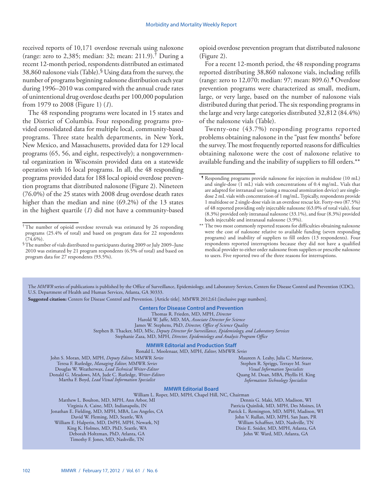received reports of 10,171 overdose reversals using naloxone (range: zero to 2,385; median: 32; mean: 211.9).<sup>†</sup> During a recent 12-month period, respondents distributed an estimated 38,860 naloxone vials (Table). $\mathcal S$  Using data from the survey, the number of programs beginning naloxone distribution each year during 1996–2010 was compared with the annual crude rates of unintentional drug overdose deaths per 100,000 population from 1979 to 2008 (Figure 1) (*1*).

The 48 responding programs were located in 15 states and the District of Columbia. Four responding programs provided consolidated data for multiple local, community-based programs. Three state health departments, in New York, New Mexico, and Massachusetts, provided data for 129 local programs (65, 56, and eight, respectively); a nongovernmental organization in Wisconsin provided data on a statewide operation with 16 local programs. In all, the 48 responding programs provided data for 188 local opioid overdose prevention programs that distributed naloxone(Figure 2). Nineteen (76.0%) of the 25 states with 2008 drug overdose death rates higher than the median and nine (69.2%) of the 13 states in the highest quartile (*1*) did not have a community-based opioid overdose prevention program that distributed naloxone (Figure 2).

For a recent 12-month period, the 48 responding programs reported distributing 38,860 naloxone vials, including refills (range: zero to 12,070; median: 97; mean: 809.6).¶ Overdose prevention programs were characterized as small, medium, large, or very large, based on the number of naloxone vials distributed during that period. The six responding programs in the large and very large categories distributed 32,812 (84.4%) of the naloxone vials (Table).

Twenty-one (43.7%) responding programs reported problems obtaining naloxone in the "past few months" before the survey. The most frequently reported reasons for difficulties obtaining naloxone were the cost of naloxone relative to available funding and the inability of suppliers to fill orders.\*\*

The *MMWR* series of publications is published by the Office of Surveillance, Epidemiology, and Laboratory Services, Centers for Disease Control and Prevention (CDC), U.S. Department of Health and Human Services, Atlanta, GA 30333.

**Suggested citation:** Centers for Disease Control and Prevention. [Article title]. MMWR 2012;61:[inclusive page numbers].

**Centers for Disease Control and Prevention**

Thomas R. Frieden, MD, MPH, *Director*

Harold W. Jaffe, MD, MA, *Associate Director for Science* James W. Stephens, PhD, *Director, Office of Science Quality*

Stephen B. Thacker, MD, MSc, *Deputy Director for Surveillance, Epidemiology, and Laboratory Services*

Stephanie Zaza, MD, MPH, *Director, Epidemiology and Analysis Program Office*

### **MMWR Editorial and Production Staff**

Ronald L. Moolenaar, MD, MPH, *Editor,* MMWR *Series*

John S. Moran, MD, MPH, *Deputy Editor,* MMWR *Series* Teresa F. Rutledge, *Managing Editor,* MMWR *Series* Douglas W. Weatherwax, *Lead Technical Writer-Editor* Donald G. Meadows, MA, Jude C. Rutledge, *Writer-Editors* Martha F. Boyd, *Lead Visual Information Specialist*

Maureen A. Leahy, Julia C. Martinroe, Stephen R. Spriggs, Terraye M. Starr *Visual Information Specialists* Quang M. Doan, MBA, Phyllis H. King *Information Technology Specialists*

#### **MMWR Editorial Board**

William L. Roper, MD, MPH, Chapel Hill, NC, Chairman Matthew L. Boulton, MD, MPH, Ann Arbor, MI Virginia A. Caine, MD, Indianapolis, IN Jonathan E. Fielding, MD, MPH, MBA, Los Angeles, CA David W. Fleming, MD, Seattle, WA William E. Halperin, MD, DrPH, MPH, Newark, NJ King K. Holmes, MD, PhD, Seattle, WA Deborah Holtzman, PhD, Atlanta, GA Timothy F. Jones, MD, Nashville, TN

Dennis G. Maki, MD, Madison, WI Patricia Quinlisk, MD, MPH, Des Moines, IA Patrick L. Remington, MD, MPH, Madison, WI John V. Rullan, MD, MPH, San Juan, PR William Schaffner, MD, Nashville, TN Dixie E. Snider, MD, MPH, Atlanta, GA John W. Ward, MD, Atlanta, GA

<sup>†</sup>The number of opioid overdose reversals was estimated by 26 responding programs (25.4% of total) and based on program data for 22 respondents  $(74.6\%)$ .

<sup>§</sup>The number of vials distributed to participants during 2009 or July 2009–June 2010 was estimated by 21 program respondents (6.5% of total) and based on program data for 27 respondents (93.5%).

<sup>¶</sup> Responding programs provide naloxone for injection in multidose (10 mL) and single-dose (1 mL) vials with concentrations of 0.4 mg/mL. Vials that are adapted for intranasal use (using a mucosal atomization device) are singledose 2 mL vials with concentration of 1 mg/mL. Typically, respondents provide 1 multidose or 2 single-dose vials in an overdose rescue kit. Forty-two (87.5%) of 48 reported providing only injectable naloxone (63.0% of total vials), four (8.3%) provided only intranasal naloxone (33.1%), and four (8.3%) provided both injectable and intranasal naloxone (3.9%).

<sup>\*\*</sup> The two most commonly reported reasons for difficulties obtaining naloxone were the cost of naloxone relative to available funding (seven responding programs) and inability of suppliers to fill orders (13 respondents). Four respondents reported interruptions because they did not have a qualified medical provider to either order naloxone from suppliers or prescribe naloxone to users. Five reported two of the three reasons for interruptions.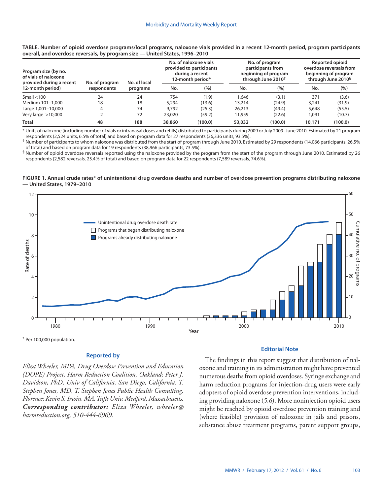| Program size (by no.<br>of vials of naloxone<br>provided during a recent | No. of program | No. of local<br>programs |        | No. of naloxone vials<br>provided to participants<br>during a recent<br>12-month period* |        | No. of program<br>participants from<br>beginning of program<br>through June 2010 <sup>t</sup> | Reported opioid<br>overdose reversals from<br>beginning of program<br>through June 2010 <sup>§</sup> |         |  |
|--------------------------------------------------------------------------|----------------|--------------------------|--------|------------------------------------------------------------------------------------------|--------|-----------------------------------------------------------------------------------------------|------------------------------------------------------------------------------------------------------|---------|--|
| 12-month period)                                                         | respondents    |                          | No.    | (%)                                                                                      | No.    | (%)                                                                                           | No.                                                                                                  | (%)     |  |
| Small $<$ 100                                                            | 24             | 24                       | 754    | (1.9)                                                                                    | 1.646  | (3.1)                                                                                         | 371                                                                                                  | (3.6)   |  |
| Medium 101-1,000                                                         | 18             | 18                       | 5,294  | (13.6)                                                                                   | 13,214 | (24.9)                                                                                        | 3,241                                                                                                | (31.9)  |  |
| Large 1,001-10,000                                                       |                | 74                       | 9.792  | (25.3)                                                                                   | 26,213 | (49.4)                                                                                        | 5,648                                                                                                | (55.5)  |  |
| Very large $>10,000$                                                     |                | 72                       | 23,020 | (59.2)                                                                                   | 11,959 | (22.6)                                                                                        | 1,091                                                                                                | (10.7)  |  |
| <b>Total</b>                                                             | 48             | 188                      | 38,860 | (100.0)                                                                                  | 53,032 | (100.0)                                                                                       | 10,171                                                                                               | (100.0) |  |

**TABLE. Number of opioid overdose programs/local programs, naloxone vials provided in a recent 12-month period, program participants overall, and overdose reversals, by program size — United States, 1996–2010**

\* Units of naloxone (including number of vials or intranasal doses and refills) distributed to participants during 2009 or July 2009–June 2010. Estimated by 21 program respondents (2,524 units, 6.5% of total) and based on program data for 27 respondents (36,336 units, 93.5%).

† Number of participants to whom naloxone was distributed from the start of program through June 2010. Estimated by 29 respondents (14,066 participants, 26.5% of total) and based on program data for 19 respondents (38,966 participants, 73.5%).

§ Number of opioid overdose reversals reported using the naloxone provided by the program from the start of the program through June 2010. Estimated by 26 respondents (2,582 reversals, 25.4% of total) and based on program data for 22 respondents (7,589 reversals, 74.6%).

## **FIGURE 1. Annual crude rates\* of unintentional drug overdose deaths and number of overdose prevention programs distributing naloxone — United States, 1979–2010**



\* Per 100,000 population.

# **Reported by**

*Eliza Wheeler, MPA, Drug Overdose Prevention and Education (DOPE) Project, Harm Reduction Coalition, Oakland; Peter J. Davidson, PhD, Univ of California, San Diego, California. T. Stephen Jones, MD, T. Stephen Jones Public Health Consulting, Florence; Kevin S. Irwin, MA, Tufts Univ, Medford, Massachusetts. Corresponding contributor: Eliza Wheeler, [wheeler@](mailto:wheeler@harmreduction.org) [harmreduction.org](mailto:wheeler@harmreduction.org), 510-444-6969.* 

# **Editorial Note**

The findings in this report suggest that distribution of naloxone and training in its administration might have prevented numerous deaths from opioid overdoses. Syringe exchange and harm reduction programs for injection-drug users were early adopters of opioid overdose prevention interventions, including providing naloxone (*5,6*). More noninjection opioid users might be reached by opioid overdose prevention training and (where feasible) provision of naloxone in jails and prisons, substance abuse treatment programs, parent support groups,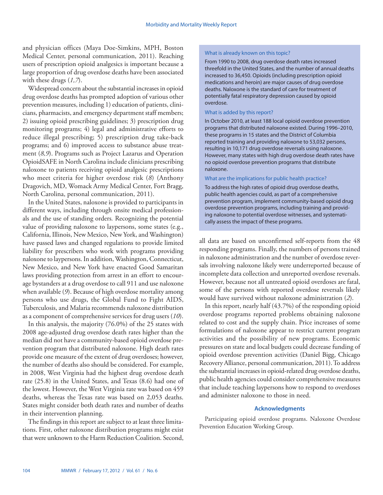and physician offices (Maya Doe-Simkins, MPH, Boston Medical Center, personal communication, 2011). Reaching users of prescription opioid analgesics is important because a large proportion of drug overdose deaths have been associated with these drugs (*1,7*).

Widespread concern about the substantial increases in opioid drug overdose deaths has prompted adoption of various other prevention measures, including 1) education of patients, clinicians, pharmacists, and emergency department staff members; 2) issuing opioid prescribing guidelines; 3) prescription drug monitoring programs; 4) legal and administrative efforts to reduce illegal prescribing; 5) prescription drug take-back programs; and 6) improved access to substance abuse treatment (*8,9*). Programs such as Project Lazarus and Operation OpioidSAFE in North Carolina include clinicians prescribing naloxone to patients receiving opioid analgesic prescriptions who meet criteria for higher overdose risk (*8*) (Anthony Dragovich, MD, Womack Army Medical Center, Fort Bragg, North Carolina, personal communication, 2011).

In the United States, naloxone is provided to participants in different ways, including through onsite medical professionals and the use of standing orders*.* Recognizing the potential value of providing naloxone to laypersons, some states (e.g., California, Illinois, New Mexico, New York, and Washington) have passed laws and changed regulations to provide limited liability for prescribers who work with programs providing naloxone to laypersons. In addition, Washington, Connecticut, New Mexico, and New York have enacted Good Samaritan laws providing protection from arrest in an effort to encourage bystanders at a drug overdose to call 911 and use naloxone when available (*9*). Because of high overdose mortality among persons who use drugs, the Global Fund to Fight AIDS, Tuberculosis, and Malaria recommends naloxone distribution as a component of comprehensive services for drug users (*10*).

In this analysis, the majority (76.0%) of the 25 states with 2008 age-adjusted drug overdose death rates higher than the median did not have a community-based opioid overdose prevention program that distributed naloxone. High death rates provide one measure of the extent of drug overdoses; however, the number of deaths also should be considered. For example, in 2008, West Virginia had the highest drug overdose death rate (25.8) in the United States, and Texas (8.6) had one of the lowest. However, the West Virginia rate was based on 459 deaths, whereas the Texas rate was based on 2,053 deaths. States might consider both death rates and number of deaths in their intervention planning.

The findings in this report are subject to at least three limitations. First, other naloxone distribution programs might exist that were unknown to the Harm Reduction Coalition. Second,

# What is already known on this topic?

From 1990 to 2008, drug overdose death rates increased threefold in the United States, and the number of annual deaths increased to 36,450. Opioids (including prescription opioid medications and heroin) are major causes of drug overdose deaths. Naloxone is the standard of care for treatment of potentially fatal respiratory depression caused by opioid overdose.

# What is added by this report?

In October 2010, at least 188 local opioid overdose prevention programs that distributed naloxone existed. During 1996–2010, these programs in 15 states and the District of Columbia reported training and providing naloxone to 53,032 persons, resulting in 10,171 drug overdose reversals using naloxone. However, many states with high drug overdose death rates have no opioid overdose prevention programs that distribute naloxone.

# What are the implications for public health practice?

To address the high rates of opioid drug overdose deaths, public health agencies could, as part of a comprehensive prevention program, implement community-based opioid drug overdose prevention programs, including training and providing naloxone to potential overdose witnesses, and systematically assess the impact of these programs.

all data are based on unconfirmed self-reports from the 48 responding programs. Finally, the numbers of persons trained in naloxone administration and the number of overdose reversals involving naloxone likely were underreported because of incomplete data collection and unreported overdose reversals. However, because not all untreated opioid overdoses are fatal, some of the persons with reported overdose reversals likely would have survived without naloxone administration (*2*).

In this report, nearly half (43.7%) of the responding opioid overdose programs reported problems obtaining naloxone related to cost and the supply chain. Price increases of some formulations of naloxone appear to restrict current program activities and the possibility of new programs. Economic pressures on state and local budgets could decrease funding of opioid overdose prevention activities (Daniel Bigg, Chicago Recovery Alliance, personal communication, 2011). To address the substantial increases in opioid-related drug overdose deaths, public health agencies could consider comprehensive measures that include teaching laypersons how to respond to overdoses and administer naloxone to those in need.

# **Acknowledgments**

Participating opioid overdose programs. Naloxone Overdose Prevention Education Working Group.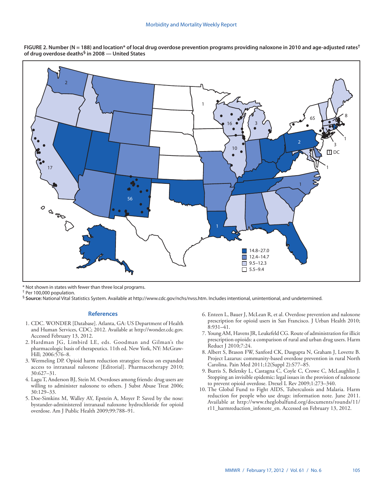

**FIGURE 2. Number (N = 188) and location\* of local drug overdose prevention programs providing naloxone in 2010 and age-adjusted rates† of drug overdose deaths§ in 2008 — United States**

\* Not shown in states with fewer than three local programs.

† Per 100,000 population.

§ **Source:** National Vital Statistics System. Available at <http://www.cdc.gov/nchs/nvss.htm>. Includes intentional, unintentional, and undetermined.

## **References**

- 1. CDC. WONDER [Database]. Atlanta, GA: US Department of Health and Human Services, CDC; 2012. Available at [http://wonder.cdc.gov.](http://wonder.cdc.gov) Accessed February 13, 2012.
- 2. Hardman JG, Limbird LE, eds. Goodman and Gilman's the pharmacologic basis of therapeutics. 11th ed. New York, NY: McGraw-Hill; 2006:576–8.
- 3. Wermeling DP. Opioid harm reduction strategies: focus on expanded access to intranasal naloxone [Editorial]. Pharmacotherapy 2010; 30:627–31.
- 4. Lagu T, Anderson BJ, Stein M. Overdoses among friends: drug users are willing to administer naloxone to others. J Subst Abuse Treat 2006; 30:129–33.
- 5. Doe-Simkins M, Walley AY, Epstein A, Moyer P. Saved by the nose: bystander-administered intranasal naloxone hydrochloride for opioid overdose. Am J Public Health 2009;99:788–91.
- 6. Enteen L, Bauer J, McLean R, et al. Overdose prevention and naloxone prescription for opioid users in San Francisco. J Urban Health 2010; 8:931–41.
- 7. Young AM, Havens JR, Leukefeld CG. Route of administration for illicit prescription opioids: a comparison of rural and urban drug users. Harm Reduct J 2010;7:24.
- 8. Albert S, Brason FW, Sanford CK, Dasgupta N, Graham J, Lovette B. Project Lazarus: community-based overdose prevention in rural North Carolina. Pain Med 2011;12(Suppl 2):S77–85.
- 9. Burris S, Beletsky L, Castagna C, Coyle C, Crowe C, McLaughlin J. Stopping an invisible epidemic: legal issues in the provision of naloxone to prevent opioid overdose. Drexel L Rev 2009;1:273–340.
- 10. The Global Fund to Fight AIDS, Tuberculosis and Malaria. Harm reduction for people who use drugs: information note. June 2011. Available at [http://www.theglobalfund.org/documents/rounds/11/](http://www.theglobalfund.org/documents/rounds/11/r11_harmreduction_infonote_en) [r11\\_harmreduction\\_infonote\\_en](http://www.theglobalfund.org/documents/rounds/11/r11_harmreduction_infonote_en). Accessed on February 13, 2012.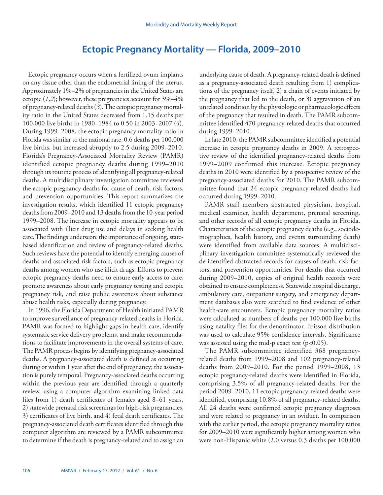# **Ectopic Pregnancy Mortality — Florida, 2009–2010**

<span id="page-5-0"></span>Ectopic pregnancy occurs when a fertilized ovum implants on any tissue other than the endometrial lining of the uterus. Approximately 1%–2% of pregnancies in the United States are ectopic  $(1,2)$ ; however, these pregnancies account for  $3\% - 4\%$ of pregnancy-related deaths (*3*). The ectopic pregnancy mortality ratio in the United States decreased from 1.15 deaths per 100,000 live births in 1980–1984 to 0.50 in 2003–2007 (*4*). During 1999–2008, the ectopic pregnancy mortality ratio in Florida was similar to the national rate, 0.6 deaths per 100,000 live births, but increased abruptly to 2.5 during 2009–2010. Florida's Pregnancy-Associated Mortality Review (PAMR) identified ectopic pregnancy deaths during 1999–2010 through its routine process of identifying all pregnancy-related deaths. A multidisciplinary investigation committee reviewed the ectopic pregnancy deaths for cause of death, risk factors, and prevention opportunities. This report summarizes the investigation results, which identified 11 ectopic pregnancy deaths from 2009–2010 and 13 deaths from the 10-year period 1999–2008. The increase in ectopic mortality appears to be associated with illicit drug use and delays in seeking health care. The findings underscore the importance of ongoing, statebased identification and review of pregnancy-related deaths. Such reviews have the potential to identify emerging causes of deaths and associated risk factors, such as ectopic pregnancy deaths among women who use illicit drugs. Efforts to prevent ectopic pregnancy deaths need to ensure early access to care, promote awareness about early pregnancy testing and ectopic pregnancy risk, and raise public awareness about substance abuse health risks, especially during pregnancy.

In 1996, the Florida Department of Health initiated PAMR to improve surveillance of pregnancy-related deaths in Florida. PAMR was formed to highlight gaps in health care, identify systematic service delivery problems, and make recommendations to facilitate improvements in the overall systems of care. The PAMR process begins by identifying pregnancy-associated deaths. A pregnancy-associated death is defined as occurring during or within 1 year after the end of pregnancy; the association is purely temporal. Pregnancy-associated deaths occurring within the previous year are identified through a quarterly review, using a computer algorithm examining linked data files from 1) death certificates of females aged 8–61 years, 2) statewide prenatal risk screenings for high-risk pregnancies, 3) certificates of live birth, and 4) fetal death certificates. The pregnancy-associated death certificates identified through this computer algorithm are reviewed by a PAMR subcommittee to determine if the death is pregnancy-related and to assign an

underlying cause of death. A pregnancy-related death is defined as a pregnancy-associated death resulting from 1) complications of the pregnancy itself, 2) a chain of events initiated by the pregnancy that led to the death, or 3) aggravation of an unrelated condition by the physiologic or pharmacologic effects of the pregnancy that resulted in death. The PAMR subcommittee identified 470 pregnancy-related deaths that occurred during 1999–2010.

In late 2010, the PAMR subcommittee identified a potential increase in ectopic pregnancy deaths in 2009. A retrospective review of the identified pregnancy-related deaths from 1999–2009 confirmed this increase. Ectopic pregnancy deaths in 2010 were identified by a prospective review of the pregnancy-associated deaths for 2010. The PAMR subcommittee found that 24 ectopic pregnancy-related deaths had occurred during 1999–2010.

PAMR staff members abstracted physician, hospital, medical examiner, health department, prenatal screening, and other records of all ectopic pregnancy deaths in Florida. Characteristics of the ectopic pregnancy deaths (e.g., sociodemographics, health history, and events surrounding death) were identified from available data sources. A multidisciplinary investigation committee systematically reviewed the de-identified abstracted records for causes of death, risk factors, and prevention opportunities. For deaths that occurred during 2009–2010, copies of original health records were obtained to ensure completeness. Statewide hospital discharge, ambulatory care, outpatient surgery, and emergency department databases also were searched to find evidence of other health-care encounters. Ectopic pregnancy mortality ratios were calculated as numbers of deaths per 100,000 live births using natality files for the denominator. Poisson distribution was used to calculate 95% confidence intervals. Significance was assessed using the mid-p exact test  $(p<0.05)$ .

The PAMR subcommittee identified 368 pregnancyrelated deaths from 1999–2008 and 102 pregnancy-related deaths from 2009–2010. For the period 1999–2008, 13 ectopic pregnancy-related deaths were identified in Florida, comprising 3.5% of all pregnancy-related deaths. For the period 2009–2010, 11 ectopic pregnancy-related deaths were identified, comprising 10.8% of all pregnancy-related deaths. All 24 deaths were confirmed ectopic pregnancy diagnoses and were related to pregnancy in an oviduct. In comparison with the earlier period, the ectopic pregnancy mortality ratios for 2009–2010 were significantly higher among women who were non-Hispanic white (2.0 versus 0.3 deaths per 100,000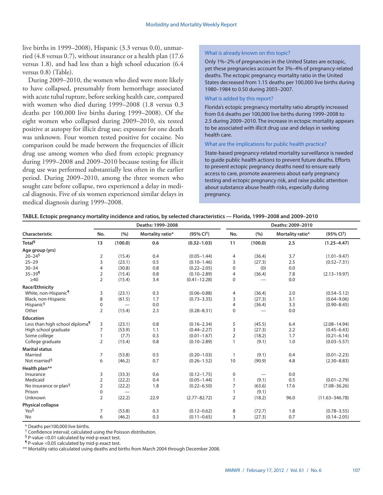live births in 1999–2008), Hispanic (3.3 versus 0.0), unmarried (4.8 versus 0.7), without insurance or a health plan (17.6 versus 1.8), and had less than a high school education (6.4 versus 0.8) (Table).

During 2009–2010, the women who died were more likely to have collapsed, presumably from hemorrhage associated with acute tubal rupture, before seeking health care, compared with women who died during 1999–2008 (1.8 versus 0.3 deaths per 100,000 live births during 1999–2008). Of the eight women who collapsed during 2009–2010, six tested positive at autopsy for illicit drug use; exposure for one death was unknown. Four women tested positive for cocaine. No comparison could be made between the frequencies of illicit drug use among women who died from ectopic pregnancy during 1999–2008 and 2009–2010 because testing for illicit drug use was performed substantially less often in the earlier period. During 2009–2010, among the three women who sought care before collapse, two experienced a delay in medical diagnosis. Five of six women experienced similar delays in medical diagnosis during 1999–2008.

# What is already known on this topic?

Only 1%–2% of pregnancies in the United States are ectopic, yet these pregnancies account for 3%–4% of pregnancy-related deaths. The ectopic pregnancy mortality ratio in the United States decreased from 1.15 deaths per 100,000 live births during 1980–1984 to 0.50 during 2003–2007.

# What is added by this report?

Florida's ectopic pregnancy mortality ratio abruptly increased from 0.6 deaths per 100,000 live births during 1999–2008 to 2.5 during 2009–2010. The increase in ectopic mortality appears to be associated with illicit drug use and delays in seeking health care.

# What are the implications for public health practice?

State-based pregnancy-related mortality surveillance is needed to guide public health actions to prevent future deaths. Efforts to prevent ectopic pregnancy deaths need to ensure early access to care, promote awareness about early pregnancy testing and ectopic pregnancy risk, and raise public attention about substance abuse health risks, especially during pregnancy.

| TABLE. Ectopic pregnancy mortality incidence and ratios, by selected characteristics — Florida, 1999-2008 and 2009-2010 |  |  |  |
|-------------------------------------------------------------------------------------------------------------------------|--|--|--|
|-------------------------------------------------------------------------------------------------------------------------|--|--|--|

|                                            |                |                                | Deaths: 1999-2008 |                       |                | Deaths: 2009-2010 |                  |                       |  |  |  |
|--------------------------------------------|----------------|--------------------------------|-------------------|-----------------------|----------------|-------------------|------------------|-----------------------|--|--|--|
| Characteristic                             | No.            | (%)                            | Mortality ratio*  | $(95\% \text{ Cl}^+)$ | No.            | (%)               | Mortality ratio* | $(95\% \text{ Cl}^+)$ |  |  |  |
| Total <sup>§</sup>                         | 13             | (100.0)                        | 0.6               | $(0.32 - 1.03)$       | 11             | (100.0)           | 2.5              | $(1.25 - 4.47)$       |  |  |  |
| Age group (yrs)                            |                |                                |                   |                       |                |                   |                  |                       |  |  |  |
| $20 - 24$ <sup>§</sup>                     | 2              | (15.4)                         | 0.4               | $(0.05 - 1.44)$       | 4              | (36.4)            | 3.7              | $(1.01 - 9.47)$       |  |  |  |
| $25 - 29$                                  | 3              | (23.1)                         | 0.5               | $(0.10 - 1.46)$       | 3              | (27.3)            | 2.5              | $(0.52 - 7.31)$       |  |  |  |
| $30 - 34$                                  | $\overline{4}$ | (30.8)                         | 0.8               | $(0.22 - 2.05)$       | $\Omega$       | (0)               | 0.0              |                       |  |  |  |
| $35 - 39$                                  | 2              | (15.4)                         | 0.8               | $(0.10 - 2.89)$       | $\overline{4}$ | (36.4)            | 7.8              | $(2.13 - 19.97)$      |  |  |  |
| $\geq 40$                                  | $\overline{2}$ | (15.4)                         | 3.4               | $(0.41 - 12.28)$      | $\mathbf 0$    |                   | 0.0              |                       |  |  |  |
| Race/Ethnicity                             |                |                                |                   |                       |                |                   |                  |                       |  |  |  |
| White, non-Hispanic <sup>1</sup>           | 3              | (23.1)                         | 0.3               | $(0.06 - 0.88)$       | 4              | (36.4)            | 2.0              | $(0.54 - 5.12)$       |  |  |  |
| Black, non-Hispanic                        | 8              | (61.5)                         | 1.7               | $(0.73 - 3.35)$       | 3              | (27.3)            | 3.1              | $(0.64 - 9.06)$       |  |  |  |
| Hispanic <sup>§</sup>                      | 0              | $\overbrace{\phantom{123321}}$ | 0.0               |                       | 4              | (36.4)            | 3.3              | $(0.90 - 8.45)$       |  |  |  |
| Other                                      | $\overline{2}$ | (15.4)                         | 2.3               | $(0.28 - 8.31)$       | 0              |                   | 0.0              |                       |  |  |  |
| <b>Education</b>                           |                |                                |                   |                       |                |                   |                  |                       |  |  |  |
| Less than high school diploma <sup>1</sup> | 3              | (23.1)                         | 0.8               | $(0.16 - 2.34)$       | 5              | (45.5)            | 6.4              | $(2.08 - 14.94)$      |  |  |  |
| High school graduate                       | $\overline{7}$ | (53.9)                         | 1.1               | $(0.44 - 2.27)$       | 3              | (27.3)            | 2.2              | $(0.45 - 6.43)$       |  |  |  |
| Some college                               |                | (7.7)                          | 0.3               | $(0.01 - 1.67)$       | $\overline{2}$ | (18.2)            | 1.7              | $(0.21 - 6.14)$       |  |  |  |
| College graduate                           | $\overline{2}$ | (15.4)                         | 0.8               | $(0.10 - 2.89)$       |                | (9.1)             | 1.0              | $(0.03 - 5.57)$       |  |  |  |
| <b>Marital status</b>                      |                |                                |                   |                       |                |                   |                  |                       |  |  |  |
| Married                                    | 7              | (53.8)                         | 0.5               | $(0.20 - 1.03)$       | 1              | (9.1)             | 0.4              | $(0.01 - 2.23)$       |  |  |  |
| Not married <sup>§</sup>                   | 6              | (46.2)                         | 0.7               | $(0.26 - 1.52)$       | 10             | (90.9)            | 4.8              | $(2.30 - 8.83)$       |  |  |  |
| Health plan**                              |                |                                |                   |                       |                |                   |                  |                       |  |  |  |
| Insurance                                  | 3              | (33.3)                         | 0.6               | $(0.12 - 1.75)$       | $\mathbf 0$    |                   | 0.0              |                       |  |  |  |
| Medicaid                                   | $\overline{2}$ | (22.2)                         | 0.4               | $(0.05 - 1.44)$       | 1              | (9.1)             | 0.5              | $(0.01 - 2.79)$       |  |  |  |
| No insurance or plan <sup>§</sup>          | $\overline{2}$ | (22.2)                         | 1.8               | $(0.22 - 6.50)$       | $\overline{7}$ | (63.6)            | 17.6             | $(7.08 - 36.26)$      |  |  |  |
| Prison                                     | $\mathbf 0$    |                                |                   |                       |                | (9.1)             |                  |                       |  |  |  |
| Unknown                                    | $\overline{2}$ | (22.2)                         | 22.9              | $(2.77 - 82.72)$      | $\overline{2}$ | (18.2)            | 96.0             | $(11.63 - 346.78)$    |  |  |  |
| Physical collapse                          |                |                                |                   |                       |                |                   |                  |                       |  |  |  |
| Yes <sup>§</sup>                           | 7              | (53.8)                         | 0.3               | $(0.12 - 0.62)$       | 8              | (72.7)            | 1.8              | $(0.78 - 3.55)$       |  |  |  |
| No                                         | 6              | (46.2)                         | 0.3               | $(0.11 - 0.65)$       | 3              | (27.3)            | 0.7              | $(0.14 - 2.05)$       |  |  |  |

\* Deaths per100,000 live births.

† Confidence interval; calculated using the Poisson distribution.

§ P-value <0.01 calculated by mid-p exact test.

¶ P-value <0.05 calculated by mid-p exact test.

\*\* Mortality ratio calculated using deaths and births from March 2004 through December 2008.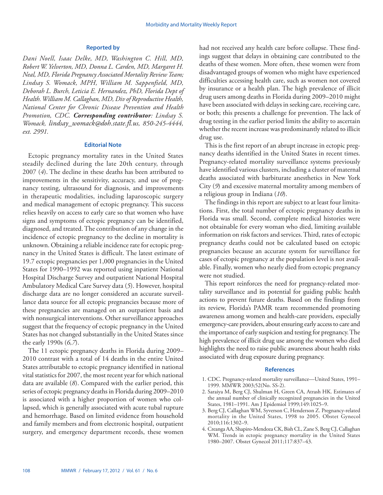# **Reported by**

*Dani Noell, Isaac Delke, MD, Washington C. Hill, MD, Robert W. Yelverton, MD, Donna L. Carden, MD, Margaret H. Neal, MD, Florida Pregnancy Associated Mortality Review Team; Lindsay S. Womack, MPH, William M. Sappenfield, MD, Deborah L. Burch, Leticia E. Hernandez, PhD, Florida Dept of Health. William M. Callaghan, MD, Div of Reproductive Health, National Center for Chronic Disease Prevention and Health Promotion, CDC. Corresponding contributor: Lindsay S. Womack, l[indsay\\_womack@doh.state.fl.us](mailto:Lindsay_Womack@doh.state.fl.us), 850-245-4444, ext. 2991.* 

# **Editorial Note**

Ectopic pregnancy mortality rates in the United States steadily declined during the late 20th century, through 2007 (*4*). The decline in these deaths has been attributed to improvements in the sensitivity, accuracy, and use of pregnancy testing, ultrasound for diagnosis, and improvements in therapeutic modalities, including laparoscopic surgery and medical management of ectopic pregnancy. This success relies heavily on access to early care so that women who have signs and symptoms of ectopic pregnancy can be identified, diagnosed, and treated. The contribution of any change in the incidence of ectopic pregnancy to the decline in mortality is unknown. Obtaining a reliable incidence rate for ectopic pregnancy in the United States is difficult. The latest estimate of 19.7 ectopic pregnancies per 1,000 pregnancies in the United States for 1990–1992 was reported using inpatient National Hospital Discharge Survey and outpatient National Hospital Ambulatory Medical Care Survey data (*5*). However, hospital discharge data are no longer considered an accurate surveillance data source for all ectopic pregnancies because more of these pregnancies are managed on an outpatient basis and with nonsurgical interventions. Other surveillance approaches suggest that the frequency of ectopic pregnancy in the United States has not changed substantially in the United States since the early 1990s (*6,7*).

The 11 ectopic pregnancy deaths in Florida during 2009– 2010 contrast with a total of 14 deaths in the entire United States attributable to ectopic pregnancy identified in national vital statistics for 2007, the most recent year for which national data are available (*8*). Compared with the earlier period, this series of ectopic pregnancy deaths in Florida during 2009–2010 is associated with a higher proportion of women who collapsed, which is generally associated with acute tubal rupture and hemorrhage. Based on limited evidence from household and family members and from electronic hospital, outpatient surgery, and emergency department records, these women

had not received any health care before collapse. These findings suggest that delays in obtaining care contributed to the deaths of these women. More often, these women were from disadvantaged groups of women who might have experienced difficulties accessing health care, such as women not covered by insurance or a health plan. The high prevalence of illicit drug users among deaths in Florida during 2009–2010 might have been associated with delays in seeking care, receiving care, or both; this presents a challenge for prevention. The lack of drug testing in the earlier period limits the ability to ascertain whether the recent increase was predominantly related to illicit drug use.

This is the first report of an abrupt increase in ectopic pregnancy deaths identified in the United States in recent times. Pregnancy-related mortality surveillance systems previously have identified various clusters, including a cluster of maternal deaths associated with barbiturate anesthetics in New York City (*9*) and excessive maternal mortality among members of a religious group in Indiana (*10*).

The findings in this report are subject to at least four limitations. First, the total number of ectopic pregnancy deaths in Florida was small. Second, complete medical histories were not obtainable for every woman who died, limiting available information on risk factors and services. Third, rates of ectopic pregnancy deaths could not be calculated based on ectopic pregnancies because an accurate system for surveillance for cases of ectopic pregnancy at the population level is not available. Finally, women who nearly died from ectopic pregnancy were not studied.

This report reinforces the need for pregnancy-related mortality surveillance and its potential for guiding public health actions to prevent future deaths. Based on the findings from its review, Florida's PAMR team recommended promoting awareness among women and health-care providers, especially emergency-care providers, about ensuring early access to care and the importance of early suspicion and testing for pregnancy. The high prevalence of illicit drug use among the women who died highlights the need to raise public awareness about health risks associated with drug exposure during pregnancy.

# **References**

- 1. CDC. Pregnancy-related mortality surveillance—United States, 1991– 1999. MMWR 2003;52(No. SS-2).
- 2. Saraiya M, Berg CJ, Shulman H, Green CA, Atrash HK. Estimates of the annual number of clinically recognized pregnancies in the United States, 1981–1991. Am J Epidemiol 1999;149:1025–9.
- 3. Berg CJ, Callaghan WM, Syverson C, Henderson Z. Pregnancy-related mortality in the United States, 1998 to 2005. Obstet Gynecol 2010;116:1302–9.
- 4. Creanga AA, Shapiro-Mendoza CK, Bish CL, Zane S, Berg CJ, Callaghan WM. Trends in ectopic pregnancy mortality in the United States 1980–2007. Obstet Gynecol 2011;117:837–43.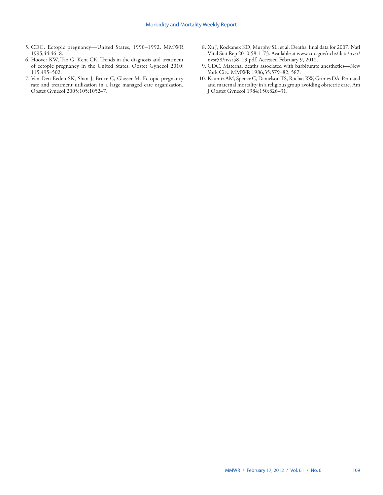- 5. CDC. Ectopic pregnancy—United States, 1990–1992. MMWR 1995;44:46–8.
- 6. Hoover KW, Tao G, Kent CK. Trends in the diagnosis and treatment of ectopic pregnancy in the United States. Obstet Gynecol 2010; 115:495–502.
- 7. Van Den Eeden SK, Shan J, Bruce C, Glasser M. Ectopic pregnancy rate and treatment utilization in a large managed care organization. Obstet Gynecol 2005;105:1052–7.
- 8. Xu J, Kockanek KD, Murphy SL, et al. Deaths: final data for 2007. Natl Vital Stat Rep 2010;58:1–73. Available at www.cdc.gov/nchs/data/nvsr/ nvsr58/nvsr58\_19.pdf. Accessed February 9, 2012.
- 9. CDC. Maternal deaths associated with barbiturate anesthetics—New York City. MMWR 1986;35:579–82, 587.
- 10. Kaunitz AM, Spence C, Danielson TS, Rochat RW, Grimes DA. Perinatal and maternal mortality in a religious group avoiding obstetric care. Am J Obstet Gynecol 1984;150:826–31.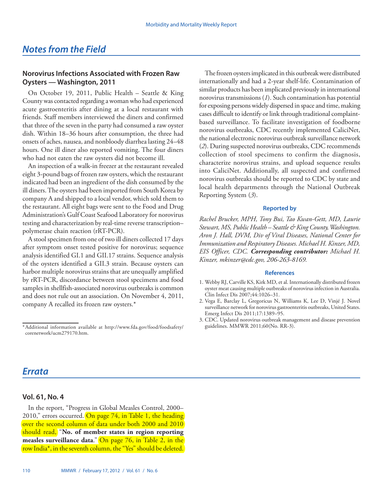# <span id="page-9-0"></span>**Norovirus Infections Associated with Frozen Raw Oysters — Washington, 2011**

On October 19, 2011, Public Health – Seattle & King County was contacted regarding a woman who had experienced acute gastroenteritis after dining at a local restaurant with friends. Staff members interviewed the diners and confirmed that three of the seven in the party had consumed a raw oyster dish. Within 18–36 hours after consumption, the three had onsets of aches, nausea, and nonbloody diarrhea lasting 24–48 hours. One ill diner also reported vomiting. The four diners who had not eaten the raw oysters did not become ill.

An inspection of a walk-in freezer at the restaurant revealed eight 3-pound bags of frozen raw oysters, which the restaurant indicated had been an ingredient of the dish consumed by the ill diners. The oysters had been imported from South Korea by company A and shipped to a local vendor, which sold them to the restaurant. All eight bags were sent to the Food and Drug Administration's Gulf Coast Seafood Laboratory for norovirus testing and characterization by real-time reverse transcription– polymerase chain reaction (rRT-PCR).

A stool specimen from one of two ill diners collected 17 days after symptom onset tested positive for norovirus; sequence analysis identified GI.1 and GII.17 strains. Sequence analysis of the oysters identified a GII.3 strain. Because oysters can harbor multiple norovirus strains that are unequally amplified by rRT-PCR, discordance between stool specimens and food samples in shellfish-associated norovirus outbreaks is common and does not rule out an association. On November 4, 2011, company A recalled its frozen raw oysters.\*

The frozen oysters implicated in this outbreak were distributed internationally and had a 2-year shelf-life. Contamination of similar products has been implicated previously in international norovirus transmissions (*1*). Such contamination has potential for exposing persons widely dispersed in space and time, making cases difficult to identify or link through traditional complaintbased surveillance. To facilitate investigation of foodborne norovirus outbreaks, CDC recently implemented CaliciNet, the national electronic norovirus outbreak surveillance network (*2*). During suspected norovirus outbreaks, CDC recommends collection of stool specimens to confirm the diagnosis, characterize norovirus strains, and upload sequence results into CaliciNet. Additionally, all suspected and confirmed norovirus outbreaks should be reported to CDC by state and local health departments through the National Outbreak Reporting System (*3*).

# **Reported by**

*Rachel Brucker, MPH, Tony Bui, Tao Kwan-Gett, MD, Laurie Stewart, MS, Public Health – Seattle & King County, Washington. Aron J. Hall, DVM, Div of Viral Diseases, National Center for Immunization and Respiratory Diseases. Michael H. Kinzer, MD, EIS Officer, CDC. Corresponding contributor: Michael H. Kinzer, [mkinzer@cdc.gov,](mailto:mkinzer@cdc.gov) 206-263-8169.* 

## **References**

- 1. Webby RJ, Carville KS, Kirk MD, et al. Internationally distributed frozen oyster meat causing multiple outbreaks of norovirus infection in Australia. Clin Infect Dis 2007;44:1026–31.
- 2. Vega E, Barclay L, Gregoricus N, Williams K, Lee D, Vinjé J. Novel surveillance network for norovirus gastroenteritis outbreaks, United States. Emerg Infect Dis 2011;17:1389–95.
- 3. CDC. Updated norovirus outbreak management and disease prevention guidelines. MMWR 2011;60(No. RR-3).

# *Errata*

# **Vol. 61, No. 4**

In the report, "Progress in Global Measles Control, 2000– 2010," errors occurred. On page  $74$ , in Table 1, the heading [over the second column of data under both 2000 and 2010](http://www.cdc.gov/mmwr/PDF/wk/mm6104.pdf)  should read, "**No. of member states in region reporting measles surveillance data**." On page 76, in Table 2, in the [row India\\*, in the seventh column, the "Yes" should be deleted.](http://www.cdc.gov/mmwr/PDF/wk/mm6104.pdf)

<sup>\*</sup>Additional information available a[t]( http://www.fda.gov/food/foodsafety/corenetwork/ucm279170.htm) [http://www.fda.gov/food/foodsafety/](http://www.fda.gov/food/foodsafety/corenetwork/ucm279170.htm) [corenetwork/ucm279170.htm.](http://www.fda.gov/food/foodsafety/corenetwork/ucm279170.htm)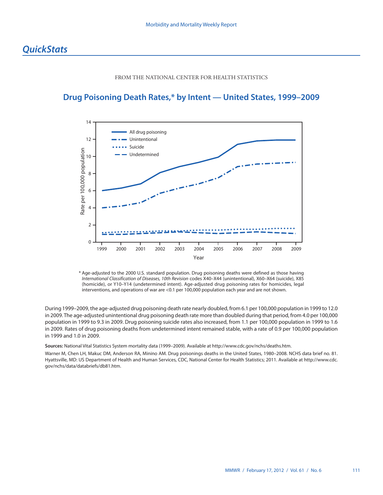# FROM THE NATIONAL CENTER FOR HEALTH STATISTICS

# <span id="page-10-0"></span>**Drug Poisoning Death Rates,\* by Intent — United States, 1999–2009**



\* Age-adjusted to the 2000 U.S. standard population. Drug poisoning deaths were defined as those having *International Classification of Diseases, 10th Revision* codes X40–X44 (unintentional), X60–X64 (suicide), X85 (homicide), or Y10–Y14 (undetermined intent). Age-adjusted drug poisoning rates for homicides, legal interventions, and operations of war are <0.1 per 100,000 population each year and are not shown.

During 1999–2009, the age-adjusted drug poisoning death rate nearly doubled, from 6.1 per 100,000 population in 1999 to 12.0 in 2009. The age-adjusted unintentional drug poisoning death rate more than doubled during that period, from 4.0 per 100,000 population in 1999 to 9.3 in 2009. Drug poisoning suicide rates also increased, from 1.1 per 100,000 population in 1999 to 1.6 in 2009. Rates of drug poisoning deaths from undetermined intent remained stable, with a rate of 0.9 per 100,000 population in 1999 and 1.0 in 2009.

**Sources:** National Vital Statistics System mortality data (1999–2009). Available at [http://www.cdc.gov/nchs/deaths.htm.](http://www.cdc.gov/nchs/deaths.htm)

Warner M, Chen LH, Makuc DM, Anderson RA, Minino AM. Drug poisonings deaths in the United States, 1980–2008. NCHS data brief no. 81. Hyattsville, MD: US Department of Health and Human Services, CDC, National Center for Health Statistics; 2011. Available at [http://www.cdc.](http://www.cdc.gov/nchs/data/databriefs/db81.htm) [gov/nchs/data/databriefs/db81.htm](http://www.cdc.gov/nchs/data/databriefs/db81.htm).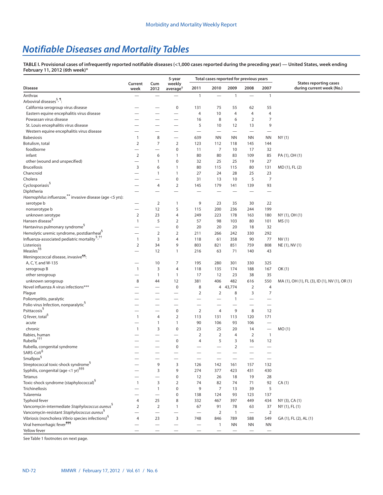# *Notifiable Diseases and Mortality Tables*

**TABLE I. Provisional cases of infrequently reported notifiable diseases (<1,000 cases reported during the preceding year) — United States, week ending February 11, 2012 (6th week)\***

|                                                               |                   |                          | 5-year<br>weekly         |                          | Total cases reported for previous years |                          |                          |                          | <b>States reporting cases</b>                  |
|---------------------------------------------------------------|-------------------|--------------------------|--------------------------|--------------------------|-----------------------------------------|--------------------------|--------------------------|--------------------------|------------------------------------------------|
| <b>Disease</b>                                                | Current<br>week   | Cum<br>2012              | average <sup>†</sup>     | 2011                     | 2010                                    | 2009                     | 2008                     | 2007                     | during current week (No.)                      |
| Anthrax                                                       |                   |                          |                          | $\mathbf{1}$             |                                         | $\mathbf{1}$             |                          | $\mathbf{1}$             |                                                |
| Arboviral diseases <sup>§, ¶</sup> :                          |                   |                          |                          |                          |                                         |                          |                          |                          |                                                |
| California serogroup virus disease                            |                   |                          | $\mathbf 0$              | 131                      | 75                                      | 55                       | 62                       | 55                       |                                                |
| Eastern equine encephalitis virus disease                     |                   |                          | $\overline{\phantom{0}}$ | 4                        | 10                                      | $\overline{4}$           | $\overline{4}$           | 4                        |                                                |
| Powassan virus disease                                        |                   |                          | $\overline{\phantom{0}}$ | 16                       | 8                                       | 6                        | $\overline{2}$           | 7                        |                                                |
| St. Louis encephalitis virus disease                          |                   |                          | $\overline{\phantom{0}}$ | 5                        | 10                                      | 12                       | 13                       | 9                        |                                                |
| Western equine encephalitis virus disease                     |                   |                          | -                        | $\overline{\phantom{0}}$ | $\overline{\phantom{0}}$                | $\overline{\phantom{0}}$ | $\overline{\phantom{0}}$ |                          |                                                |
| <b>Babesiosis</b>                                             | $\mathbf{1}$      | 8                        | $\overline{\phantom{0}}$ | 639                      | <b>NN</b>                               | <b>NN</b>                | <b>NN</b>                | ΝN                       | NY(1)                                          |
| Botulism, total                                               | $\overline{2}$    | $\overline{7}$           | $\overline{2}$           | 123                      | 112                                     | 118                      | 145                      | 144                      |                                                |
| foodborne                                                     |                   |                          | $\mathbf 0$              | 11                       | $\overline{7}$                          | 10                       | 17                       | 32                       |                                                |
| infant                                                        | $\overline{2}$    | 6                        | $\mathbf{1}$             | 80                       | 80                                      | 83                       | 109                      | 85                       | PA (1), OH (1)                                 |
| other (wound and unspecified)                                 |                   | 1                        | $\boldsymbol{0}$         | 32                       | 25                                      | 25                       | 19                       | 27                       |                                                |
| <b>Brucellosis</b>                                            | 3                 | 6                        | $\mathbf{1}$             | 80                       | 115                                     | 115                      | 80                       | 131                      | MD (1), FL (2)                                 |
| Chancroid                                                     |                   | 1                        | $\mathbf{1}$             | 27                       | 24                                      | 28                       | 25                       | 23                       |                                                |
| Cholera                                                       |                   |                          | $\bf 0$                  | 31                       | 13                                      | 10                       | 5                        | 7                        |                                                |
| Cyclosporiasis <sup>§</sup>                                   |                   | 4                        | $\overline{2}$           | 145                      | 179                                     | 141                      | 139                      | 93                       |                                                |
| Diphtheria                                                    |                   |                          | -                        |                          |                                         |                          |                          |                          |                                                |
| Haemophilus influenzae,** invasive disease (age <5 yrs):      |                   |                          |                          |                          |                                         |                          |                          |                          |                                                |
| serotype b                                                    | —                 | $\overline{2}$           | $\mathbf{1}$             | 9                        | 23                                      | 35                       | 30                       | 22                       |                                                |
| nonserotype b                                                 |                   | 12                       | 5                        | 115                      | 200                                     | 236                      | 244                      | 199                      |                                                |
| unknown serotype<br>Hansen disease <sup>§</sup>               | 2<br>$\mathbf{1}$ | 23<br>5                  | 4                        | 249                      | 223                                     | 178                      | 163                      | 180                      | NY (1), OH (1)                                 |
| Hantavirus pulmonary syndrome <sup>3</sup>                    |                   |                          | 2<br>$\bf 0$             | 57<br>20                 | 98                                      | 103<br>20                | 80                       | 101                      | MS (1)                                         |
| Hemolytic uremic syndrome, postdiarrheal <sup>9</sup>         |                   | $\overline{2}$           | $\overline{2}$           | 211                      | 20<br>266                               | 242                      | 18<br>330                | 32<br>292                |                                                |
| Influenza-associated pediatric mortality <sup>5,††</sup>      | $\mathbf{1}$      | 3                        | $\overline{4}$           | 118                      | 61                                      | 358                      | 90                       | 77                       | NV(1)                                          |
| Listeriosis                                                   | $\overline{2}$    | 34                       | 9                        | 803                      | 821                                     | 851                      | 759                      | 808                      | NE (1), NV (1)                                 |
| Measles <sup>§§</sup>                                         |                   | 12                       | $\mathbf{1}$             | 216                      | 63                                      | 71                       | 140                      | 43                       |                                                |
| Meningococcal disease, invasive <sup>99</sup> :               |                   |                          |                          |                          |                                         |                          |                          |                          |                                                |
| A, C, Y, and W-135                                            |                   | 10                       | 7                        | 195                      | 280                                     | 301                      | 330                      | 325                      |                                                |
| serogroup B                                                   | $\mathbf{1}$      | 3                        | 4                        | 118                      | 135                                     | 174                      | 188                      | 167                      | OK (1)                                         |
| other serogroup                                               |                   | 1                        | $\mathbf{1}$             | 17                       | 12                                      | 23                       | 38                       | 35                       |                                                |
| unknown serogroup                                             | 8                 | 44                       | 12                       | 381                      | 406                                     | 482                      | 616                      | 550                      | MA (1), OH (1), FL (3), ID (1), NV (1), OR (1) |
| Novel influenza A virus infections***                         |                   |                          | $\pmb{0}$                | 8                        | 4                                       | 43,774                   | $\overline{2}$           | $\overline{4}$           |                                                |
| Plague                                                        |                   |                          |                          | 2                        | 2                                       | 8                        | 3                        | 7                        |                                                |
| Poliomyelitis, paralytic                                      |                   |                          |                          | —                        |                                         | $\mathbf{1}$             | $\overline{\phantom{0}}$ |                          |                                                |
| Polio virus Infection, nonparalytic <sup>9</sup>              |                   |                          | -                        |                          |                                         |                          |                          |                          |                                                |
| Psittacosis <sup>§</sup>                                      |                   |                          | $\bf 0$                  | $\overline{2}$           | $\overline{4}$                          | 9                        | 8                        | 12                       |                                                |
| Q fever, total <sup>9</sup>                                   | $\mathbf{1}$      | 4                        | $\overline{2}$           | 113                      | 131                                     | 113                      | 120                      | 171                      |                                                |
| acute                                                         |                   | 1                        | $\mathbf{1}$             | 90                       | 106                                     | 93                       | 106                      | $\overline{\phantom{0}}$ |                                                |
| chronic                                                       | $\mathbf{1}$      | 3                        | $\mathbf 0$              | 23                       | 25                                      | 20                       | 14                       |                          | MO(1)                                          |
| Rabies, human                                                 |                   |                          | -                        | $\overline{2}$           | $\overline{2}$                          | 4                        | $\overline{2}$           | $\mathbf{1}$             |                                                |
| Rubella <sup>+++</sup>                                        |                   |                          | $\pmb{0}$                | 4                        | 5                                       | 3                        | 16                       | 12                       |                                                |
| Rubella, congenital syndrome                                  |                   |                          | $\bf 0$                  |                          |                                         | $\overline{2}$           |                          |                          |                                                |
| SARS-CoV <sup>§</sup>                                         |                   |                          |                          |                          |                                         |                          |                          |                          |                                                |
| Smallpox <sup>§</sup>                                         |                   |                          |                          |                          |                                         |                          |                          |                          |                                                |
| Streptococcal toxic-shock syndrome <sup>§</sup>               |                   | 9                        | 3                        | 126                      | 142                                     | 161                      | 157                      | 132                      |                                                |
| Syphilis, congenital (age <1 yr) <sup>§§§</sup>               |                   | 3                        | 9                        | 274                      | 377                                     | 423                      | 431                      | 430                      |                                                |
| Tetanus                                                       |                   | $\overline{\phantom{0}}$ | $\bf 0$                  | 12                       | 26                                      | 18                       | 19                       | 28                       |                                                |
| Toxic-shock syndrome (staphylococcal) <sup>§</sup>            | $\mathbf{1}$      | 3                        | $\overline{2}$           | 74                       | 82                                      | 74                       | 71                       | 92                       | CA(1)                                          |
| Trichinellosis                                                |                   | $\mathbf{1}$             | $\bf 0$                  | 9                        | $\overline{7}$                          | 13                       | 39                       | 5                        |                                                |
| Tularemia                                                     |                   |                          | $\pmb{0}$                | 138                      | 124                                     | 93                       | 123                      | 137                      |                                                |
| Typhoid fever                                                 | 4                 | 25                       | 8                        | 332                      | 467                                     | 397                      | 449                      | 434                      | NY (3), CA (1)                                 |
| Vancomycin-intermediate Staphylococcus aureus <sup>§</sup>    | $\overline{2}$    | $\overline{2}$           | $\mathbf{1}$             | 67                       | 91                                      | 78                       | 63                       | 37                       | NY (1), FL (1)                                 |
| Vancomycin-resistant Staphylococcus aureus <sup>8</sup>       |                   | $\overline{\phantom{0}}$ | —                        | $\overline{\phantom{0}}$ | $\overline{2}$                          | $\overline{1}$           | $\qquad \qquad -$        | 2                        |                                                |
| Vibriosis (noncholera Vibrio species infections) <sup>8</sup> | 4                 | 23                       | 3                        | 748                      | 846                                     | 789                      | 588                      | 549                      | GA (1), FL (2), AL (1)                         |
| Viral hemorrhagic fever <sup>999</sup>                        |                   | $\overline{\phantom{0}}$ |                          | $\qquad \qquad$          | $\mathbf{1}$                            | ΝN                       | ΝN                       | <b>NN</b>                |                                                |
| Yellow fever                                                  |                   |                          |                          |                          |                                         |                          | $\overline{\phantom{0}}$ | $\qquad \qquad -$        |                                                |

See Table 1 footnotes on next page.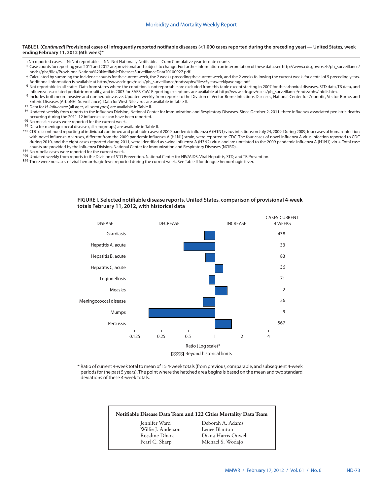#### **TABLE I. (***Continued***) Provisional cases of infrequently reported notifiable diseases (<1,000 cases reported during the preceding year) — United States, week ending February 11, 2012 (6th week)\***

- —: No reported cases. N: Not reportable. NN: Not Nationally Notifiable. Cum: Cumulative year-to-date counts.
- \* Case counts for reporting year 2011 and 2012 are provisional and subject to change. For further information on interpretation of these data, see [http://www.cdc.gov/osels/ph\\_surveillance/](http://www.cdc.gov/osels/ph_surveillance/nndss/phs/files/ProvisionalNationa%20NotifiableDiseasesSurveillanceData20100927.pdf) [nndss/phs/files/ProvisionalNationa%20NotifiableDiseasesSurveillanceData20100927.pdf](http://www.cdc.gov/osels/ph_surveillance/nndss/phs/files/ProvisionalNationa%20NotifiableDiseasesSurveillanceData20100927.pdf).
- † Calculated by summing the incidence counts for the current week, the 2 weeks preceding the current week, and the 2 weeks following the current week, for a total of 5 preceding years. Additional information is available at [http://www.cdc.gov/osels/ph\\_surveillance/nndss/phs/files/5yearweeklyaverage.pdf](http://www.cdc.gov/osels/ph_surveillance/nndss/phs/files/5yearweeklyaverage.pdf).
- § Not reportable in all states. Data from states where the condition is not reportable are excluded from this table except starting in 2007 for the arboviral diseases, STD data, TB data, and influenza-associated pediatric mortality, and in 2003 for SARS-CoV. Reporting exceptions are available at [http://www.cdc.gov/osels/ph\\_surveillance/nndss/phs/infdis.htm.](http://www.cdc.gov/osels/ph_surveillance/nndss/phs/infdis.htm)
- ¶ Includes both neuroinvasive and nonneuroinvasive. Updated weekly from reports to the Division of Vector-Borne Infectious Diseases, National Center for Zoonotic, Vector-Borne, and Enteric Diseases (ArboNET Surveillance). Data for West Nile virus are available in Table II.
- \*\* Data for *H. influenzae* (all ages, all serotypes) are available in Table II. †† Updated weekly from reports to the Influenza Division, National Center for Immunization and Respiratory Diseases. Since October 2, 2011, three influenza-associated pediatric deaths occurring during the 2011-12 influenza season have been reported. §§ No measles cases were reported for the current week.
- 
- ¶¶ Data for meningococcal disease (all serogroups) are available in Table II.
- \*\*\* CDC discontinued reporting of individual confirmed and probable cases of 2009 pandemic influenza A (H1N1) virus infections on July 24, 2009. During 2009, four cases of human infection with novel influenza A viruses, different from the 2009 pandemic influenza A (H1N1) strain, were reported to CDC. The four cases of novel influenza A virus infection reported to CDC during 2010, and the eight cases reported during 2011, were identified as swine influenza A (H3N2) virus and are unrelated to the 2009 pandemic influenza A (H1N1) virus. Total case counts are provided by the Influenza Division, National Center for Immunization and Respiratory Diseases (NCIRD)..
- ††† No rubella cases were reported for the current week.
- §§§ Updated weekly from reports to the Division of STD Prevention, National Center for HIV/AIDS, Viral Hepatitis, STD, and TB Prevention.
- 111 There were no cases of viral hemorrhagic fever reported during the current week. See Table II for dengue hemorrhagic fever.

#### **FIGURE I. Selected notifiable disease reports, United States, comparison of provisional 4-week totals February 11, 2012, with historical data**



\* Ratio of current 4-week total to mean of 15 4-week totals (from previous, comparable, and subsequent 4-week periods for the past 5 years). The point where the hatched area begins is based on the mean and two standard deviations of these 4-week totals.

#### **Notifiable Disease Data Team and 122 Cities Mortality Data Team**

Willie J. Anderson<br>Rosaline Dhara

Jennifer Ward Deborah A. Adams Diana Harris Onweh Pearl C. Sharp Michael S. Wodajo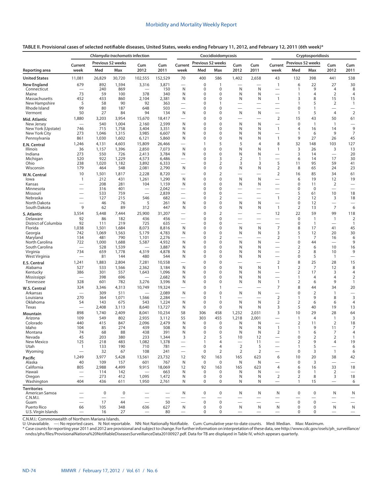| TABLE II. Provisional cases of selected notifiable diseases, United States, weeks ending February 11, 2012, and February 12, 2011 (6th week)* |  |
|-----------------------------------------------------------------------------------------------------------------------------------------------|--|
|-----------------------------------------------------------------------------------------------------------------------------------------------|--|

|                                      | Chlamydia trachomatis infection  |                          |                          |                                   |                          |                               |                                | Coccidioidomycosis         |                                      |                               | Cryptosporidiosis                          |                                |                                      |                                  |                                        |
|--------------------------------------|----------------------------------|--------------------------|--------------------------|-----------------------------------|--------------------------|-------------------------------|--------------------------------|----------------------------|--------------------------------------|-------------------------------|--------------------------------------------|--------------------------------|--------------------------------------|----------------------------------|----------------------------------------|
|                                      | Current                          |                          | Previous 52 weeks        | Cum                               | Cum                      | Current                       | Previous 52 weeks              |                            | Cum                                  | Cum                           | Current                                    | Previous 52 weeks              |                                      | Cum                              | Cum                                    |
| Reporting area                       | week                             | Med                      | Max                      | 2012                              | 2011                     | week                          | Med                            | Max                        | 2012                                 | 2011                          | week                                       | Med                            | Max                                  | 2012                             | 2011                                   |
| <b>United States</b>                 | 11,081                           | 26,829                   | 30,720                   | 102,555                           | 152,529                  | 70                            | 400                            | 586                        | 1,402                                | 2,658                         | 43                                         | 132                            | 398                                  | 441                              | 538                                    |
| <b>New England</b><br>Connecticut    | 679                              | 892<br>240               | 1,594<br>869             | 3,316                             | 3,871<br>150             | N                             | 0<br>0                         | 1<br>0                     | N                                    | N                             | $\mathbf{1}$<br>$\overline{\phantom{0}}$   | 6<br>$\mathbf{1}$              | 22<br>9                              | 27<br>4                          | 30<br>8                                |
| Maine                                | 73                               | 59                       | 100                      | 378                               | 340                      | N                             | 0                              | 0                          | N                                    | N                             | $\overline{\phantom{0}}$                   | $\mathbf{1}$                   | $\overline{4}$                       | 2                                | $\overline{4}$                         |
| Massachusetts                        | 452<br>5                         | 433<br>58                | 860<br>90                | 2,104<br>92                       | 2,381<br>363             | N<br>$\overline{\phantom{0}}$ | 0<br>0                         | 0<br>1                     | N                                    | N                             | $\mathbf{1}$<br>$\overline{\phantom{0}}$   | 3<br>1                         | 8<br>5                               | 15                               | 15<br>$\mathbf{1}$                     |
| New Hampshire<br>Rhode Island        | 99                               | 80                       | 187                      | 648                               | 503                      | $\overline{\phantom{0}}$      | 0                              | 0                          |                                      | $\overline{\phantom{0}}$      | $\overline{\phantom{0}}$                   | 0                              | $\mathbf{1}$                         | 2                                | $\overline{\phantom{0}}$               |
| Vermont                              | 50                               | 27                       | 84                       | 94                                | 134                      | N                             | 0                              | 0                          | N                                    | N                             |                                            | $\mathbf{1}$                   | 5                                    | $\overline{4}$                   | 2                                      |
| Mid. Atlantic                        | 1,880                            | 3,203                    | 3,954                    | 15,670                            | 18,417                   |                               | 0                              | 0                          |                                      | $\overline{\phantom{0}}$      | $\overline{2}$                             | 15                             | 43                                   | 50                               | 61                                     |
| New Jersey<br>New York (Upstate)     | 746                              | 540<br>715               | 1,004<br>1,758           | 2,160<br>3,404                    | 2,599<br>3,351           | N<br>N                        | 0<br>0                         | 0<br>0                     | N<br>N                               | N<br>N                        | $\overline{\phantom{0}}$<br>$\mathbf{1}$   | $\mathbf 0$<br>4               | $\mathbf{1}$<br>16                   | $\mathbf{1}$<br>14               | 9                                      |
| New York City                        | 273                              | 1,046                    | 1,315                    | 3,985                             | 6,607                    | N                             | 0                              | 0                          | N                                    | N                             |                                            | $\mathbf{1}$                   | 6                                    | 9                                | 7                                      |
| Pennsylvania                         | 861                              | 1,030                    | 1,602                    | 6,121                             | 5,860                    | N                             | 0                              | 0                          | N                                    | N                             | $\mathbf{1}$                               | 9                              | 27                                   | 26                               | 45                                     |
| E.N. Central                         | 1,246                            | 4,131                    | 4,603                    | 15,809                            | 26,466                   | -                             | 1                              | 5                          | 5                                    | $\overline{4}$                | 8                                          | 32                             | 148                                  | 103                              | 127                                    |
| <b>Illinois</b><br>Indiana           | 36<br>273                        | 1,157<br>550             | 1,396<br>726             | 2,850<br>2,413                    | 7,073<br>3,784           | N<br>N                        | 0<br>0                         | 0<br>0                     | N<br>N                               | N<br>N                        | 1                                          | 3<br>3                         | 26<br>14                             | 3<br>$\overline{\phantom{0}}$    | 13<br>20                               |
| Michigan                             | 520                              | 922                      | 1,229                    | 4,573                             | 6,486                    | $\overline{\phantom{0}}$      | 0                              | 3                          | $\overline{2}$                       | $\overline{1}$                |                                            | 6                              | 14                                   | 17                               | 30                                     |
| Ohio                                 | 238                              | 1,020                    | 1,182                    | 3,892                             | 6,333                    |                               | 0                              | $\overline{2}$             | 3                                    | 3                             | 5                                          | 11                             | 95                                   | 59                               | 41                                     |
| Wisconsin                            | 179<br>10                        | 464<br>1,501             | 548<br>1,817             | 2,081<br>2,228                    | 2,790<br>8,720           | N                             | 0<br>0                         | 0<br>$\overline{2}$        | N                                    | N<br>$\overline{\phantom{0}}$ | $\overline{2}$<br>$\overline{2}$           | 8<br>16                        | 65<br>85                             | 24<br>34                         | 23<br>61                               |
| W.N. Central<br>lowa                 | 1                                | 212                      | 431                      | 1,261                             | 1,290                    | N                             | 0                              | 0                          | N                                    | N                             |                                            | 6                              | 19                                   | 12                               | 19                                     |
| Kansas                               |                                  | 208                      | 281                      | 104                               | 1,159                    | N                             | 0                              | 0                          | N                                    | N                             | $\overline{\phantom{0}}$                   | 0                              | 11                                   | 2                                | $\overbrace{\phantom{123221111}}$      |
| Minnesota                            | $\overline{\phantom{0}}$         | 316<br>533               | 401<br>759               | $\overline{\phantom{0}}$          | 2,042<br>2,839           | $\overline{\phantom{0}}$      | 0<br>0                         | 0<br>0                     |                                      | $\overline{\phantom{0}}$      | $\overline{\phantom{0}}$                   | 0<br>5                         | $\mathbf 0$<br>61                    | 10                               | $\overline{\phantom{0}}$<br>18         |
| Missouri<br>Nebraska                 | $\overline{\phantom{0}}$         | 127                      | 215                      | 546                               | 682                      | $\overline{\phantom{0}}$      | 0                              | $\overline{2}$             |                                      | $\overline{\phantom{0}}$      | $\mathbf{1}$                               | 2                              | 12                                   | 3                                | 18                                     |
| North Dakota                         |                                  | 46                       | 76                       | 5                                 | 261                      | N                             | 0                              | 0                          | N                                    | N                             | —                                          | 0                              | 12                                   |                                  |                                        |
| South Dakota                         | 9                                | 62                       | 89                       | 312                               | 447                      | N                             | 0                              | 0                          | N                                    | N                             | $\mathbf{1}$                               | $\overline{2}$                 | 13                                   | $\overline{7}$                   | 6                                      |
| S. Atlantic<br>Delaware              | 3,554<br>92                      | 5,448<br>86              | 7,444<br>182             | 25,900<br>436                     | 31,207<br>456            |                               | $\mathbf 0$<br>0               | $\overline{2}$<br>0        |                                      | $\overline{\phantom{0}}$      | 12                                         | 22<br>$\mathbf 0$              | 59<br>$\mathbf{1}$                   | 99<br>$\mathbf{1}$               | 118<br>$\overline{2}$                  |
| District of Columbia                 | 92                               | 111                      | 219                      | 725                               | 635                      | $\overline{\phantom{0}}$      | 0                              | 0                          |                                      | $\overline{\phantom{0}}$      | $\overline{\phantom{0}}$                   | $\mathbf 0$                    | $\mathbf{1}$                         | $\overline{\phantom{0}}$         | $\mathbf{1}$                           |
| Florida                              | 1,038                            | 1,501                    | 1,684                    | 8,073                             | 8,816                    | N                             | 0                              | 0                          | N                                    | N                             | 7                                          | 8                              | 17                                   | 41                               | 45                                     |
| Georgia<br>Maryland                  | 742<br>134                       | 1,069<br>481             | 1,563<br>790             | 5,179<br>1,101                    | 4,783<br>2,276           | N                             | 0<br>0                         | 0<br>$\overline{2}$        | N                                    | N<br>$\overline{\phantom{0}}$ | 3<br>$\overline{2}$                        | 5<br>1                         | 12<br>7                              | 20<br>16                         | 30<br>6                                |
| North Carolina                       | 722                              | 1,000                    | 1,688                    | 5,587                             | 4,932                    | N                             | 0                              | 0                          | N                                    | N                             | -                                          | 0                              | 44                                   | $\overline{\phantom{0}}$         | 9                                      |
| South Carolina                       |                                  | 528                      | 1,539                    |                                   | 3,887                    | N                             | 0                              | 0                          | N                                    | N                             |                                            | 2                              | 6                                    | 10                               | 16                                     |
| Virginia<br>West Virginia            | 734                              | 659<br>81                | 1,778<br>144             | 4,319<br>480                      | 4,878<br>544             | N<br>N                        | 0<br>0                         | 0<br>0                     | N<br>N                               | N<br>N                        | —                                          | $\overline{2}$<br>0            | 8<br>5                               | 10<br>$\mathbf{1}$               | 9<br>$\qquad \qquad$                   |
| E.S. Central                         | 1,241                            | 1,883                    | 2,804                    | 7,281                             | 10,558                   | —                             | $\mathbf 0$                    | $\mathbf 0$                |                                      | -                             | $\overline{2}$                             | 8                              | 25                                   | 28                               | 15                                     |
| Alabama                              | 527                              | 533                      | 1,566                    | 2,362                             | 3,184                    | N                             | 0                              | 0                          | N                                    | N                             | $\mathbf{1}$                               | 2                              | 7                                    | 12                               | 8                                      |
| Kentucky<br>Mississippi              | 386                              | 301<br>398               | 557<br>696               | 1,643<br>$\overline{\phantom{0}}$ | 1,096<br>2,682           | N<br>N                        | 0<br>0                         | 0<br>0                     | N<br>N                               | N<br>N                        | -                                          | 2<br>1                         | 17<br>$\overline{4}$                 | 3<br>4                           | 4<br>2                                 |
| Tennessee                            | 328                              | 601                      | 782                      | 3,276                             | 3,596                    | N                             | 0                              | 0                          | N                                    | N                             | $\mathbf{1}$                               | $\overline{2}$                 | 6                                    | 9                                | $\mathbf{1}$                           |
| W.S. Central                         | 324                              | 3,346                    | 4,313                    | 10,749                            | 19,324                   | $\overline{\phantom{0}}$      | $\mathbf 0$                    | $\mathbf{1}$               | $\overline{\phantom{0}}$             | $\overline{\phantom{0}}$      | $\overline{7}$                             | 8                              | 44                                   | 34                               | 20                                     |
| Arkansas                             |                                  | 309                      | 511                      | $\overline{\phantom{0}}$          | 2,089                    | N                             | 0                              | 0                          | N                                    | N                             |                                            | 0                              | $\overline{2}$                       | $\mathbf{1}$                     | $\overline{\phantom{0}}$               |
| Louisiana<br>Oklahoma                | 270<br>54                        | 364<br>143               | 1,071<br>675             | 1,566<br>543                      | 2,284<br>1,224           | N                             | 0<br>0                         | $\mathbf{1}$<br>0          | $\overline{\phantom{0}}$<br>N        | $\overline{\phantom{0}}$<br>N | $\overline{2}$<br>$\overline{2}$           | 1<br>$\overline{2}$            | 9<br>6                               | 8<br>6                           | 3<br>4                                 |
| Texas                                | —                                | 2,408                    | 3,113                    | 8,640                             | 13,727                   | N                             | 0                              | $\mathbf 0$                | N                                    | N                             | 3                                          | 5                              | 40                                   | 19                               | 13                                     |
| <b>Mountain</b>                      | 898                              | 1,740                    | 2,409                    | 8,041                             | 10,234                   | 58                            | 306                            | 458                        | 1,232                                | 2,031                         | 3                                          | 10                             | 29                                   | 28                               | 64                                     |
| Arizona<br>Colorado                  | 109<br>440                       | 549<br>415               | 802<br>847               | 2,935<br>2,096                    | 3,112<br>2,479           | 55<br>N                       | 303<br>0                       | 455<br>0                   | 1,218<br>N                           | 2,001<br>N                    |                                            | $\mathbf{1}$<br>$\overline{2}$ | $\overline{4}$<br>11                 | $\mathbf{1}$<br>$\overline{2}$   | 3<br>18                                |
| Idaho                                | 104                              | 85                       | 274                      | 439                               | 508                      | N                             | 0                              | 0                          | N                                    | N                             | $\mathbf{1}$                               | $\mathbf{1}$                   | 9                                    | 11                               | $\overline{7}$                         |
| Montana                              | 74                               | 68                       | 88                       | 438                               | 391                      | N                             | $\Omega$                       | $\Omega$                   | N                                    | N                             | $\overline{2}$                             | 1                              | 6                                    | 7                                | 4                                      |
| Nevada<br>New Mexico                 | 45<br>125                        | 203<br>218               | 380<br>483               | 233<br>1,082                      | 1,344<br>1,378           | 3<br>$\qquad \qquad -$        | $\overline{2}$<br>$\mathbf{1}$ | 5<br>4                     | 10<br>$\qquad \qquad$                | 12<br>11                      |                                            | $\pmb{0}$<br>2                 | $\overline{2}$<br>9                  | $\overline{2}$<br>$\overline{4}$ | $\mathbf{1}$<br>19                     |
| Utah                                 | 1                                | 133                      | 190                      | 710                               | 781                      |                               | $\mathbf 0$                    | $\overline{4}$             | $\overline{2}$                       | 5                             | —                                          | 1                              | 5                                    |                                  | 6                                      |
| Wyoming                              | $\overbrace{\phantom{12322111}}$ | 32                       | 67                       | 108                               | 241                      | $\qquad \qquad -$             | $\mathbf 0$                    | $\overline{2}$             | 2                                    | 2                             | $\overline{\phantom{0}}$                   | $\mathbf 0$                    | 3                                    | $\mathbf{1}$                     | 6                                      |
| Pacific                              | 1,249                            | 3,977                    | 5,428                    | 13,561                            | 23,732                   | 12                            | 92                             | 163                        | 165                                  | 623                           | 6                                          | 10                             | 20                                   | 38                               | 42                                     |
| Alaska<br>California                 | 40<br>805                        | 109<br>2,988             | 157<br>4,499             | 601<br>9,915                      | 767<br>18,069            | N<br>12                       | $\mathbf 0$<br>92              | $\mathbf 0$<br>163         | ${\sf N}$<br>165                     | N<br>623                      | $\overline{\phantom{0}}$<br>$\overline{4}$ | $\mathbf 0$<br>6               | $\overline{3}$<br>16                 | $\equiv$<br>33                   | $\overbrace{\phantom{12322111}}$<br>18 |
| Hawaii                               |                                  | 114                      | 142                      | $\overline{\phantom{0}}$          | 663                      | N                             | $\mathbf 0$                    | $\mathbf 0$                | N                                    | N                             |                                            | 0                              | $\mathbf{1}$                         | 2                                | $\overline{\phantom{m}}$               |
| Oregon                               | 404                              | 273<br>436               | 412<br>611               | 1,095                             | 1,472<br>2,761           | N<br>N                        | $\mathbf 0$<br>$\mathbf 0$     | $\mathbf 0$<br>$\mathbf 0$ | N<br>N                               | N<br>N                        | $\overline{2}$<br>$\qquad \qquad -$        | $\overline{2}$<br>$\mathbf{1}$ | 8<br>15                              | 3                                | 18                                     |
| Washington                           |                                  |                          |                          | 1,950                             |                          |                               |                                |                            |                                      |                               |                                            |                                |                                      |                                  | 6                                      |
| <b>Territories</b><br>American Samoa |                                  | 0                        | $\boldsymbol{0}$         |                                   |                          | N                             | $\pmb{0}$                      | $\pmb{0}$                  | N                                    | N                             | N                                          | $\mathbf 0$                    | $\boldsymbol{0}$                     | N                                | N                                      |
| C.N.M.I.                             | $\overline{\phantom{0}}$         | $\overline{\phantom{0}}$ | $\overline{\phantom{0}}$ | $\overline{\phantom{0}}$          | $\overline{\phantom{0}}$ |                               |                                | $\overline{\phantom{0}}$   | $\overline{\phantom{0}}$             | $\overline{\phantom{0}}$      | $\overline{\phantom{0}}$                   |                                |                                      |                                  | $\overbrace{\phantom{12333}}$          |
| Guam<br>Puerto Rico                  | $\overline{\phantom{0}}$<br>66   | 17<br>105                | 44<br>348                | $\qquad \qquad -$<br>636          | 50<br>627                | N                             | $\mathbf 0$<br>$\mathbf 0$     | $\mathbf 0$<br>0           | $\overbrace{\phantom{1232211}}$<br>N | $\overline{\phantom{0}}$<br>N | $\overline{\phantom{0}}$<br>N              | $\mathbf 0$<br>$\mathbf 0$     | $\boldsymbol{0}$<br>$\boldsymbol{0}$ | N                                | N                                      |
| U.S. Virgin Islands                  | $\overline{\phantom{0}}$         | 16                       | 27                       | $\overline{\phantom{m}}$          | 80                       | $\overline{\phantom{0}}$      | 0                              | 0                          | $\overline{\phantom{0}}$             | $\overline{\phantom{0}}$      | $\overbrace{\phantom{12322111}}$           | $\mathbf 0$                    | 0                                    |                                  | $\overline{\phantom{m}}$               |

C.N.M.I.: Commonwealth of Northern Mariana Islands.

U: Unavailable. —: No reported cases. N: Not reportable. NN: Not Nationally Notifiable. Cum: Cumulative year-to-date counts. Med: Median. Max: Maximum.

\* Case counts for reporting year 2011 and 2012 are provisional and subject to change. For further information on interpretation of these data, see [http://www.cdc.gov/osels/ph\\_surveillance/](http://www.cdc.gov/osels/ph_surveillance/nndss/phs/files/ProvisionalNationa%20NotifiableDiseasesSurveillanceData20100927.pdf) [nndss/phs/files/ProvisionalNationa%20NotifiableDiseasesSurveillanceData20100927.pdf.](http://www.cdc.gov/osels/ph_surveillance/nndss/phs/files/ProvisionalNationa%20NotifiableDiseasesSurveillanceData20100927.pdf) Data for TB are displayed in Table IV, which appears quarterly.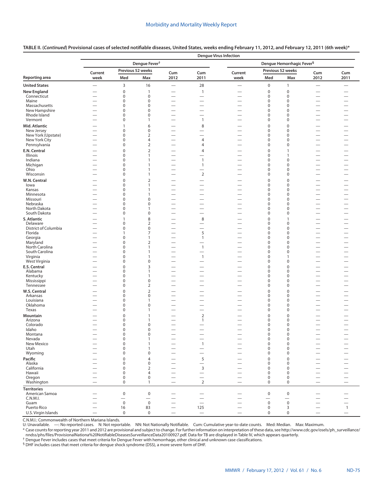|                                     |                                                      |                            | Dengue Fever <sup>†</sup>        |                                                               |                                                      | Dengue Hemorrhagic Fever <sup>§</sup>                |             |                               |                                                             |                                                      |  |  |
|-------------------------------------|------------------------------------------------------|----------------------------|----------------------------------|---------------------------------------------------------------|------------------------------------------------------|------------------------------------------------------|-------------|-------------------------------|-------------------------------------------------------------|------------------------------------------------------|--|--|
|                                     | Current                                              |                            | Previous 52 weeks                | Cum                                                           | Cum                                                  | Current                                              |             | Previous 52 weeks             | Cum                                                         | Cum                                                  |  |  |
| <b>Reporting area</b>               | week                                                 | Med                        | Max                              | 2012                                                          | 2011                                                 | week                                                 | Med         | Max                           | 2012                                                        | 2011                                                 |  |  |
| <b>United States</b>                | $\overline{\phantom{m}}$                             | $\mathsf 3$                | 16                               | $\overline{\phantom{0}}$                                      | 28                                                   |                                                      | $\pmb{0}$   | $\mathbf{1}$                  |                                                             |                                                      |  |  |
| <b>New England</b>                  |                                                      | $\mathbf 0$                | $\overline{1}$                   | $\overline{\phantom{0}}$                                      | $\mathbf{1}$                                         |                                                      | 0           | 0                             |                                                             |                                                      |  |  |
| Connecticut                         | $\overline{\phantom{0}}$                             | $\mathbf 0$                | $\mathbf 0$                      | $\overline{\phantom{0}}$                                      | $\overline{\phantom{m}}$                             | $\overline{\phantom{0}}$                             | 0           | 0                             | $\overline{\phantom{0}}$                                    | $\overline{\phantom{0}}$                             |  |  |
| Maine<br>Massachusetts              | $\overline{\phantom{0}}$<br>$\overline{\phantom{0}}$ | $\mathbf 0$<br>0           | $\mathbf 0$<br>$\mathbf 0$       | $\overline{\phantom{0}}$                                      | -                                                    | $\overline{\phantom{0}}$<br>$\overline{\phantom{0}}$ | 0<br>0      | 0<br>0                        | $\overline{\phantom{0}}$<br>$\overline{\phantom{0}}$        | $\overline{\phantom{0}}$                             |  |  |
| New Hampshire                       | $\overbrace{\phantom{12322111}}$                     | 0                          | $\pmb{0}$                        | $\overbrace{\phantom{12322111}}$                              | $\overline{\phantom{0}}$                             |                                                      | 0           | 0                             | $\overline{\phantom{0}}$                                    | $\overline{\phantom{0}}$                             |  |  |
| Rhode Island                        | $\overline{\phantom{0}}$                             | 0                          | $\pmb{0}$                        | $\overline{\phantom{0}}$                                      |                                                      |                                                      | 0           | 0                             | $\overline{\phantom{0}}$                                    |                                                      |  |  |
| Vermont                             |                                                      | $\pmb{0}$                  | $\mathbf{1}$                     |                                                               | $\mathbf{1}$                                         |                                                      | 0           | 0                             | $\overline{\phantom{0}}$                                    |                                                      |  |  |
| Mid. Atlantic                       |                                                      | 1                          | 6                                |                                                               | 8                                                    | $\hspace{0.1mm}-\hspace{0.1mm}$                      | 0           | $\mathbf 0$                   | $\overline{\phantom{0}}$                                    | $\overline{\phantom{0}}$                             |  |  |
| New Jersey                          |                                                      | $\mathbf 0$                | $\pmb{0}$                        |                                                               | -                                                    |                                                      | 0           | 0                             |                                                             |                                                      |  |  |
| New York (Upstate)<br>New York City | -                                                    | $\mathbf 0$<br>$\mathbf 0$ | $\overline{2}$<br>$\overline{4}$ | $\overline{\phantom{0}}$<br>$\overbrace{\phantom{123221111}}$ | $\overline{4}$                                       | $\overline{\phantom{0}}$                             | 0<br>0      | $\mathbf 0$<br>$\mathbf 0$    | $\overline{\phantom{0}}$                                    | -<br>$\overline{\phantom{0}}$                        |  |  |
| Pennsylvania                        |                                                      | $\mathbf 0$                | $\overline{2}$                   |                                                               | 4                                                    |                                                      | 0           | $\mathbf 0$                   |                                                             | $\overline{\phantom{0}}$                             |  |  |
| E.N. Central                        |                                                      | $\mathbf 0$                | $\overline{2}$                   |                                                               | 4                                                    | $\overline{\phantom{0}}$                             | 0           | $\mathbf{1}$                  | $\overline{\phantom{0}}$                                    | $\overline{\phantom{0}}$                             |  |  |
| Illinois                            | $\overline{\phantom{0}}$                             | 0                          | $\mathbf{1}$                     | $\overline{\phantom{0}}$                                      |                                                      |                                                      | 0           | 1                             | $\overline{\phantom{0}}$                                    | $\overline{\phantom{0}}$                             |  |  |
| Indiana                             | $\overline{\phantom{0}}$                             | 0                          | 1                                | $\overline{\phantom{0}}$                                      | $\mathbf{1}$                                         |                                                      | 0           | 0                             | $\overline{\phantom{0}}$                                    | $\overline{\phantom{0}}$                             |  |  |
| Michigan                            |                                                      | $\mathbf 0$                | $\mathbf{1}$                     |                                                               | $\mathbf{1}$                                         |                                                      | 0           | 0                             | $\overline{\phantom{0}}$                                    |                                                      |  |  |
| Ohio<br>Wisconsin                   | $\overline{\phantom{0}}$                             | $\mathbf 0$<br>$\pmb{0}$   | $\mathbf{1}$<br>1                | $\overline{\phantom{0}}$<br>$\overline{\phantom{0}}$          | $\overline{2}$                                       |                                                      | 0<br>0      | 0<br>0                        | $\overline{\phantom{0}}$<br>$\overline{\phantom{0}}$        | $\overline{\phantom{0}}$<br>$\overline{\phantom{0}}$ |  |  |
|                                     |                                                      | $\mathbf 0$                |                                  |                                                               |                                                      |                                                      | $\mathbf 0$ | $\mathbf 0$                   |                                                             |                                                      |  |  |
| W.N. Central<br>lowa                |                                                      | $\mathbf 0$                | $\overline{2}$<br>$\mathbf{1}$   | $\overbrace{\phantom{123221111}}$                             |                                                      |                                                      | $\mathbf 0$ | $\mathbf 0$                   | -                                                           | $\overline{\phantom{0}}$                             |  |  |
| Kansas                              |                                                      | $\mathbf 0$                | $\mathbf{1}$                     |                                                               |                                                      |                                                      | 0           | $\mathbf 0$                   |                                                             | —                                                    |  |  |
| Minnesota                           |                                                      | $\mathbf 0$                | $\mathbf{1}$                     | $\overline{\phantom{0}}$                                      | $\overline{\phantom{0}}$                             | $\overline{\phantom{0}}$                             | 0           | $\mathbf 0$                   | $\overline{\phantom{0}}$                                    |                                                      |  |  |
| Missouri                            |                                                      | $\mathbf 0$                | $\mathbf 0$                      | $\qquad \qquad$                                               | $\overline{\phantom{0}}$                             | $\overbrace{\phantom{123221111}}$                    | 0           | $\mathbf 0$                   |                                                             | $\overline{\phantom{0}}$                             |  |  |
| Nebraska                            |                                                      | 0                          | $\pmb{0}$                        |                                                               | $\overline{\phantom{0}}$                             |                                                      | 0<br>0      | $\mathbf 0$                   |                                                             |                                                      |  |  |
| North Dakota<br>South Dakota        | $\overline{\phantom{0}}$                             | $\mathbf 0$<br>$\mathbf 0$ | $\mathbf{1}$<br>$\pmb{0}$        | $\overline{\phantom{0}}$<br>$\overline{\phantom{0}}$          | $\overline{\phantom{0}}$                             | $\overline{\phantom{0}}$                             | 0           | $\mathbf 0$<br>0              | $\overline{\phantom{0}}$                                    | —                                                    |  |  |
| S. Atlantic                         | $\overline{\phantom{0}}$                             | $\mathbf{1}$               | $\,8\,$                          | $\overline{\phantom{0}}$                                      | 8                                                    |                                                      | 0           | $\mathbf{1}$                  | $\overline{\phantom{0}}$                                    |                                                      |  |  |
| Delaware                            |                                                      | $\mathbf 0$                | $\overline{2}$                   |                                                               |                                                      | $\overbrace{\phantom{123221111}}$                    | 0           | $\mathbf 0$                   |                                                             | $\overbrace{\phantom{13333}}$                        |  |  |
| District of Columbia                | $\overline{\phantom{0}}$                             | $\pmb{0}$                  | $\pmb{0}$                        | $\overline{\phantom{0}}$                                      |                                                      | $\overline{\phantom{0}}$                             | 0           | $\mathbf 0$                   | $\overline{\phantom{0}}$                                    |                                                      |  |  |
| Florida                             |                                                      | 1                          | $\overline{7}$                   |                                                               | 5                                                    | $\overbrace{\phantom{123221111}}$                    | 0           | $\mathbf 0$                   |                                                             | $\overline{\phantom{0}}$                             |  |  |
| Georgia                             |                                                      | 0                          | $\mathbf{1}$                     | $\overbrace{\phantom{12322111}}$                              | $\mathbf{1}$                                         | $\overline{\phantom{0}}$                             | 0           | 0                             | $\overline{\phantom{0}}$                                    | $\overline{\phantom{0}}$                             |  |  |
| Maryland<br>North Carolina          | $\overline{\phantom{0}}$<br>$\overline{\phantom{0}}$ | $\mathbf 0$<br>$\mathbf 0$ | $\overline{2}$<br>$\mathbf{1}$   | $\overline{\phantom{0}}$<br>$\overline{\phantom{0}}$          | $\mathbf{1}$                                         | $\overline{\phantom{0}}$                             | 0<br>0      | 0<br>0                        | $\overline{\phantom{0}}$<br>$\overline{\phantom{0}}$        | $\overline{\phantom{0}}$<br>$\overline{\phantom{0}}$ |  |  |
| South Carolina                      | $\overline{\phantom{0}}$                             | 0                          | 1                                |                                                               | $\overline{\phantom{0}}$                             | $\overline{\phantom{0}}$                             | 0           | 0                             | $\overline{\phantom{0}}$                                    | $\overline{\phantom{0}}$                             |  |  |
| Virginia                            | $\overline{\phantom{0}}$                             | 0                          | 1                                | $\overline{\phantom{0}}$                                      | $\overline{1}$                                       |                                                      | 0           | 1                             | $\overline{\phantom{0}}$                                    | $\overbrace{\phantom{13333}}$                        |  |  |
| West Virginia                       |                                                      | 0                          | $\pmb{0}$                        | $\overline{\phantom{0}}$                                      |                                                      |                                                      | 0           | $\mathbf 0$                   | $\overline{\phantom{0}}$                                    |                                                      |  |  |
| E.S. Central                        | $\overline{\phantom{0}}$                             | $\mathbf{0}$               | 3                                |                                                               | -                                                    | $\overline{\phantom{0}}$                             | 0           | $\mathbf 0$                   | -                                                           | —                                                    |  |  |
| Alabama                             |                                                      | $\mathbf 0$<br>$\mathbf 0$ | $\mathbf{1}$                     |                                                               | $\overline{\phantom{0}}$                             |                                                      | 0<br>0      | $\mathbf 0$<br>$\mathbf 0$    |                                                             |                                                      |  |  |
| Kentucky<br>Mississippi             |                                                      | $\mathbf 0$                | $\mathbf{1}$<br>$\pmb{0}$        |                                                               | $\overline{\phantom{0}}$<br>$\overline{\phantom{0}}$ | $\overline{\phantom{0}}$                             | 0           | $\mathbf 0$                   | $\overline{\phantom{0}}$                                    | —                                                    |  |  |
| Tennessee                           |                                                      | $\mathbf 0$                | $\overline{2}$                   |                                                               | $\overline{\phantom{0}}$                             |                                                      | 0           | 0                             |                                                             | —                                                    |  |  |
| W.S. Central                        | $\overline{\phantom{0}}$                             | $\mathbf 0$                | $\overline{2}$                   |                                                               |                                                      | $\overline{\phantom{0}}$                             | 0           | $\mathbf 0$                   | -                                                           |                                                      |  |  |
| Arkansas                            | $\overline{\phantom{0}}$                             | $\mathbf 0$                | $\pmb{0}$                        | $\overline{\phantom{0}}$                                      | $\overline{\phantom{0}}$                             | $\overline{\phantom{0}}$                             | 0           | $\mathbf 0$                   | $\overline{\phantom{0}}$                                    | —                                                    |  |  |
| Louisiana                           |                                                      | $\mathbf 0$                | $\mathbf{1}$                     |                                                               | $\overline{\phantom{0}}$                             |                                                      | 0           | $\mathbf 0$                   |                                                             | $\overline{\phantom{0}}$                             |  |  |
| Oklahoma                            |                                                      | 0<br>$\mathbf 0$           | $\pmb{0}$                        |                                                               | $\overline{\phantom{0}}$                             |                                                      | 0<br>0      | 0<br>$\mathbf 0$              |                                                             |                                                      |  |  |
| Texas<br>Mountain                   | $\overline{\phantom{0}}$                             | $\mathbf 0$                | $\mathbf{1}$<br>$\mathbf{1}$     | $\overline{\phantom{0}}$                                      | $\overline{\phantom{0}}$<br>$\overline{2}$           | $\overline{\phantom{0}}$                             | 0           | $\mathbf 0$                   | -                                                           |                                                      |  |  |
| Arizona                             |                                                      | 0                          | $\mathbf{1}$                     | $\overbrace{\phantom{123221111}}$                             | $\mathbf{1}$                                         | $\overline{\phantom{0}}$                             | 0           | $\mathbf 0$                   | -                                                           | —                                                    |  |  |
| Colorado                            |                                                      | 0                          | $\mathbf 0$                      |                                                               |                                                      |                                                      | 0           | 0                             | $\overline{\phantom{0}}$                                    |                                                      |  |  |
| Idaho                               |                                                      | $\mathbf 0$                | $\mathbf 0$                      |                                                               | $\overline{\phantom{0}}$                             | $\overline{\phantom{0}}$                             | 0           | $\mathbf 0$                   | $\overline{\phantom{0}}$                                    | $\overline{\phantom{0}}$                             |  |  |
| Montana                             | $\sim$                                               | 0                          | 0                                | —                                                             |                                                      |                                                      | 0           | 0                             | –                                                           |                                                      |  |  |
| Nevada<br>New Mexico                | $\overline{\phantom{0}}$                             | 0<br>$\mathsf 0$           | $\mathbf{1}$<br>$\mathbf{1}$     | $\overline{\phantom{0}}$                                      | $\mathbf{1}$                                         | $\overline{\phantom{0}}$<br>$\equiv$                 | 0<br>0      | $\pmb{0}$<br>$\boldsymbol{0}$ | $\qquad \qquad -$<br>$\overline{\phantom{0}}$               | $\equiv$                                             |  |  |
| Utah                                |                                                      | 0                          | $\mathbf{1}$                     | $\overline{\phantom{0}}$                                      |                                                      |                                                      | 0           | $\mathbf 0$                   | $\overline{\phantom{0}}$                                    |                                                      |  |  |
| Wyoming                             |                                                      | 0                          | $\pmb{0}$                        | $\overline{\phantom{0}}$                                      | $\overline{\phantom{0}}$                             |                                                      | 0           | $\mathbf 0$                   | $\overline{\phantom{0}}$                                    |                                                      |  |  |
| Pacific                             |                                                      | 0                          | $\overline{4}$                   |                                                               | 5                                                    |                                                      | 0           | $\mathbf 0$                   |                                                             |                                                      |  |  |
| Alaska                              |                                                      | 0                          | $\pmb{0}$                        | $\overline{\phantom{0}}$                                      | $\overbrace{\phantom{12322111}}$                     |                                                      | 0           | $\mathbf 0$                   | $\overline{\phantom{0}}$                                    |                                                      |  |  |
| California                          |                                                      | 0                          | $\overline{2}$                   | $\overbrace{\phantom{12332}}$                                 | $\mathsf 3$                                          |                                                      | 0           | $\mathbf 0$                   | $\overline{\phantom{0}}$                                    |                                                      |  |  |
| Hawaii<br>Oregon                    | $\overline{\phantom{0}}$<br>$\overline{\phantom{0}}$ | 0<br>$\mathbf 0$           | 4<br>$\mathbf 0$                 | $\overbrace{\phantom{12322111}}$<br>$\qquad \qquad$           | $\overline{\phantom{0}}$                             | $\overline{\phantom{0}}$                             | 0<br>0      | $\mathbf 0$<br>$\mathbf 0$    | $\overbrace{\phantom{1232211}}$<br>$\overline{\phantom{0}}$ | $\overline{\phantom{0}}$                             |  |  |
| Washington                          | $\overline{\phantom{0}}$                             | $\mathsf 0$                | $\mathbf{1}$                     | $\equiv$                                                      | $\overline{2}$                                       | $\overline{\phantom{0}}$                             | 0           | 0                             |                                                             |                                                      |  |  |
| <b>Territories</b>                  |                                                      |                            |                                  |                                                               |                                                      |                                                      |             |                               |                                                             |                                                      |  |  |
| American Samoa                      |                                                      | $\mathbf 0$                | $\mathsf 0$                      |                                                               |                                                      |                                                      | $\mathbf 0$ | $\mathsf 0$                   | $\overline{\phantom{0}}$                                    |                                                      |  |  |
| C.N.M.I.                            |                                                      | $\overline{\phantom{0}}$   | $\overline{\phantom{0}}$         | $\overbrace{\phantom{12322111}}$                              |                                                      | $\overline{\phantom{0}}$                             |             | $\overline{\phantom{0}}$      | $\overline{\phantom{0}}$                                    |                                                      |  |  |
| Guam                                | $\overline{\phantom{0}}$                             | $\mathbf 0$                | $\mathbf 0$                      | $\overbrace{\phantom{12322111}}$                              | $\equiv$                                             | $\overline{\phantom{0}}$                             | $\pmb{0}$   | $\mathbf 0$                   | $\overline{\phantom{0}}$                                    |                                                      |  |  |
| Puerto Rico                         | $\overline{\phantom{0}}$                             | 16                         | 83                               | $\overline{\phantom{0}}$                                      | 125                                                  | $\overline{\phantom{0}}$                             | $\mathsf 0$ | 3                             | $\overline{\phantom{0}}$                                    | $\mathbf{1}$                                         |  |  |
| U.S. Virgin Islands                 | $\qquad \qquad$                                      | $\mathbf 0$                | $\mathbf 0$                      | $\overline{\phantom{m}}$                                      | $\overline{\phantom{m}}$                             | $\qquad \qquad -$                                    | $\mathsf 0$ | 0                             |                                                             | $\overline{\phantom{m}}$                             |  |  |

# **TABLE II. (***Continued***) Provisional cases of selected notifiable diseases, United States, weeks ending February 11, 2012, and February 12, 2011 (6th week)\***

C.N.M.I.: Commonwealth of Northern Mariana Islands.

U: Unavailable. —: No reported cases. N: Not reportable. NN: Not Nationally Notifiable. Cum: Cumulative year-to-date counts. Med: Median. Max: Maximum.

\* Case counts for reporting year 2011 and 2012 are provisional and subject to change. For further information on interpretation of these data, see [http://www.cdc.gov/osels/ph\\_surveillance/](http://www.cdc.gov/osels/ph_surveillance/nndss/phs/files/ProvisionalNationa%20NotifiableDiseasesSurveillanceData20100927.pdf) [nndss/phs/files/ProvisionalNationa%20NotifiableDiseasesSurveillanceData20100927.pdf.](http://www.cdc.gov/osels/ph_surveillance/nndss/phs/files/ProvisionalNationa%20NotifiableDiseasesSurveillanceData20100927.pdf) Data for TB are displayed in Table IV, which appears quarterly.

† Dengue Fever includes cases that meet criteria for Dengue Fever with hemorrhage, other clinical and unknown case classifications.

§ DHF includes cases that meet criteria for dengue shock syndrome (DSS), a more severe form of DHF.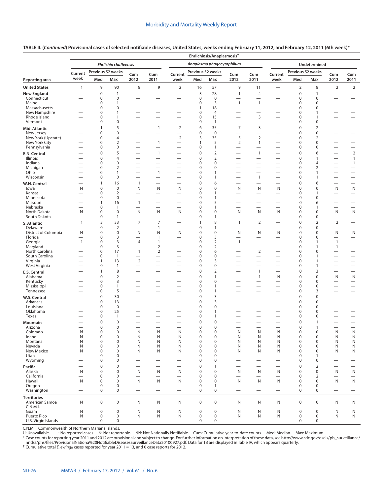| TABLE II. ( <i>Continued</i> ) Provisional cases of selected notifiable diseases, United States, weeks ending February 11, 2012, and February 12, 2011 (6th week)* |  |  |
|--------------------------------------------------------------------------------------------------------------------------------------------------------------------|--|--|
|                                                                                                                                                                    |  |  |

|                                     |                                                      |                             |                       |                                                      |                                                      |                                                      |                        | Ehrlichiosis/Anaplasmosis <sup>+</sup> |                                                               |                                                      |                                                      |                                 |                                       |                                        |                                                              |
|-------------------------------------|------------------------------------------------------|-----------------------------|-----------------------|------------------------------------------------------|------------------------------------------------------|------------------------------------------------------|------------------------|----------------------------------------|---------------------------------------------------------------|------------------------------------------------------|------------------------------------------------------|---------------------------------|---------------------------------------|----------------------------------------|--------------------------------------------------------------|
|                                     |                                                      |                             | Ehrlichia chaffeensis |                                                      |                                                      |                                                      |                        | Anaplasma phagocytophilum              |                                                               |                                                      | Undetermined                                         |                                 |                                       |                                        |                                                              |
|                                     | Current                                              |                             | Previous 52 weeks     | Cum                                                  | Cum                                                  | Current                                              | Previous 52 weeks      |                                        | Cum                                                           | Cum                                                  | Current                                              | Previous 52 weeks               |                                       | Cum                                    | Cum                                                          |
| Reporting area                      | week                                                 | Med                         | Max                   | 2012                                                 | 2011                                                 | week                                                 | Med                    | Max                                    | 2012                                                          | 2011                                                 | week                                                 | Med                             | Max                                   | 2012                                   | 2011                                                         |
| <b>United States</b>                | $\mathbf{1}$                                         | 9                           | 90                    | 8                                                    | 9                                                    | $\overline{2}$                                       | 16                     | 57                                     | 9                                                             | 11                                                   | $\overline{\phantom{0}}$                             | $\overline{2}$                  | 8                                     | $\overline{2}$                         | $\overline{2}$                                               |
| New England                         |                                                      | $\pmb{0}$                   | $\mathbf{1}$          | $\overline{\phantom{0}}$                             | $\overline{\phantom{0}}$                             | $\overline{\phantom{0}}$                             | 3                      | 28                                     | $\mathbf{1}$                                                  | $\overline{4}$                                       |                                                      | $\mathbf 0$                     | $\mathbf{1}$                          | $\overline{\phantom{0}}$               | $\overline{\phantom{0}}$                                     |
| Connecticut<br>Maine                | $\overline{\phantom{0}}$                             | 0<br>0                      | 0<br>1                | $\overline{\phantom{0}}$                             | $\overline{\phantom{0}}$<br>$\overline{\phantom{0}}$ | $\overline{\phantom{0}}$                             | $\pmb{0}$<br>$\pmb{0}$ | $\mathbf 0$<br>3                       | $\overline{\phantom{0}}$<br>$\mathbf{1}$                      | $\overline{\phantom{0}}$<br>$\mathbf{1}$             |                                                      | 0<br>0                          | 0<br>0                                | $\overline{\phantom{0}}$               | $\overline{\phantom{0}}$<br>$\overbrace{\phantom{1232211}}$  |
| Massachusetts                       |                                                      | 0                           | $\mathbf 0$           | $\overline{\phantom{0}}$                             |                                                      | $\overline{\phantom{0}}$                             | 1                      | 18                                     |                                                               |                                                      | $\overline{\phantom{0}}$                             | $\mathbf 0$                     | 0                                     |                                        | $\overline{\phantom{m}}$                                     |
| New Hampshire<br>Rhode Island       |                                                      | 0                           | 1                     | $\overline{\phantom{0}}$                             | $\overline{\phantom{0}}$                             |                                                      | 0                      | $\overline{4}$                         |                                                               |                                                      |                                                      | 0                               | $\mathbf{1}$                          | $\overline{\phantom{0}}$               | $\qquad \qquad -$                                            |
| Vermont                             |                                                      | 0<br>$\pmb{0}$              | 1<br>0                | —<br>$\overline{\phantom{0}}$                        | —                                                    | —                                                    | 0<br>0                 | 15<br>$\mathbf{1}$                     | $\overline{\phantom{0}}$                                      | $\overline{3}$<br>$\overline{\phantom{0}}$           | $\overline{\phantom{0}}$<br>$\overline{\phantom{0}}$ | 0<br>0                          | 1<br>0                                | —                                      | $\overbrace{\phantom{12322111}}$<br>$\overline{\phantom{m}}$ |
| Mid. Atlantic                       |                                                      | 1                           | 5                     | $\overline{\phantom{0}}$                             | $\mathbf{1}$                                         | $\mathbf 2$                                          | 6                      | 35                                     | $\overline{7}$                                                | 3                                                    |                                                      | $\mathbf 0$                     | $\overline{2}$                        | $\overline{\phantom{0}}$               | $\overline{\phantom{0}}$                                     |
| New Jersey                          | $\overline{\phantom{0}}$                             | $\mathbf 0$                 | 0                     | $\overline{\phantom{0}}$                             | $\overline{\phantom{0}}$                             | $\overline{\phantom{0}}$                             | 0                      | $\mathbf 0$                            | $\overline{\phantom{0}}$                                      | $\overline{\phantom{0}}$                             | —                                                    | $\pmb{0}$                       | 0                                     |                                        | $\overline{\phantom{0}}$                                     |
| New York (Upstate)<br>New York City |                                                      | 0<br>$\pmb{0}$              | 4<br>$\overline{2}$   | $\overline{\phantom{0}}$<br>$\equiv$                 | $\overline{\phantom{0}}$<br>$\mathbf{1}$             | $\mathbf 2$<br>$\overline{\phantom{0}}$              | 3<br>1                 | 35<br>5                                | 5<br>$\overline{2}$                                           | $\sqrt{2}$<br>$\mathbf{1}$                           | $\overline{\phantom{0}}$                             | $\mathbf 0$<br>$\pmb{0}$        | 2<br>0                                | $\overline{\phantom{0}}$               | $\qquad \qquad -$                                            |
| Pennsylvania                        | $\overline{\phantom{0}}$                             | 0                           | 0                     | $\overline{\phantom{0}}$                             | $\overline{\phantom{0}}$                             | $\overline{\phantom{0}}$                             | 0                      | 1                                      | $\overline{\phantom{0}}$                                      | $\overline{\phantom{0}}$                             | $\overline{\phantom{0}}$                             | 0                               | 0                                     | $\overline{\phantom{0}}$               | $\overline{\phantom{0}}$                                     |
| E.N. Central                        | $\overline{\phantom{0}}$                             | $\mathbf 0$                 | 5                     | $\overline{\phantom{0}}$                             | $\mathbf{1}$                                         |                                                      | 0                      | $\overline{2}$                         | $\overbrace{\phantom{12322111}}$                              | $\overline{1}$                                       | $\overline{\phantom{0}}$                             | $\mathbf 0$                     | 6                                     |                                        | $\overline{2}$                                               |
| Illinois                            |                                                      | $\mathbf 0$                 | $\overline{4}$        |                                                      | —                                                    |                                                      | $\mathbf 0$            | $\overline{2}$                         | $\overline{\phantom{0}}$                                      |                                                      |                                                      | $\mathbf 0$                     | 1                                     | —                                      | $\mathbf{1}$                                                 |
| Indiana<br>Michigan                 | $\overline{\phantom{0}}$                             | 0<br>0                      | 0<br>$\overline{2}$   | $\overline{\phantom{0}}$                             | $\overline{\phantom{0}}$                             | $\overline{\phantom{0}}$<br>$\overline{\phantom{0}}$ | 0<br>0                 | 0<br>0                                 | $\overbrace{\phantom{123221111}}$<br>$\overline{\phantom{0}}$ | $\overline{\phantom{0}}$<br>$\overline{\phantom{0}}$ |                                                      | 0<br>$\mathbf 0$                | 4<br>2                                |                                        | $\mathbf{1}$<br>$\hspace{0.1mm}-\hspace{0.1mm}$              |
| Ohio                                |                                                      | 0                           | 1                     | $\equiv$                                             | $\mathbf{1}$                                         | $\overline{\phantom{0}}$                             | 0                      | 1                                      |                                                               |                                                      |                                                      | 0                               | $\mathbf{1}$                          | $\overline{\phantom{0}}$               | $\qquad \qquad -$                                            |
| Wisconsin                           | $\overline{\phantom{0}}$                             | 0                           | 0                     | $\overline{\phantom{0}}$                             | $\overline{\phantom{0}}$                             |                                                      | 0                      | $\mathbf{1}$                           |                                                               | $\mathbf{1}$                                         | $\overline{\phantom{0}}$                             | $\pmb{0}$                       | 1                                     | $\overline{\phantom{0}}$               | $\overline{\phantom{m}}$                                     |
| W.N. Central                        | $\overline{\phantom{0}}$                             | 1<br>$\mathbf 0$            | 16<br>$\mathbf 0$     | $\mathbf{1}$                                         | $\overline{\phantom{0}}$                             | $\overline{\phantom{0}}$                             | 0<br>$\mathbf 0$       | 6<br>$\mathbf 0$                       | $\overline{\phantom{0}}$                                      |                                                      |                                                      | $\boldsymbol{0}$                | 6                                     |                                        | $\overline{\phantom{m}}$                                     |
| lowa<br>Kansas                      | N<br>$\overline{\phantom{0}}$                        | 0                           | $\overline{2}$        | N                                                    | N                                                    | N<br>$\overline{\phantom{0}}$                        | 0                      | 1                                      | N<br>$\overline{\phantom{0}}$                                 | N<br>$\overline{\phantom{0}}$                        | N<br>$\overline{\phantom{0}}$                        | $\mathbf 0$<br>0                | $\mathbf 0$<br>$\mathbf{1}$           | N                                      | N<br>$\overline{\phantom{m}}$                                |
| Minnesota                           |                                                      | 0                           | 0                     | $\overline{\phantom{0}}$                             |                                                      | $\overline{\phantom{0}}$                             | 0                      | 1                                      |                                                               | $\overline{\phantom{0}}$                             | $\overline{\phantom{0}}$                             | 0                               | 0                                     |                                        | $\overline{\phantom{0}}$                                     |
| Missouri<br>Nebraska                | $\overline{\phantom{0}}$<br>$\overline{\phantom{0}}$ | 1                           | 16<br>1               | $\mathbf{1}$                                         |                                                      | $\overline{\phantom{0}}$                             | 0<br>0                 | 5<br>$\mathbf{1}$                      |                                                               | $\overline{\phantom{0}}$                             | $\overline{\phantom{0}}$                             | $\boldsymbol{0}$                | 6                                     | $\overline{\phantom{0}}$               |                                                              |
| North Dakota                        | N                                                    | 0<br>0                      | 0                     | $\overline{\phantom{0}}$<br>N                        | $\overline{\phantom{0}}$<br>N                        | N                                                    | 0                      | 0                                      | $\overline{\phantom{0}}$<br>N                                 | N                                                    | $\overline{\phantom{0}}$<br>N                        | 0<br>0                          | 1<br>0                                | N                                      | $\overline{\phantom{m}}$<br>N                                |
| South Dakota                        |                                                      | $\pmb{0}$                   | $\mathbf{1}$          | $\overline{\phantom{0}}$                             |                                                      |                                                      | 0                      | 1                                      |                                                               |                                                      |                                                      | $\mathbf 0$                     | 0                                     | $\overline{\phantom{0}}$               | $\overline{\phantom{m}}$                                     |
| S. Atlantic                         | $\mathbf{1}$                                         | 3                           | 33                    | $\overline{7}$                                       | $\overline{7}$                                       |                                                      | $\mathbf{1}$           | 8                                      | $\mathbf{1}$                                                  | $\overline{2}$                                       | $\overline{\phantom{0}}$                             | $\boldsymbol{0}$                | 2                                     | $\overline{2}$                         |                                                              |
| Delaware<br>District of Columbia    | N                                                    | $\mathbf 0$<br>$\pmb{0}$    | $\overline{2}$<br>0   | $\overline{\phantom{0}}$<br>N                        | $\mathbf{1}$<br>N                                    | $\overline{\phantom{0}}$<br>N                        | 0<br>0                 | $\mathbf{1}$<br>0                      | $\overline{\phantom{0}}$<br>N                                 | $\overline{\phantom{0}}$<br>N                        | $\overline{\phantom{0}}$<br>N                        | $\mathbf 0$<br>$\boldsymbol{0}$ | 0<br>0                                | $\overline{\phantom{m}}$<br>N          | N                                                            |
| Florida                             | $\overline{\phantom{0}}$                             | 0                           | 3                     | $\overline{\phantom{0}}$                             | $\mathbf{1}$                                         | $\overline{\phantom{0}}$                             | 0                      | 3                                      | $\overline{\phantom{0}}$                                      |                                                      | $\overline{\phantom{0}}$                             | $\mathbf 0$                     | 0                                     |                                        | $\hspace{0.1mm}-\hspace{0.1mm}$                              |
| Georgia                             | $\overline{1}$                                       | 0                           | 3                     | 4                                                    | $\mathbf{1}$                                         | $\overline{\phantom{0}}$                             | 0                      | $\overline{2}$                         | $\mathbf{1}$                                                  | $\overline{\phantom{0}}$                             | $\overline{\phantom{0}}$                             | 0                               | $\mathbf{1}$                          | $\mathbf{1}$                           | $\overbrace{\phantom{1232211}}$                              |
| Maryland<br>North Carolina          | $\overline{\phantom{0}}$                             | 0<br>0                      | 3<br>17               | $\overline{\phantom{0}}$<br>$\mathbf{1}$             | $\overline{2}$<br>$\overline{2}$                     | $\overline{\phantom{0}}$                             | 0<br>0                 | $\mathbf 2$<br>6                       | $\overline{\phantom{0}}$                                      | 2                                                    | $\overline{\phantom{0}}$                             | $\mathbf 0$<br>0                | $\mathbf{1}$<br>0                     | $\mathbf{1}$                           | $\overbrace{\phantom{1232211}}$<br>$\overline{\phantom{0}}$  |
| South Carolina                      | $\overline{\phantom{0}}$                             | 0                           | $\mathbf{1}$          | $\overline{\phantom{0}}$                             | $\overline{\phantom{0}}$                             | $\overline{\phantom{0}}$                             | 0                      | 0                                      |                                                               |                                                      | —                                                    | 0                               | 1                                     | —                                      | $\overbrace{\phantom{12322111}}$                             |
| Virginia                            |                                                      | 1                           | 13                    | $\overline{2}$                                       | $\overline{\phantom{0}}$                             | $\overline{\phantom{0}}$                             | 0                      | 3                                      | $\overline{\phantom{0}}$                                      |                                                      | $\overline{\phantom{0}}$                             | 0                               | 1                                     |                                        | $\overbrace{\phantom{1232211}}$                              |
| West Virginia                       |                                                      | $\mathbf 0$<br>$\mathbf{1}$ | $\mathbf{1}$<br>8     | $\overline{\phantom{0}}$                             | $\overline{\phantom{0}}$<br>—                        | $\overline{\phantom{0}}$<br>$\overline{\phantom{0}}$ | 0<br>0                 | 0<br>$\overline{2}$                    | $\overline{\phantom{0}}$<br>$\overline{\phantom{0}}$          | $\mathbf{1}$                                         | $\overline{\phantom{0}}$<br>$\overline{\phantom{0}}$ | $\mathbf 0$<br>$\mathbf 0$      | $\mathbf{1}$<br>3                     |                                        | $\overline{\phantom{m}}$<br>$\overline{\phantom{m}}$         |
| E.S. Central<br>Alabama             |                                                      | $\mathbf 0$                 | $\overline{2}$        |                                                      |                                                      |                                                      | 0                      | $\mathbf{1}$                           |                                                               | $\mathbf{1}$                                         | N                                                    | $\mathbf 0$                     | 0                                     | N                                      | N                                                            |
| Kentucky                            | $\overline{\phantom{0}}$                             | $\pmb{0}$                   | 3                     | $\overline{\phantom{0}}$                             | $\overline{\phantom{0}}$                             | $\overline{\phantom{0}}$                             | 0                      | 0                                      | $\overline{\phantom{0}}$                                      | $\overline{\phantom{0}}$                             | $\overline{\phantom{0}}$                             | 0                               | 0                                     | $\overline{\phantom{0}}$               | $\overline{\phantom{m}}$                                     |
| Mississippi<br>Tennessee            | $\overline{\phantom{0}}$                             | 0<br>0                      | $\mathbf{1}$<br>5     | $\overline{\phantom{0}}$<br>$\overline{\phantom{0}}$ | $\overline{\phantom{0}}$                             | $\overline{\phantom{0}}$                             | 0<br>0                 | $\mathbf{1}$<br>$\mathbf{1}$           | $\overline{\phantom{0}}$                                      |                                                      | $\overline{\phantom{0}}$<br>$\overline{\phantom{0}}$ | 0<br>$\mathbf 0$                | 0<br>3                                | $\overline{\phantom{0}}$               | $\overline{\phantom{m}}$<br>$\overbrace{\phantom{12322111}}$ |
| W.S. Central                        |                                                      | $\pmb{0}$                   | 30                    |                                                      |                                                      |                                                      | 0                      | 3                                      |                                                               |                                                      |                                                      | $\pmb{0}$                       | 0                                     |                                        |                                                              |
| Arkansas                            | $\overline{\phantom{0}}$                             | $\mathbf 0$                 | 13                    | $\overline{\phantom{0}}$                             | $\overline{\phantom{0}}$                             | $\overline{\phantom{0}}$                             | 0                      | 3                                      | $\overline{\phantom{0}}$                                      |                                                      | $\overline{\phantom{0}}$                             | $\pmb{0}$                       | 0                                     |                                        |                                                              |
| Louisiana                           |                                                      | $\pmb{0}$                   | $\mathbf 0$           | $\overline{\phantom{0}}$                             |                                                      |                                                      | 0                      | 0                                      |                                                               |                                                      | $\overline{\phantom{0}}$                             | 0                               | 0                                     | $\overline{\phantom{0}}$               |                                                              |
| Oklahoma<br>Texas                   | $\overline{\phantom{0}}$                             | 0<br>0                      | 25<br>$\mathbf{1}$    | $\overline{\phantom{0}}$<br>—                        | $\overline{\phantom{0}}$                             | $\overline{\phantom{0}}$<br>$\overline{\phantom{0}}$ | 0<br>0                 | 1<br>$\mathbf{1}$                      | $\overline{\phantom{0}}$                                      |                                                      | $\overline{\phantom{0}}$<br>$\overline{\phantom{0}}$ | 0<br>$\mathbf 0$                | 0<br>0                                | $\overline{\phantom{0}}$<br>—          | $\overline{\phantom{0}}$                                     |
| Mountain                            |                                                      | $\mathbf 0$                 | 0                     | $\overline{\phantom{0}}$                             | —                                                    | -                                                    | 0                      | 0                                      |                                                               |                                                      | —                                                    | $\mathbf 0$                     | 1                                     |                                        |                                                              |
| Arizona                             | $\overline{\phantom{0}}$                             | $\pmb{0}$                   | 0                     | $\overline{\phantom{0}}$                             |                                                      | $\overline{\phantom{0}}$                             | 0                      | 0                                      | $\overline{\phantom{0}}$                                      |                                                      | $\overline{\phantom{0}}$                             | $\mathbf 0$                     | 1                                     |                                        |                                                              |
| Colorado                            | N                                                    | 0                           | $\mathbf 0$           | N                                                    | N                                                    | N                                                    | 0                      | $\Omega$                               | N                                                             | N                                                    | N                                                    | $\Omega$                        | $\mathbf 0$                           | N                                      | N                                                            |
| Idaho<br>Montana                    | N<br>N                                               | 0<br>0                      | 0<br>0                | N<br>N                                               | Ν<br>N                                               | N<br>N                                               | $\pmb{0}$<br>$\pmb{0}$ | $\mathbf 0$<br>$\mathbf 0$             | N<br>N                                                        | N<br>N                                               | N<br>N                                               | $\mathbf 0$<br>$\mathbf 0$      | $\boldsymbol{0}$<br>$\boldsymbol{0}$  | N<br>N                                 | N<br>${\sf N}$                                               |
| Nevada                              | N                                                    | $\pmb{0}$                   | 0                     | N                                                    | N                                                    | N                                                    | 0                      | 0                                      | N                                                             | N                                                    | N                                                    | $\mathbf 0$                     | 0                                     | N                                      | ${\sf N}$                                                    |
| New Mexico<br>Utah                  | N                                                    | $\pmb{0}$<br>$\mathbf 0$    | 0<br>0                | N<br>$\overline{\phantom{0}}$                        | N<br>—                                               | N<br>$\overline{\phantom{0}}$                        | 0<br>0                 | 0<br>0                                 | N<br>$\overline{\phantom{0}}$                                 | N<br>$\overline{\phantom{0}}$                        | N<br>—                                               | $\mathbf 0$<br>$\mathbf 0$      | $\boldsymbol{0}$<br>$\mathbf{1}$      | N<br>$\overline{\phantom{0}}$          | N                                                            |
| Wyoming                             |                                                      | 0                           | 0                     |                                                      |                                                      |                                                      | 0                      | 0                                      |                                                               |                                                      |                                                      | $\mathbf 0$                     | $\boldsymbol{0}$                      |                                        | $\overbrace{\phantom{123221111}}$                            |
| Pacific                             |                                                      | $\mathbf 0$                 | $\mathbf 0$           | $\overline{\phantom{0}}$                             |                                                      | $\overline{\phantom{0}}$                             | 0                      | $\mathbf{1}$                           |                                                               |                                                      |                                                      | $\mathbf 0$                     | $\overline{2}$                        |                                        | $\overline{\phantom{m}}$                                     |
| Alaska                              | N                                                    | $\mathbf 0$                 | $\mathbf 0$           | N                                                    | N                                                    | N                                                    | 0                      | 0                                      | N                                                             | N                                                    | N                                                    | $\mathbf 0$                     | $\pmb{0}$                             | N                                      | N                                                            |
| California<br>Hawaii                | $\overline{\phantom{0}}$<br>N                        | 0<br>$\pmb{0}$              | 0<br>0                | N                                                    | N                                                    | $\overline{\phantom{0}}$<br>N                        | 0<br>0                 | 0<br>$\mathbf 0$                       | $\overline{\phantom{0}}$<br>N                                 | $\overline{\phantom{0}}$<br>N                        | $\overline{\phantom{0}}$<br>N                        | $\mathbf 0$<br>$\mathbf 0$      | $\overline{2}$<br>$\boldsymbol{0}$    | N                                      | $\overline{\phantom{m}}$<br>N                                |
| Oregon                              |                                                      | 0                           | 0                     |                                                      |                                                      |                                                      | $\pmb{0}$              | $\mathbf{1}$                           | $\overbrace{\phantom{123221111}}$                             | $\overline{\phantom{m}}$                             |                                                      | $\mathbf 0$                     | $\boldsymbol{0}$                      |                                        | $\overline{\phantom{m}}$                                     |
| Washington                          |                                                      | $\mathbf 0$                 | $\mathbf 0$           |                                                      |                                                      |                                                      | $\mathbf 0$            | 0                                      | $\overbrace{\phantom{123221111}}$                             |                                                      | $\overline{\phantom{0}}$                             | $\mathbf 0$                     | 0                                     |                                        | $\overline{\phantom{m}}$                                     |
| <b>Territories</b>                  |                                                      |                             |                       |                                                      |                                                      |                                                      |                        |                                        |                                                               |                                                      |                                                      |                                 |                                       |                                        |                                                              |
| American Samoa<br>C.N.M.I.          | N<br>$\overline{\phantom{0}}$                        | 0                           | $\pmb{0}$             | N<br>$\overline{\phantom{0}}$                        | Ν<br>$\overline{\phantom{0}}$                        | N<br>$\overline{\phantom{0}}$                        | $\mathbf 0$            | $\boldsymbol{0}$                       | N<br>$\overbrace{\phantom{12322111}}$                         | N<br>$\overline{\phantom{0}}$                        | N                                                    | $\boldsymbol{0}$<br>-           | $\pmb{0}$<br>$\overline{\phantom{0}}$ | N<br>$\overbrace{\phantom{123221111}}$ | N<br>$\overbrace{\phantom{12322111}}$                        |
| Guam                                | $\mathsf{N}$                                         | $\mathsf 0$                 | $\pmb{0}$             | $\mathsf{N}$                                         | N                                                    | $\mathsf{N}$                                         | $\pmb{0}$              | $\mathbf 0$                            | $\mathsf{N}$                                                  | $\mathsf{N}$                                         | N                                                    | $\pmb{0}$                       | $\pmb{0}$                             | $\mathsf{N}$                           | $\mathsf{N}$                                                 |
| Puerto Rico<br>U.S. Virgin Islands  | N<br>$\overbrace{\phantom{1232211}}$                 | 0<br>0                      | $\pmb{0}$<br>0        | N<br>$\overline{\phantom{0}}$                        | Ν                                                    | N<br>$\overline{\phantom{m}}$                        | 0<br>$\mathbf 0$       | 0<br>0                                 | N<br>$\overline{\phantom{0}}$                                 | N<br>$\overline{\phantom{0}}$                        | Ν<br>$\qquad \qquad$                                 | $\mathbf 0$<br>0                | $\boldsymbol{0}$<br>0                 | N<br>$\overline{\phantom{m}}$          | N<br>$\overline{\phantom{0}}$                                |

C.N.M.I.: Commonwealth of Northern Mariana Islands.

U: Unavailable. —: No reported cases. N: Not reportable. NN: Not Nationally Notifiable. Cum: Cumulative year-to-date counts. Med: Median. Max: Maximum.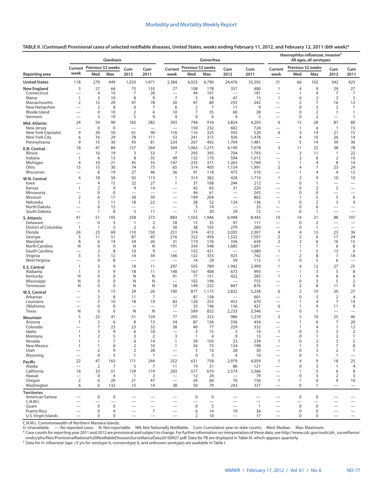**TABLE II. (***Continued***) Provisional cases of selected notifiable diseases, United States, weeks ending February 11, 2012, and February 12, 2011 (6th week)\***

|                                      |                          |                                  | Giardiasis                 |                                                      |                                            |                                                      | Gonorrhea                |                          |                                 |                          |                                                      | Haemophilus influenzae, invasive <sup>†</sup><br>All ages, all serotypes |                                  |                          |                              |  |  |
|--------------------------------------|--------------------------|----------------------------------|----------------------------|------------------------------------------------------|--------------------------------------------|------------------------------------------------------|--------------------------|--------------------------|---------------------------------|--------------------------|------------------------------------------------------|--------------------------------------------------------------------------|----------------------------------|--------------------------|------------------------------|--|--|
|                                      |                          | Current Previous 52 weeks        |                            | Cum                                                  | Cum                                        | Current                                              | Previous 52 weeks        |                          | Cum                             | Cum                      | Current                                              | Previous 52 weeks                                                        |                                  | Cum                      | Cum                          |  |  |
| Reporting area                       | week                     | Med                              | Max                        | 2012                                                 | 2011                                       | week                                                 | Med                      | Max                      | 2012                            | 2011                     | week                                                 | Med                                                                      | Max                              | 2012                     | 2011                         |  |  |
| <b>United States</b>                 | 118                      | 279                              | 449                        | 1,033                                                | 1,471                                      | 2,384                                                | 6,025                    | 6,790                    | 24,476                          | 35,392                   | 31                                                   | 66                                                                       | 102                              | 342                      | 425                          |  |  |
| <b>New England</b>                   | 3                        | 27                               | 64                         | 75                                                   | 135                                        | 77                                                   | 108                      | 178                      | 357                             | 480                      | $\mathbf{1}$                                         | $\overline{4}$                                                           | 9                                | 29                       | 27                           |  |  |
| Connecticut<br>Maine                 | $\mathbf{1}$             | $\overline{4}$<br>3              | 10<br>10                   | 7<br>8                                               | 26<br>9                                    | $\overline{7}$                                       | 44<br>5                  | 101<br>18                | 47                              | 181<br>15                | $\mathbf{1}$                                         | $\overline{1}$<br>0                                                      | 4<br>$\overline{2}$              | 7<br>3                   | $\overline{7}$<br>5          |  |  |
| Massachusetts                        | 2                        | 12                               | 29                         | 47                                                   | 78                                         | 50                                                   | 47                       | 80                       | 235                             | 242                      | $\overline{\phantom{0}}$                             | 2                                                                        | 7                                | 16                       | 12                           |  |  |
| New Hampshire                        |                          | $\overline{2}$                   | 8                          | 6                                                    | 7                                          | 6                                                    | $\overline{2}$           | 7                        | 11                              | 9                        | $\overline{\phantom{0}}$                             | $\mathbf 0$                                                              | 2                                | 2                        | $\mathbf{1}$                 |  |  |
| Rhode Island<br>Vermont              | $\overline{\phantom{0}}$ | $\mathbf 0$<br>3                 | 10<br>19                   | $\overline{2}$<br>5                                  | 6<br>9                                     | 10<br>$\overline{4}$                                 | 7<br>$\mathbf 0$         | 35<br>6                  | 60<br>$\overline{4}$            | 28<br>5                  | $\overline{\phantom{0}}$<br>-                        | $\mathbf 0$<br>$\mathbf 0$                                               | $\overline{2}$<br>$\overline{2}$ | $\mathbf{1}$             | $\mathbf{1}$<br>$\mathbf{1}$ |  |  |
| Mid. Atlantic                        | 24                       | 54                               | 90                         | 182                                                  | 282                                        | 393                                                  | 744                      | 916                      | 3,824                           | 4,203                    | 6                                                    | 15                                                                       | 28                               | 87                       | 80                           |  |  |
| New Jersey                           |                          | $\mathbf 0$                      | $\mathbf 0$                | $\overline{\phantom{0}}$                             |                                            | $\overline{\phantom{0}}$                             | 150                      | 232                      | 602                             | 724                      | $\overline{\phantom{0}}$                             | $\overline{1}$                                                           | 6                                | $\overline{1}$           | 15                           |  |  |
| New York (Upstate)                   | 9                        | 20                               | 50                         | 61                                                   | 90                                         | 116                                                  | 116                      | 325                      | 592                             | 520                      | 6                                                    | 3                                                                        | 14                               | 21                       | 15                           |  |  |
| New York City<br>Pennsylvania        | 6<br>9                   | 16<br>15                         | 29<br>30                   | 78<br>43                                             | 111<br>81                                  | 53<br>224                                            | 241<br>267               | 315<br>492               | 926<br>1,704                    | 1,478<br>1,481           |                                                      | 4<br>5                                                                   | 10<br>14                         | 26<br>39                 | 14<br>36                     |  |  |
| E.N. Central                         | 18                       | 47                               | 84                         | 157                                                  | 264                                        | 304                                                  | 1,063                    | 1,275                    | 4,190                           | 7,078                    | 3                                                    | 11                                                                       | 22                               | 38                       | 78                           |  |  |
| Illinois                             |                          | 10                               | 19                         | 3                                                    | 53                                         | 7                                                    | 293                      | 395                      | 704                             | 1,793                    | $\overline{\phantom{0}}$                             | 3                                                                        | 11                               | 1                        | 22                           |  |  |
| Indiana                              | $\mathbf{1}$             | 6                                | 13                         | 8                                                    | 35                                         | 49                                                   | 132                      | 170                      | 594                             | 1,015                    | $\overline{\phantom{0}}$                             | 2                                                                        | 6                                | 2                        | 10                           |  |  |
| Michigan<br>Ohio                     | $\overline{4}$<br>13     | 10<br>15                         | 21<br>30                   | 45<br>74                                             | 55<br>75                                   | 147<br>65                                            | 235<br>314               | 371<br>403               | 1,263<br>1,154                  | 1,769<br>1,991           | $\mathbf{1}$<br>$\overline{2}$                       | $\overline{1}$<br>$\overline{4}$                                         | 4<br>7                           | 8<br>23                  | 10<br>24                     |  |  |
| Wisconsin                            |                          | 8                                | 19                         | 27                                                   | 46                                         | 36                                                   | 91                       | 118                      | 475                             | 510                      | $\overline{\phantom{0}}$                             | $\mathbf{1}$                                                             | 4                                | 4                        | 12                           |  |  |
| W.N. Central                         | $\overline{4}$           | 18                               | 50                         | 92                                                   | 113                                        | $\mathbf{1}$                                         | 313                      | 382                      | 428                             | 1,710                    | $\mathbf{1}$                                         | $\overline{2}$                                                           | 9                                | 10                       | 10                           |  |  |
| lowa                                 |                          | $\overline{4}$                   | 15                         | 22                                                   | 27                                         | 1                                                    | 37                       | 108                      | 244                             | 212                      | $\overline{\phantom{0}}$                             | $\pmb{0}$                                                                | 1                                | $\overline{\phantom{0}}$ |                              |  |  |
| Kansas<br>Minnesota                  | $\mathbf{1}$             | 2<br>$\mathbf 0$                 | 9<br>$\mathbf 0$           | 9                                                    | 14<br>$\overline{\phantom{0}}$             | $\overline{\phantom{0}}$                             | 42<br>44                 | 65<br>61                 | 31                              | 220<br>243               | $\overline{\phantom{0}}$<br>$\overline{\phantom{0}}$ | 0<br>$\mathbf 0$                                                         | 2<br>$\mathbf 0$                 | $\overline{2}$           | $\overline{\phantom{0}}$     |  |  |
| Missouri                             | $\overline{2}$           | 6                                | 17                         | 38                                                   | 39                                         |                                                      | 149                      | 204                      | $\overline{\phantom{0}}$        | 802                      |                                                      | 1                                                                        | 5                                | 5                        | 6                            |  |  |
| Nebraska                             | 1                        | 3                                | 11                         | 18                                                   | 22                                         | $\overline{\phantom{0}}$                             | 28                       | 52                       | 124                             | 136                      | $\mathbf{1}$                                         | $\mathbf 0$                                                              | 2                                | 3                        | 4                            |  |  |
| North Dakota<br>South Dakota         |                          | $\mathbf 0$<br>$\mathbf{1}$      | 12<br>8                    | 5                                                    | 11                                         | $\overline{\phantom{0}}$                             | 5<br>11                  | 14<br>20                 | $\overline{\phantom{0}}$<br>29  | 25<br>72                 | -                                                    | $\mathbf 0$<br>$\mathbf 0$                                               | 6<br>$\mathbf{1}$                | $\overline{\phantom{0}}$ |                              |  |  |
| S. Atlantic                          | 41                       | 51                               | 105                        | 258                                                  | 272                                        | 883                                                  | 1,503                    | 1,946                    | 6,948                           | 8,445                    | 10                                                   | 14                                                                       | 31                               | 88                       | 107                          |  |  |
| Delaware                             |                          | $\mathbf 0$                      | 3                          | $\mathbf{1}$                                         | $\overline{2}$                             | 18                                                   | 15                       | 35                       | 97                              | 111                      |                                                      | $\mathbf 0$                                                              | $\overline{2}$                   |                          |                              |  |  |
| District of Columbia                 | $\mathbf{1}$             | $\mathbf{1}$                     | 5                          | $\overline{2}$                                       | 6                                          | 30                                                   | 38                       | 105                      | 279                             | 260                      |                                                      | $\mathbf 0$                                                              | $\mathbf{1}$                     |                          | $\overline{\phantom{0}}$     |  |  |
| Florida<br>Georgia                   | 24<br>5                  | 23<br>11                         | 69<br>51                   | 110<br>87                                            | 150<br>45                                  | 251<br>216                                           | 374<br>322               | 472<br>456               | 2,035<br>1,532                  | 2,307<br>1,507           | $\overline{4}$<br>$\overline{2}$                     | $\overline{4}$<br>$\overline{2}$                                         | 12<br>6                          | 23<br>17                 | 36<br>24                     |  |  |
| Maryland                             | 8                        | 6                                | 14                         | 34                                                   | 26                                         | 31                                                   | 119                      | 176                      | 336                             | 634                      | $\overline{2}$                                       | $\overline{2}$                                                           | 6                                | 16                       | 15                           |  |  |
| North Carolina                       | N                        | $\mathbf 0$                      | $\mathbf 0$                | N                                                    | N                                          | 191                                                  | 334                      | 548                      | 1,685                           | 1,691                    | —                                                    | $\overline{1}$                                                           | 7                                | 6                        | 8                            |  |  |
| South Carolina<br>Virginia           | 3                        | $\overline{2}$<br>5              | 8<br>12                    | 10<br>14                                             | 9<br>34                                    | 146                                                  | 152<br>122               | 421<br>353               | 925                             | 1,080<br>742             | $\mathbf{1}$<br>$\overline{\phantom{0}}$             | $\mathbf{1}$<br>$\overline{2}$                                           | 5<br>8                           | 13<br>7                  | 6<br>18                      |  |  |
| West Virginia                        | $\overline{\phantom{0}}$ | $\mathbf 0$                      | 8                          | $\overline{\phantom{0}}$                             | $\overline{\phantom{0}}$                   | $\overline{\phantom{0}}$                             | 14                       | 29                       | 59                              | 113                      | $\mathbf{1}$                                         | $\mathbf 0$                                                              | 5                                | 6                        |                              |  |  |
| <b>E.S. Central</b>                  | $\mathbf{1}$             | 3                                | 9                          | 18                                                   | 11                                         | 297                                                  | 505                      | 789                      | 1,942                           | 2,909                    | $\mathbf{1}$                                         | $\overline{4}$                                                           | 12                               | 27                       | 25                           |  |  |
| Alabama                              | $\mathbf{1}$             | 3                                | 9                          | 18                                                   | 11                                         | 148                                                  | 167                      | 408                      | 673                             | 993                      | $\overline{\phantom{0}}$                             | $\overline{1}$                                                           | 3                                | 5                        | 8                            |  |  |
| Kentucky<br>Mississippi              | N<br>N                   | $\mathbf 0$<br>$\mathbf 0$       | $\mathbf 0$<br>$\mathbf 0$ | N<br>N                                               | N<br>N                                     | 91<br>$\overline{\phantom{0}}$                       | 77<br>102                | 151<br>196               | 422<br>$\overline{\phantom{0}}$ | 285<br>755               | $\mathbf{1}$<br>$\overline{\phantom{0}}$             | $\overline{1}$<br>$\mathbf 0$                                            | $\overline{4}$<br>3              | 6<br>5                   | 6<br>$\overline{2}$          |  |  |
| Tennessee                            | N                        | $\mathbf 0$                      | $\mathbf 0$                | N                                                    | N                                          | 58                                                   | 149                      | 222                      | 847                             | 876                      | $\qquad \qquad$                                      | 2                                                                        | 8                                | 11                       | 9                            |  |  |
| W.S. Central                         |                          | 5                                | 15                         | 29                                                   | 26                                         | 100                                                  | 877                      | 1,175                    | 2,822                           | 5,238                    | 6                                                    | $\overline{2}$                                                           | 10                               | 20                       | 27                           |  |  |
| Arkansas                             |                          | 3                                | 8                          | 11                                                   | 7                                          | $\overline{\phantom{0}}$                             | 87                       | 138                      | $\overline{\phantom{0}}$        | 601                      | $\overline{\phantom{0}}$                             | $\mathbf 0$                                                              | 3                                | $\overline{2}$           | $\overline{4}$               |  |  |
| Louisiana<br>Oklahoma                |                          | $\overline{2}$<br>$\mathbf 0$    | 10<br>$\mathbf 0$          | 18<br>—                                              | 19<br>$\overline{\phantom{0}}$             | 83<br>17                                             | 120<br>33                | 255<br>196               | 453<br>136                      | 670<br>421               | $\overline{\phantom{0}}$<br>6                        | $\overline{1}$<br>$\mathbf{1}$                                           | $\overline{4}$<br>9              | $\overline{7}$<br>11     | 14<br>9                      |  |  |
| Texas                                | N                        | $\mathbf 0$                      | $\mathbf 0$                | N                                                    | N                                          |                                                      | 589                      | 832                      | 2,233                           | 3,546                    | $\overline{\phantom{0}}$                             | $\mathbf 0$                                                              | $\mathbf{1}$                     |                          | $\overline{\phantom{0}}$     |  |  |
| Mountain                             | 5                        | 22                               | 41                         | 51                                                   | 124                                        | 77                                                   | 205                      | 323                      | 986                             | 1,270                    | $\overline{2}$                                       | 5                                                                        | 10                               | 25                       | 46                           |  |  |
| Arizona<br>Colorado                  | $\mathbf{1}$             | $\overline{2}$<br>$\overline{7}$ | 6<br>23                    | 8<br>23                                              | 13<br>32                                   | 34<br>38                                             | 87<br>40                 | 136<br>77                | 556<br>229                      | 434<br>332               | $\overline{\phantom{0}}$<br>$\overline{\phantom{0}}$ | $\overline{1}$<br>$\mathbf{1}$                                           | 6<br>4                           | 7<br>$\mathbf{1}$        | 20<br>12                     |  |  |
| Idaho                                | 1                        | 3                                | $\Omega$                   | 6                                                    | 18                                         |                                                      | 3                        | 15                       | 3                               | 14                       | $\mathbf{1}$                                         | $\Omega$                                                                 | 2                                | $\overline{2}$           | $\overline{2}$               |  |  |
| Montana                              | $\mathbf{1}$             | $\overline{2}$                   | 5                          | 3                                                    | $\overline{2}$                             | 3                                                    | $\mathbf{1}$             | $\overline{4}$           | 9                               | 13                       | $\overline{\phantom{0}}$                             | $\mathbf 0$                                                              | $\mathbf{1}$                     | $\overline{2}$           | $\mathbf{1}$                 |  |  |
| Nevada<br>New Mexico                 | $\mathbf{1}$<br>1        | $\mathbf{1}$<br>$\mathbf{1}$     | 7<br>6                     | 6<br>$\overline{2}$                                  | 14<br>10                                   | $\mathbf{1}$<br>1                                    | 39<br>34                 | 103<br>73                | 23<br>134                       | 239<br>198               | $\mathbf{1}$<br>$\overline{\phantom{0}}$             | $\mathbf 0$<br>1                                                         | $\overline{2}$<br>3              | 3<br>7                   | $\overline{2}$<br>8          |  |  |
| Utah                                 |                          | $\overline{2}$                   | 9                          | $\overline{2}$                                       | 28                                         |                                                      | 5                        | 10                       | 28                              | 30                       | $\overline{\phantom{0}}$                             | $\mathbf 0$                                                              | 3                                | $\overline{2}$           | $\mathbf{1}$                 |  |  |
| Wyoming                              |                          | $\mathbf 0$                      | 5                          | $\mathbf{1}$                                         | 7                                          | $\overline{\phantom{0}}$                             | $\mathbf 0$              | 3                        | 4                               | 10                       | $\overline{\phantom{0}}$                             | $\mathbf 0$                                                              | 1                                | 1                        | $\qquad \qquad$              |  |  |
| Pacific                              | 22                       | 47                               | 163                        | 171                                                  | 244                                        | 252                                                  | 631                      | 758                      | 2,979                           | 4,059                    | $\mathbf{1}$                                         | $\overline{4}$                                                           | 9                                | 18                       | 25                           |  |  |
| Alaska<br>California                 | 14                       | $\overline{2}$<br>33             | $\overline{7}$<br>51       | 5<br>129                                             | $\overline{7}$<br>174                      | 11<br>203                                            | 19<br>517                | 31<br>610                | 86<br>2,574                     | 121<br>3,366             | $\overline{\phantom{0}}$                             | $\mathbf 0$<br>$\mathbf{1}$                                              | 3<br>5                           | $\mathbf{1}$<br>6        | $\overline{4}$<br>8          |  |  |
| Hawaii                               | $\overline{\phantom{0}}$ | $\mathbf 0$                      | $\overline{4}$             | $\mathbf{1}$                                         | $\overline{2}$                             |                                                      | 12                       | 24                       |                                 | 79                       | $\overline{\phantom{0}}$                             | $\mathbf 0$                                                              | 3                                | $\overline{2}$           | 3                            |  |  |
| Oregon                               | 2                        | 6                                | 20                         | 21                                                   | 47                                         | $\overline{\phantom{0}}$                             | 26                       | 60                       | 76                              | 156                      | $\mathbf{1}$                                         | $\mathbf{1}$                                                             | 6                                | 9                        | 10                           |  |  |
| Washington                           | 6                        | 6                                | 132                        | 15                                                   | 14                                         | 38                                                   | 50                       | 79                       | 243                             | 337                      | $\overline{\phantom{m}}$                             | $\mathbf 0$                                                              | 1                                | $\overline{\phantom{m}}$ | $\overline{\phantom{m}}$     |  |  |
| <b>Territories</b><br>American Samoa |                          | $\mathbf 0$                      | $\pmb{0}$                  |                                                      |                                            |                                                      | $\pmb{0}$                | $\pmb{0}$                |                                 |                          |                                                      | $\mathbf 0$                                                              | $\mathbf 0$                      |                          |                              |  |  |
| C.N.M.I.                             |                          | $\overline{\phantom{0}}$         |                            |                                                      | $\overline{\phantom{0}}$                   | $\overline{\phantom{0}}$                             | $\overline{\phantom{0}}$ | $\overline{\phantom{0}}$ | $\overbrace{\phantom{1232211}}$ | $\overline{\phantom{0}}$ | $\overline{\phantom{0}}$                             |                                                                          |                                  | $\overline{\phantom{0}}$ | $\overline{\phantom{0}}$     |  |  |
| Guam                                 |                          | $\bf 0$                          | $\mathbf 0$                |                                                      | $\qquad \qquad$                            | $\overline{\phantom{0}}$                             | $\pmb{0}$                | 5                        |                                 | $\overline{1}$           | —                                                    | $\mathbf 0$                                                              | $\mathbf 0$                      |                          |                              |  |  |
| Puerto Rico<br>U.S. Virgin Islands   | $\overline{\phantom{0}}$ | $\mathbf 0$<br>0                 | 4<br>0                     | $\overline{\phantom{0}}$<br>$\overline{\phantom{0}}$ | $\overline{7}$<br>$\overline{\phantom{0}}$ | $\overline{\phantom{0}}$<br>$\overline{\phantom{0}}$ | 6<br>2                   | 14<br>10                 | 19                              | 36<br>17                 | $\overline{\phantom{0}}$                             | $\mathbf 0$<br>$\mathbf 0$                                               | 0<br>$\mathbf 0$                 | $\overline{\phantom{0}}$ |                              |  |  |
|                                      |                          |                                  |                            |                                                      |                                            |                                                      |                          |                          |                                 |                          |                                                      |                                                                          |                                  |                          |                              |  |  |

C.N.M.I.: Commonwealth of Northern Mariana Islands.<br>U: Unavailable. —: No reported cases. N: Not reportable. NN: Not Nationally Notifiable. Cum: Cumulative year-to-date counts. Med: Median. Max: Maximum.

\* Case counts for reporting year 2011 and 2012 are provisional and subject to change. For further information on interpretation of these data, see [http://www.cdc.gov/osels/ph\\_surveillance/](http://www.cdc.gov/osels/ph_surveillance/nndss/phs/files/ProvisionalNationa%20NotifiableDiseasesSurveillanceData20100927.pdf) [nndss/phs/files/ProvisionalNationa%20NotifiableDiseasesSurveillanceData20100927.pdf.](http://www.cdc.gov/osels/ph_surveillance/nndss/phs/files/ProvisionalNationa%20NotifiableDiseasesSurveillanceData20100927.pdf) Data for TB are displayed in Table IV, which appears quarterly.

† Data for *H. influenzae* (age <5 yrs for serotype b, nonserotype b, and unknown serotype) are available in Table I.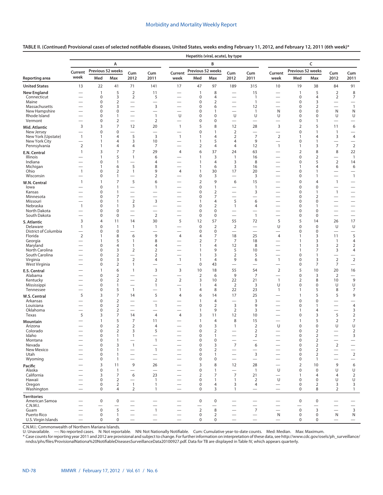|                                      | Hepatitis (viral, acute), by type                    |                                    |                               |                                                      |                                            |                                            |                               |                                  |                                                                       |                                                      |                                                      |                               |                                  |                                                      |                                            |
|--------------------------------------|------------------------------------------------------|------------------------------------|-------------------------------|------------------------------------------------------|--------------------------------------------|--------------------------------------------|-------------------------------|----------------------------------|-----------------------------------------------------------------------|------------------------------------------------------|------------------------------------------------------|-------------------------------|----------------------------------|------------------------------------------------------|--------------------------------------------|
|                                      |                                                      |                                    | А                             |                                                      |                                            |                                            |                               | В                                |                                                                       |                                                      |                                                      |                               | C                                |                                                      |                                            |
|                                      | Current                                              | Previous 52 weeks                  |                               | Cum                                                  | Cum                                        | Current                                    | Previous 52 weeks             |                                  | Cum                                                                   | Cum                                                  | Current                                              | Previous 52 weeks             |                                  | Cum                                                  | Cum                                        |
| <b>Reporting area</b>                | week                                                 | Med                                | Max                           | 2012                                                 | 2011                                       | week                                       | Med                           | Max                              | 2012                                                                  | 2011                                                 | week                                                 | Med                           | Max                              | 2012                                                 | 2011                                       |
| <b>United States</b>                 | 13                                                   | 22                                 | 41                            | 71                                                   | 141                                        | 17                                         | 47                            | 97                               | 189                                                                   | 315                                                  | 10                                                   | 19                            | 38                               | 84                                                   | 91                                         |
| <b>New England</b>                   | $\overline{\phantom{0}}$                             | $\mathbf{1}$                       | 5                             | $\overline{2}$                                       | 11                                         |                                            | $\mathbf{1}$                  | $\,8\,$                          |                                                                       | 15                                                   |                                                      | $\mathbf{1}$                  | 5                                | $\overline{2}$                                       | 8                                          |
| Connecticut<br>Maine                 | $\overline{\phantom{0}}$<br>$\overline{\phantom{0}}$ | $\mathbf 0$<br>$\mathbf 0$         | 3<br>$\overline{2}$           | $\overline{2}$<br>$\overline{\phantom{0}}$           | 5<br>$\overline{\phantom{0}}$              | -<br>$\overline{\phantom{0}}$              | $\mathbf 0$<br>0              | $\overline{4}$<br>$\overline{2}$ |                                                                       | $\overline{1}$<br>$\overline{1}$                     | -<br>$\overline{\phantom{0}}$                        | $\mathbf 0$<br>$\mathbf 0$    | 4<br>3                           | $\overline{2}$<br>$\overline{\phantom{0}}$           | $\overline{7}$<br>$\overline{\phantom{0}}$ |
| Massachusetts                        | $\overline{\phantom{0}}$                             | $\mathbf 0$                        | 3                             |                                                      | 3                                          |                                            | 0                             | 6                                |                                                                       | 12                                                   |                                                      | $\mathbf 0$                   | $\overline{2}$                   | $\overline{\phantom{0}}$                             | $\mathbf{1}$                               |
| New Hampshire<br>Rhode Island        | $\overline{\phantom{0}}$                             | $\mathbf 0$<br>$\mathbf 0$         | $\mathbf 0$<br>$\mathbf{1}$   | $\overline{\phantom{0}}$<br>$\overline{\phantom{0}}$ | $\mathbf{1}$                               | $\overline{\phantom{0}}$<br>U              | 0<br>0                        | $\mathbf{1}$<br>$\mathbf 0$      | $\overline{\phantom{0}}$<br>U                                         | $\overline{1}$<br>U                                  | N<br>U                                               | $\mathbf 0$<br>$\mathbf 0$    | 0<br>0                           | N<br>U                                               | Ν<br>U                                     |
| Vermont                              | $\overline{\phantom{0}}$                             | $\mathbf 0$                        | $\overline{2}$                | $\overline{\phantom{0}}$                             | $\overline{2}$                             |                                            | 0                             | $\mathbf 0$                      |                                                                       |                                                      | $\overline{\phantom{0}}$                             | $\mathbf 0$                   | $\mathbf{1}$                     |                                                      |                                            |
| Mid. Atlantic                        | 3                                                    | 3                                  | $\overline{7}$                | 12                                                   | 20                                         | $\mathbf{1}$                               | 5                             | 8                                | 12                                                                    | 28                                                   | 3                                                    | $\overline{2}$                | 5                                | 11                                                   | 6                                          |
| New Jersey<br>New York (Upstate)     | $\overline{\phantom{0}}$<br>$\mathbf{1}$             | $\mathbf 0$<br>$\mathbf{1}$        | $\mathbf 0$<br>4              | $\overline{\phantom{0}}$<br>5                        | $\overline{\phantom{0}}$<br>$\overline{3}$ | -<br>$\mathbf{1}$                          | 0<br>$\mathbf{1}$             | $\mathbf{1}$<br>$\overline{4}$   | $\overline{2}$<br>$\overline{2}$                                      | $\overline{7}$                                       | $\overline{\phantom{0}}$<br>$\mathbf 2$              | $\mathbf 0$<br>1              | 1<br>4                           | $\overline{1}$<br>3                                  | $\overline{\phantom{0}}$<br>$\overline{4}$ |
| New York City                        | $\overline{\phantom{0}}$                             | $\mathbf{1}$                       | 4                             | 3                                                    | 10                                         | $\overline{\phantom{0}}$                   | $\mathbf{1}$                  | 5                                | $\overline{4}$                                                        | 9                                                    | $\overline{\phantom{0}}$                             | $\mathbf 0$                   | $\mathbf{1}$                     | $\overline{\phantom{0}}$                             | $\overline{\phantom{0}}$                   |
| Pennsylvania                         | $\overline{2}$                                       | $\mathbf{1}$                       | 4                             | 4                                                    | 7                                          |                                            | $\overline{2}$                | $\overline{4}$                   | $\overline{4}$                                                        | 12                                                   | $\mathbf{1}$                                         | 1                             | 3                                | $\overline{7}$                                       | $\overline{2}$                             |
| E.N. Central<br><b>Illinois</b>      | $\mathbf{1}$                                         | 3<br>$\mathbf{1}$                  | $\overline{7}$<br>5           | $\overline{7}$<br>$\mathbf{1}$                       | 29<br>6                                    | $\overline{4}$                             | 6<br>1                        | 37<br>3                          | 24<br>$\mathbf{1}$                                                    | 63<br>16                                             | -                                                    | $\overline{2}$<br>$\mathbf 0$ | 8<br>$\overline{2}$              | 8                                                    | 22<br>$\mathbf{1}$                         |
| Indiana                              | $\overline{\phantom{0}}$                             | $\mathbf 0$                        | 1                             | $\overline{\phantom{0}}$                             | 4                                          |                                            | $\mathbf{1}$                  | $\overline{4}$                   | 3                                                                     | 8                                                    | $\overline{\phantom{0}}$                             | $\mathbf 0$                   | 5                                | $\overline{2}$                                       | 14                                         |
| Michigan                             | $\overline{\phantom{0}}$                             | $\mathbf{1}$                       | 6                             | 5                                                    | 8                                          | $\overline{\phantom{0}}$                   | $\mathbf{1}$                  | 6                                | $\overline{3}$                                                        | 16                                                   | $\overline{\phantom{0}}$                             | 1                             | 4                                | 6                                                    | 6                                          |
| Ohio<br>Wisconsin                    | $\mathbf{1}$<br>$\overline{\phantom{0}}$             | $\mathbf 0$<br>$\mathbf 0$         | $\overline{2}$<br>1           | $\overline{1}$<br>$\overline{\phantom{0}}$           | 9<br>$\overline{2}$                        | 4<br>—                                     | $\mathbf{1}$<br>0             | 30<br>3                          | 17<br>$\overline{\phantom{0}}$                                        | 20<br>3                                              | $\overline{\phantom{0}}$<br>$\overline{\phantom{0}}$ | $\mathbf 0$<br>$\mathbf 0$    | 1<br>1                           | $\overline{\phantom{0}}$                             | $\overline{\phantom{0}}$<br>$\mathbf{1}$   |
| W.N. Central                         | $\mathbf{1}$                                         | $\mathbf{1}$                       | $\overline{7}$                | 5                                                    | 6                                          | $\overline{\phantom{0}}$                   | $\overline{2}$                | 9                                | 6                                                                     | 15                                                   | $\overline{\phantom{0}}$                             | $\mathbf 0$                   | 4                                | $\mathbf{1}$                                         | $\overline{\phantom{0}}$                   |
| lowa                                 |                                                      | $\mathbf 0$                        | 1                             |                                                      | $\mathbf{1}$                               |                                            | 0                             | $\mathbf{1}$                     |                                                                       | $\overline{1}$                                       |                                                      | $\mathbf 0$                   | $\mathbf 0$                      |                                                      |                                            |
| Kansas<br>Minnesota                  | $\overline{\phantom{0}}$                             | $\mathbf 0$<br>$\mathbf 0$         | 1<br>7                        | $\overline{\phantom{0}}$                             |                                            | —                                          | 0<br>0                        | $\overline{2}$<br>$\overline{7}$ |                                                                       | 3<br>$\qquad \qquad$                                 | $\overline{\phantom{0}}$<br>$\overline{\phantom{0}}$ | $\mathbf 0$<br>$\mathbf 0$    | $\mathbf{1}$<br>$\overline{2}$   | $\mathbf{1}$                                         | $\overline{\phantom{0}}$                   |
| Missouri                             |                                                      | $\mathbf 0$                        | 1                             | $\overline{2}$                                       | 3                                          | $\overline{\phantom{0}}$                   | $\mathbf{1}$                  | $\overline{4}$                   | 5                                                                     | 6                                                    |                                                      | $\mathbf 0$                   | 0                                | $\overline{\phantom{0}}$                             | $\overline{\phantom{0}}$                   |
| Nebraska<br>North Dakota             | $\mathbf{1}$<br>$\overline{\phantom{0}}$             | $\mathbf 0$<br>0                   | 1<br>0                        | 3<br>$\overbrace{\phantom{12322111}}$                | $\overline{\phantom{0}}$                   | —<br>$\overline{\phantom{0}}$              | 0<br>0                        | $\overline{2}$<br>$\mathbf 0$    | $\mathbf{1}$<br>$\overline{\phantom{0}}$                              | 4<br>$\overline{\phantom{0}}$                        | $\overline{\phantom{0}}$<br>$\overline{\phantom{0}}$ | $\mathbf 0$<br>$\mathbf 0$    | 1<br>0                           | $\overline{\phantom{0}}$                             | $\overline{\phantom{0}}$                   |
| South Dakota                         |                                                      | 0                                  | 0                             |                                                      | $\overline{2}$                             | $\overline{\phantom{0}}$                   | $\mathbf 0$                   | $\mathbf 0$                      |                                                                       | $\mathbf{1}$                                         | $\overline{\phantom{0}}$                             | 0                             | 0                                | $\overline{\phantom{0}}$                             | $\overline{\phantom{0}}$                   |
| S. Atlantic                          | 3                                                    | $\overline{4}$                     | 11                            | 14                                                   | 30                                         | 5                                          | 12                            | 57                               | 55                                                                    | 72                                                   | 5                                                    | 5                             | 14                               | 26                                                   | 17                                         |
| Delaware<br>District of Columbia     | 1<br>$\overline{\phantom{0}}$                        | $\mathbf 0$<br>$\mathbf 0$         | $\mathbf{1}$<br>0             | $\mathbf{1}$<br>$\overline{\phantom{0}}$             | $\mathbf{1}$                               | $\overline{\phantom{0}}$                   | $\mathbf 0$<br>$\mathbf 0$    | $\overline{2}$<br>$\mathbf 0$    | $\overline{2}$                                                        | $\overline{\phantom{0}}$<br>$\overline{\phantom{0}}$ | U                                                    | $\mathbf 0$<br>$\mathbf 0$    | $\mathbf 0$<br>0                 | U<br>$\overline{\phantom{0}}$                        | U                                          |
| Florida                              | $\mathbf 2$                                          | 1                                  | 8                             | 6                                                    | 9                                          | 4                                          | 4                             | $\overline{7}$                   | 18                                                                    | 25                                                   | $\overline{4}$                                       | 1                             | 3                                | 11                                                   | 5                                          |
| Georgia                              | $\overline{\phantom{0}}$                             | $\mathbf{1}$                       | 5                             | $\mathbf{1}$                                         | 8                                          | $\overline{\phantom{0}}$                   | 2                             | $\overline{7}$                   | 7                                                                     | 18                                                   | $\overline{\phantom{0}}$                             | 1                             | 3                                | $\mathbf{1}$                                         | 4                                          |
| Maryland<br>North Carolina           |                                                      | 0<br>$\mathbf 0$                   | 4<br>3                        | 1<br>$\overline{2}$                                  | 4<br>$\overline{2}$                        | $\overline{\phantom{0}}$                   | 1<br>1                        | $\overline{4}$<br>9              | 12<br>5                                                               | 8<br>10                                              | $\overline{\phantom{0}}$                             | 1<br>1                        | 3<br>7                           | $\overline{2}$<br>3                                  | $\overline{2}$<br>4                        |
| South Carolina                       |                                                      | 0                                  | $\overline{2}$                | $\overline{\phantom{0}}$                             | $\overline{2}$                             | -                                          | 1                             | 3                                | $\overline{2}$                                                        | 5                                                    | -                                                    | $\mathbf 0$                   | 1                                | $\overline{\phantom{0}}$                             |                                            |
| Virginia<br>West Virginia            |                                                      | 0<br>0                             | 3<br>$\mathbf 2$              | $\overline{2}$<br>1                                  | 4                                          | $\mathbf{1}$<br>$\overline{\phantom{0}}$   | 1<br>$\mathbf 0$              | $\overline{4}$<br>43             | 9<br>$\overline{\phantom{0}}$                                         | 6<br>$\overline{\phantom{0}}$                        | $\mathbf{1}$<br>$\overline{\phantom{0}}$             | 0<br>0                        | 3<br>7                           | $\overline{2}$<br>$\overline{7}$                     | $\sqrt{2}$<br>$\overline{\phantom{0}}$     |
| <b>E.S. Central</b>                  |                                                      | $\mathbf{1}$                       | 6                             | $\mathbf{1}$                                         | 3                                          | 3                                          | 10                            | 18                               | 55                                                                    | 54                                                   | $\overline{2}$                                       | 5                             | 10                               | 20                                                   | 16                                         |
| Alabama                              |                                                      | $\mathbf 0$                        | $\overline{2}$                | $\overline{\phantom{0}}$                             | $\overline{\phantom{0}}$                   | $\overline{\phantom{0}}$                   | $\mathbf 2$                   | 6                                | 9                                                                     | $\overline{7}$                                       | $\overline{\phantom{0}}$                             | $\mathbf 0$                   | 3                                | $\overline{2}$                                       | $\overline{\phantom{0}}$                   |
| Kentucky<br>Mississippi              |                                                      | $\mathbf 0$<br>0                   | $\overline{2}$<br>1           | $\overline{\phantom{0}}$                             | $\overline{2}$<br>$\mathbf{1}$             | $\overline{2}$<br>$\overline{\phantom{0}}$ | 3<br>1                        | 10<br>$\overline{4}$             | 22<br>$\overline{2}$                                                  | 21<br>3                                              | $\overline{1}$<br>U                                  | 2<br>$\mathbf 0$              | 8<br>0                           | 10<br>U                                              | 9<br>U                                     |
| Tennessee                            |                                                      | 0                                  | 5                             | $\overline{1}$                                       |                                            | $\mathbf{1}$                               | 4                             | 8                                | 22                                                                    | 23                                                   | $\mathbf{1}$                                         | $\mathbf{1}$                  | 5                                | 8                                                    | 7                                          |
| W.S. Central                         | 5                                                    | 3                                  | $\overline{7}$                | 14                                                   | 5                                          | $\overline{4}$                             | 6                             | 14                               | 17                                                                    | 25                                                   |                                                      | $\mathbf{1}$                  | 5                                | 5                                                    | 9                                          |
| Arkansas<br>Louisiana                |                                                      | $\mathbf 0$<br>0                   | $\overline{2}$<br>$\mathbf 2$ |                                                      | $\overline{\phantom{0}}$<br>$\mathbf{1}$   | $\overline{\phantom{0}}$                   | 1<br>0                        | 4<br>$\overline{2}$              | $\overline{3}$                                                        | 3<br>9                                               |                                                      | $\mathbf 0$<br>$\mathbf 0$    | 0<br>1                           | $\overline{\phantom{0}}$<br>$\overline{\phantom{0}}$ | $\overline{4}$                             |
| Oklahoma                             |                                                      | 0                                  | $\overline{2}$                |                                                      | $\overline{\phantom{0}}$                   |                                            | 1                             | 9                                | $\overline{2}$                                                        | 3                                                    | -                                                    | 1                             | 4                                | $\overline{\phantom{0}}$                             | 3                                          |
| Texas                                | 5                                                    | 3                                  | 7                             | 14                                                   | $\overline{4}$                             | 4                                          | 3                             | 11                               | 12                                                                    | 10                                                   | -                                                    | 0                             | 3                                | 5                                                    | $\overline{2}$                             |
| Mountain<br>Arizona                  |                                                      | $\mathbf{1}$<br>$\mathbf 0$        | 5<br>$\overline{2}$           | 7<br>$\overline{2}$                                  | 11<br>$\overline{4}$                       |                                            | $\mathbf{1}$<br>0             | $\overline{4}$<br>3              | 8<br>$\mathbf{1}$                                                     | 15<br>$\overline{2}$                                 | $\overline{\phantom{0}}$<br>U                        | $\mathbf{1}$<br>$\mathbf 0$   | 5<br>$\Omega$                    | $\overline{2}$<br>U                                  | 7<br>U                                     |
| Colorado                             |                                                      | $\Omega$                           | $\overline{2}$                | 3                                                    | 5                                          |                                            | $\Omega$                      | $\overline{2}$                   |                                                                       | 2                                                    |                                                      | $\Omega$                      | 2                                | $\overline{\phantom{0}}$                             | $\overline{2}$                             |
| Idaho<br>Montana                     |                                                      | 0<br>0                             | 1<br>1                        | $\mathbf{1}$<br>$\overline{\phantom{0}}$             | $\overline{\phantom{0}}$<br>$\overline{1}$ |                                            | 0<br>$\mathbf 0$              | $\mathbf{1}$<br>$\mathbf 0$      | $\overbrace{\phantom{12322111}}$                                      | $\overline{2}$<br>$\overline{\phantom{0}}$           | -<br>$\overline{\phantom{0}}$                        | 0<br>$\pmb{0}$                | $\overline{2}$<br>$\overline{2}$ | $\qquad \qquad$<br>$\overline{\phantom{0}}$          | 3                                          |
| Nevada                               |                                                      | 0                                  | 3                             | $\mathbf{1}$                                         | $\overline{\phantom{0}}$                   |                                            | 0                             | 3                                | $\boldsymbol{7}$                                                      | 6                                                    |                                                      | $\mathbf 0$                   | $\overline{2}$                   | $\overline{2}$                                       |                                            |
| New Mexico                           |                                                      | 0                                  | $\mathbf{1}$                  |                                                      | $\overline{1}$                             |                                            | 0                             | 2                                | $\overbrace{\phantom{12322111}}$                                      |                                                      | $\overline{\phantom{0}}$                             | $\mathbf 0$                   | $\overline{2}$                   | $\overline{\phantom{0}}$                             | $\overline{\phantom{0}}$                   |
| Utah<br>Wyoming                      |                                                      | 0<br>0                             | 1<br>1                        |                                                      |                                            | -                                          | 0<br>0                        | $\mathbf{1}$<br>$\bf 0$          | $\overbrace{\phantom{123221111}}$<br>$\overbrace{\phantom{12322111}}$ | 3                                                    | $\overline{\phantom{0}}$                             | $\mathbf 0$<br>$\pmb{0}$      | $\overline{2}$<br>$\mathbf{1}$   | $\overline{\phantom{0}}$<br>$\overline{\phantom{0}}$ | $\overline{2}$<br>$\overline{\phantom{0}}$ |
| Pacific                              |                                                      | 3                                  | 11                            | 9                                                    | 26                                         |                                            | 3                             | 8                                | 12                                                                    | 28                                                   |                                                      | $\overline{2}$                | 10                               | 9                                                    | $\boldsymbol{6}$                           |
| Alaska                               |                                                      | $\pmb{0}$                          | $\mathbf{1}$                  | $\overline{\phantom{0}}$                             | $\equiv$                                   |                                            | 0                             | $\mathbf{1}$                     | $\overbrace{\phantom{12322111}}$                                      | $\overline{1}$                                       | U                                                    | $\mathbf 0$                   | $\mathbf 0$                      | U                                                    | U                                          |
| California<br>Hawaii                 |                                                      | 3<br>0                             | 7<br>$\overline{2}$           | 6                                                    | 23<br>$\overline{1}$                       | $\overline{\phantom{0}}$                   | $\overline{2}$<br>0           | $\overline{7}$<br>$\mathbf{1}$   | $\overline{7}$<br>$\mathbf{1}$                                        | 21<br>2                                              | $\overline{\phantom{0}}$<br>U                        | 1<br>$\mathbf 0$              | 4<br>0                           | $\overline{4}$<br>U                                  | $\overline{2}$<br>U                        |
| Oregon                               |                                                      | 0                                  | $\overline{2}$                | $\overline{1}$                                       | $\mathbf{1}$                               | $\overline{\phantom{0}}$                   | 0                             | $\overline{4}$                   | 3                                                                     | 4                                                    |                                                      | 0                             | 2                                | 3                                                    | 3                                          |
| Washington                           |                                                      | $\mathbf 0$                        | 4                             | 2                                                    | $\mathbf{1}$                               |                                            | $\mathbf 0$                   | 3                                | $\mathbf{1}$                                                          | $\qquad \qquad$                                      | $\overbrace{\phantom{12322111}}$                     | 0                             | 8                                | 2                                                    | $\mathbf{1}$                               |
| <b>Territories</b><br>American Samoa |                                                      | $\mathsf{O}\xspace$                | 0                             |                                                      | $\overline{\phantom{0}}$                   |                                            | $\pmb{0}$                     | $\mathsf{O}\xspace$              |                                                                       | -                                                    |                                                      | $\pmb{0}$                     | $\boldsymbol{0}$                 |                                                      |                                            |
| C.N.M.I.                             |                                                      |                                    |                               |                                                      |                                            |                                            |                               |                                  |                                                                       | $\overline{\phantom{0}}$                             |                                                      |                               | $\overline{\phantom{0}}$         | $\overline{\phantom{0}}$                             | $\overline{\phantom{0}}$                   |
| Guam<br>Puerto Rico                  |                                                      | $\mathsf{O}\xspace$<br>$\mathsf 0$ | 5<br>$\mathbf{1}$             | $\overline{\phantom{0}}$<br>$\overline{\phantom{0}}$ | $\overline{1}$<br>$\overline{\phantom{m}}$ |                                            | $\overline{2}$<br>$\mathsf 0$ | 8<br>$\overline{2}$              |                                                                       | $\overline{7}$<br>$\qquad \qquad -$                  | N                                                    | $\pmb{0}$<br>$\mathsf 0$      | 3<br>0                           | $\overline{\phantom{0}}$<br>N                        | 3<br>${\sf N}$                             |
| U.S. Virgin Islands                  |                                                      | $\mathbf 0$                        | 0                             | $\overline{\phantom{0}}$                             | $\qquad \qquad -$                          | $\overbrace{\phantom{12333}}$              | $\mathbf 0$                   | $\mathbf 0$                      | $\qquad \qquad -$                                                     | $\qquad \qquad -$                                    | $\hspace{0.1mm}-\hspace{0.1mm}$                      | $\mathbf 0$                   | 0                                |                                                      | $\overline{\phantom{0}}$                   |

C.N.M.I.: Commonwealth of Northern Mariana Islands.<br>U: Unavailable. —: No reported cases. N: Not reportable. NN: Not Nationally Notifiable. Cum: Cumulative year-to-date counts. Med: Median. Max: Maximum.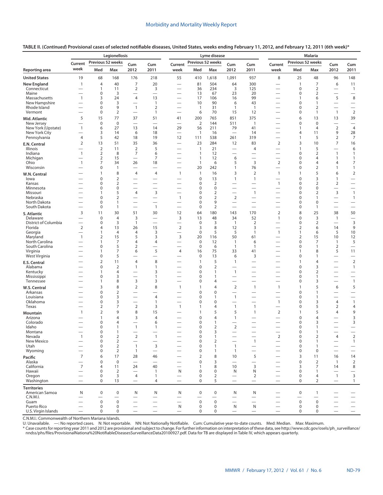|                                     |                                             |                                    | Legionellosis        |                                                      |                                               |                                                      | Lyme disease                   |                               |                                 | <b>Malaria</b>                                |                                                      |                                |                      |                                   |                                                   |
|-------------------------------------|---------------------------------------------|------------------------------------|----------------------|------------------------------------------------------|-----------------------------------------------|------------------------------------------------------|--------------------------------|-------------------------------|---------------------------------|-----------------------------------------------|------------------------------------------------------|--------------------------------|----------------------|-----------------------------------|---------------------------------------------------|
|                                     | Current                                     | Previous 52 weeks                  |                      | Cum                                                  | Cum                                           | Current                                              |                                | Previous 52 weeks             | Cum                             | Cum                                           | Current                                              | Previous 52 weeks              |                      | Cum                               | Cum                                               |
| <b>Reporting area</b>               | week                                        | Med                                | Max                  | 2012                                                 | 2011                                          | week                                                 | Med                            | Max                           | 2012                            | 2011                                          | week                                                 | Med                            | Max                  | 2012                              | 2011                                              |
| <b>United States</b>                | 19                                          | 68                                 | 168                  | 176                                                  | 218                                           | 55                                                   | 410                            | 1,618                         | 1,091                           | 937                                           | 8                                                    | 25                             | 48                   | 96                                | 148                                               |
| <b>New England</b>                  | $\mathbf{1}$                                | $\overline{4}$                     | 40                   | $\overline{7}$                                       | 20                                            |                                                      | 81                             | 504                           | 64                              | 300                                           |                                                      | $\overline{1}$                 | $\overline{7}$       | 6                                 | 11                                                |
| Connecticut<br>Maine                |                                             | $\mathbf{1}$<br>0                  | 11<br>3              | 2                                                    | 3<br>$\overline{\phantom{0}}$                 |                                                      | 36<br>13                       | 234<br>67                     | 3<br>23                         | 125<br>20                                     | $\overline{\phantom{0}}$<br>$\overline{\phantom{0}}$ | $\mathbf 0$<br>0               | $\overline{2}$<br>2  | $\overline{\phantom{0}}$<br>—     | $\overline{1}$<br>$\overline{\phantom{0}}$        |
| Massachusetts                       | $\mathbf{1}$                                | 3                                  | 24                   | $\overline{4}$                                       | 13                                            |                                                      | 17                             | 106                           | 16                              | 99                                            | $\overline{\phantom{0}}$                             | $\overline{1}$                 | 6                    | 5                                 | 8                                                 |
| New Hampshire<br>Rhode Island       |                                             | 0<br>0                             | 3<br>9               | $\mathbf{1}$                                         | $\mathbf{1}$<br>$\overline{2}$                | $\overline{\phantom{0}}$                             | 10<br>$\mathbf{1}$             | 90<br>31                      | 6<br>$\overline{1}$             | 43<br>$\overline{1}$                          | $\overline{\phantom{0}}$<br>$\overline{\phantom{0}}$ | 0<br>0                         | $\mathbf{1}$<br>2    | $\overline{\phantom{0}}$          | $\overline{\phantom{m}}$                          |
| Vermont                             |                                             | 0                                  | $\overline{2}$       | $\overline{\phantom{0}}$                             | $\mathbf{1}$                                  | $\overline{\phantom{0}}$                             | 6                              | 70                            | 15                              | 12                                            | $\overline{\phantom{0}}$                             | 0                              | $\mathbf{1}$         | $\mathbf{1}$                      | $\qquad \qquad -$<br>$\overline{2}$               |
| Mid. Atlantic                       | 5                                           | 15                                 | 77                   | 37                                                   | 51                                            | 41                                                   | 200                            | 765                           | 851                             | 375                                           |                                                      | 6                              | 13                   | 13                                | 39                                                |
| New Jersey                          | $\overline{\phantom{0}}$                    | $\bf 0$                            | $\mathbf 0$          | $\overline{\phantom{0}}$                             | $\overline{\phantom{0}}$                      | $\overline{\phantom{0}}$                             | $\overline{2}$                 | 144                           | 511                             | $\overline{1}$                                | $\overline{\phantom{0}}$                             | $\pmb{0}$                      | $\mathbf 0$          | $\overline{\phantom{0}}$          |                                                   |
| New York (Upstate)<br>New York City | $\mathbf{1}$                                | 6<br>3                             | 27<br>14             | 13<br>6                                              | 14<br>18                                      | 29<br>$\overline{\phantom{0}}$                       | 56<br>$\mathbf{1}$             | 211<br>16                     | 79<br>$\overline{\phantom{0}}$  | 41<br>14                                      | $\overline{\phantom{0}}$<br>$\overline{\phantom{0}}$ | $\mathbf{1}$<br>4              | $\overline{4}$<br>11 | $\overline{2}$<br>9               | $\overline{4}$<br>28                              |
| Pennsylvania                        | $\overline{4}$                              | 5                                  | 42                   | 18                                                   | 19                                            | 12                                                   | 111                            | 538                           | 261                             | 319                                           | $\overline{\phantom{0}}$                             | $\overline{1}$                 | 5                    | $\overline{2}$                    | $\overline{7}$                                    |
| E.N. Central                        | 2                                           | 13                                 | 51                   | 35                                                   | 36                                            | $\overline{\phantom{0}}$                             | 23                             | 284                           | 12                              | 83                                            | $\overline{2}$                                       | 3                              | 10                   | $\overline{7}$                    | 16                                                |
| Illinois<br>Indiana                 | $\mathbf{1}$                                | $\overline{2}$<br>2                | 11<br>8              | $\overline{2}$<br>7                                  | 5<br>6                                        |                                                      | $\overline{1}$<br>$\mathbf{1}$ | 21<br>12                      | $\overline{\phantom{0}}$        | $\overline{4}$                                | $\overline{\phantom{0}}$<br>$\overline{\phantom{0}}$ | $\overline{1}$<br>0            | 5<br>2               | $\overline{\phantom{0}}$<br>1     | 6<br>$\mathbf{1}$                                 |
| Michigan                            | $\overline{\phantom{0}}$                    | $\overline{2}$                     | 15                   |                                                      | $\overline{7}$                                |                                                      | $\mathbf{1}$                   | 12                            | 6                               | $\overline{\phantom{0}}$                      | $\overline{\phantom{0}}$                             | $\mathbf 0$                    | 4                    | 1                                 | 1                                                 |
| Ohio                                | $\mathbf{1}$                                | $\overline{7}$                     | 34                   | 26                                                   | 18                                            |                                                      | $\mathbf{1}$                   | 6                             | 5                               | 3                                             | $\overline{2}$                                       | 0                              | 4                    | 4                                 | 7                                                 |
| Wisconsin                           |                                             | 0<br>$\mathbf{1}$                  | 1<br>8               | $\overline{4}$                                       | $\overline{4}$                                | $\overline{\phantom{0}}$<br>$\mathbf{1}$             | 20<br>$\mathbf{1}$             | 242<br>16                     | 1<br>3                          | 76<br>$\overline{2}$                          | $\overline{\phantom{0}}$<br>$\mathbf{1}$             | $\mathbf 0$<br>$\overline{1}$  | 2<br>5               | 1<br>6                            | $\mathbf{1}$<br>$\overline{2}$                    |
| W.N. Central<br>lowa                |                                             | 0                                  | $\overline{2}$       |                                                      | $\overline{\phantom{0}}$                      |                                                      | 0                              | 13                            | 1                               | 1                                             | $\overline{\phantom{0}}$                             | $\mathbf 0$                    | 3                    | 1                                 |                                                   |
| Kansas                              |                                             | 0                                  | $\overline{2}$       | $\overline{\phantom{0}}$                             | $\overline{\phantom{0}}$                      | $\overline{\phantom{0}}$                             | 0                              | $\overline{2}$                | $\overline{\phantom{0}}$        | $\overline{\phantom{0}}$                      | $\mathbf{1}$                                         | 0                              | 2                    | 2                                 | $\overbrace{\phantom{12322111}}$                  |
| Minnesota<br>Missouri               |                                             | 0<br>1                             | $\mathbf 0$<br>5     | $\overline{\phantom{0}}$<br>$\overline{4}$           | $\overline{\phantom{0}}$<br>3                 | $\overline{\phantom{0}}$<br>$\overline{\phantom{0}}$ | 0<br>0                         | $\mathbf 0$<br>$\overline{2}$ | $\overline{\phantom{0}}$        | $\overline{\phantom{0}}$<br>$\mathbf{1}$      | $\overline{\phantom{0}}$                             | $\mathbf 0$<br>0               | 0<br>2               | $\overline{\phantom{0}}$<br>3     | $\overline{\phantom{0}}$<br>$\mathbf{1}$          |
| Nebraska                            |                                             | 0                                  | $\overline{2}$       | $\overline{\phantom{0}}$                             | $\overline{\phantom{0}}$                      | $\mathbf{1}$                                         | 0                              | $\overline{2}$                | $\overline{2}$                  | $\overline{\phantom{0}}$                      | $\overline{\phantom{0}}$                             | $\mathbf 0$                    | $\mathbf{1}$         | $\overline{\phantom{0}}$          | $\mathbf{1}$                                      |
| North Dakota                        |                                             | $\mathbf 0$                        | 1                    | $\overline{\phantom{0}}$                             |                                               |                                                      | 0                              | 9                             |                                 |                                               |                                                      | $\mathbf 0$                    | 0                    |                                   |                                                   |
| South Dakota                        | 3                                           | $\mathbf 0$<br>11                  | $\mathbf{1}$<br>30   | $\overline{\phantom{0}}$<br>51                       | $\mathbf{1}$<br>30                            | $\overline{\phantom{0}}$<br>12                       | $\mathbf 0$<br>64              | $\overline{2}$<br>180         | $\overline{\phantom{0}}$<br>143 | 170                                           | $\overline{2}$                                       | $\mathbf 0$<br>8               | $\mathbf{1}$<br>25   | $\overline{\phantom{0}}$<br>38    | $\overline{\phantom{0}}$<br>50                    |
| S. Atlantic<br>Delaware             |                                             | $\pmb{0}$                          | $\overline{4}$       | 3                                                    | $\overline{\phantom{0}}$                      | 3                                                    | 13                             | 48                            | 34                              | 52                                            | $\mathbf{1}$                                         | $\mathbf 0$                    | 3                    | $\overline{1}$                    | $\overline{\phantom{m}}$                          |
| District of Columbia                | $\overline{\phantom{0}}$                    | $\pmb{0}$                          | 3                    | $\mathbf{1}$                                         | $\overline{\phantom{0}}$                      | $\overline{\phantom{0}}$                             | $\mathbf 0$                    | 3                             | $\overline{1}$                  | $\overline{2}$                                | $\overline{\phantom{0}}$                             | 0                              | $\overline{2}$       |                                   | $\mathbf{3}$                                      |
| Florida<br>Georgia                  | 2                                           | 4<br>1                             | 13<br>$\overline{4}$ | 26<br>$\overline{4}$                                 | 15<br>3                                       | $\overline{2}$                                       | 3<br>$\mathbf 0$               | 8<br>5                        | 12<br>5                         | 3<br>$\mathbf{1}$                             | —<br>$\mathbf{1}$                                    | $\overline{2}$<br>$\mathbf{1}$ | 6<br>6               | 14<br>5                           | 9<br>10                                           |
| Maryland                            | $\mathbf{1}$                                | 2                                  | 15                   | 5                                                    | 3                                             | 3                                                    | 20                             | 116                           | 50                              | 61                                            | $\overline{\phantom{0}}$                             | $\overline{2}$                 | 15                   | 10                                | 12                                                |
| North Carolina                      |                                             | 1                                  | $\overline{7}$       | 4                                                    | $\overline{4}$                                | $\overline{\phantom{0}}$                             | $\mathbf 0$                    | 12                            | $\mathbf{1}$                    | 6                                             |                                                      | $\mathbf 0$                    | 7                    | $\mathbf{1}$                      | 5                                                 |
| South Carolina<br>Virginia          |                                             | 0<br>1                             | 5<br>$\overline{7}$  | $\overline{2}$<br>6                                  | 5                                             | 4                                                    | $\pmb{0}$<br>16                | 6<br>75                       | $\mathbf{1}$<br>33              | $\mathbf{1}$<br>41                            | $\overline{\phantom{0}}$<br>$\overline{\phantom{0}}$ | $\mathbf 0$<br>$\mathbf{1}$    | $\mathbf{1}$<br>8    | $\overline{2}$<br>5               | $\overline{\phantom{0}}$<br>11                    |
| West Virginia                       |                                             | $\mathbf 0$                        | 5                    |                                                      | -                                             | $\overline{\phantom{0}}$                             | $\pmb{0}$                      | 13                            | 6                               | 3                                             |                                                      | $\mathbf 0$                    | 1                    | —                                 |                                                   |
| <b>E.S. Central</b>                 |                                             | $\overline{2}$                     | 11                   | $\overline{4}$                                       | 8                                             | —                                                    | $\mathbf{1}$                   | 5                             | $\mathbf{1}$                    | $\overline{\phantom{0}}$                      | $\overline{\phantom{0}}$                             | $\overline{1}$                 | 4                    | $\overline{\phantom{0}}$          | $\overline{2}$                                    |
| Alabama<br>Kentucky                 |                                             | 0<br>1                             | $\overline{2}$<br>4  | $\overline{\phantom{a}}$                             | $\mathbf{1}$<br>3                             |                                                      | 0<br>0                         | $\overline{2}$<br>1           | $\mathbf{1}$                    |                                               |                                                      | $\mathbf 0$<br>$\mathbf 0$     | 3<br>2               | —                                 | $\mathbf{1}$<br>$\overbrace{\phantom{123221111}}$ |
| Mississippi                         |                                             | 0                                  | 3                    | $\overline{\phantom{0}}$                             | $\mathbf{1}$                                  |                                                      | 0                              | 1                             | $\overline{\phantom{0}}$        | $\overline{\phantom{0}}$                      | $\overline{\phantom{0}}$                             | 0                              | $\mathbf{1}$         | $\overline{\phantom{0}}$          | $\overline{\phantom{0}}$                          |
| Tennessee                           |                                             | $\mathbf{1}$                       | 8                    | $\overline{3}$                                       | 3                                             | $\overline{\phantom{0}}$                             | 0                              | $\overline{4}$                | —                               |                                               |                                                      | $\mathbf 0$                    | 3                    |                                   | $\mathbf{1}$                                      |
| W.S. Central                        |                                             | 3                                  | 8                    | $\overline{2}$                                       | 8                                             | $\mathbf{1}$                                         | $\mathbf{1}$                   | 4                             | $\overline{2}$                  | $\mathbf{1}$                                  | $\mathbf{1}$                                         | $\overline{1}$                 | 5                    | 6                                 | 5                                                 |
| Arkansas<br>Louisiana               |                                             | 0<br>0                             | $\overline{2}$<br>3  | $\overline{\phantom{0}}$<br>$\overline{\phantom{0}}$ | $\overline{4}$                                |                                                      | 0<br>0                         | $\mathbf 0$<br>$\mathbf{1}$   | $\mathbf{1}$                    | $\overline{\phantom{0}}$                      | —                                                    | $\mathbf 0$<br>$\mathbf 0$     | 1<br>1               | —                                 | $\overline{\phantom{0}}$                          |
| Oklahoma                            |                                             | 0                                  | 3                    |                                                      | 1                                             |                                                      | 0                              | $\mathbf 0$                   |                                 |                                               | $\mathbf{1}$                                         | $\mathbf 0$                    | 3                    | $\overline{4}$                    | $\mathbf{1}$                                      |
| Texas                               |                                             | 2                                  | $\overline{7}$       | $\overline{2}$                                       | 3                                             | $\mathbf{1}$                                         | $\mathbf{1}$                   | 4                             | $\mathbf{1}$                    | $\overline{1}$                                | —                                                    | $\mathbf 0$                    | 5                    | $\overline{2}$                    | $\overline{4}$                                    |
| <b>Mountain</b><br>Arizona          | $\mathbf{1}$                                | $\overline{2}$<br>$\mathbf{1}$     | 9<br>$\overline{4}$  | 8<br>3                                               | 15<br>$\overline{4}$                          |                                                      | $\mathbf{1}$<br>0              | 5<br>$\overline{4}$           | 5<br>$\mathbf{1}$               | $\mathbf{1}$<br>$\overline{\phantom{0}}$      | $\overline{2}$<br>$\overline{\phantom{0}}$           | $\mathbf{1}$<br>$\mathbf 0$    | 5<br>4               | $\overline{4}$                    | 9<br>3                                            |
| Colorado                            |                                             | $\pmb{0}$                          | $\overline{4}$       |                                                      | 6                                             |                                                      | 0                              | 1                             |                                 |                                               |                                                      | $\mathbf 0$                    | 3                    | —                                 | 3                                                 |
| Idaho                               |                                             | 0                                  | 1                    | $\overline{1}$                                       | 1                                             |                                                      | 0                              | $\overline{2}$                | $\overline{2}$                  | $\overline{\phantom{0}}$                      |                                                      | 0                              | $\mathbf{1}$         | $\overline{\phantom{0}}$          | $\overline{\phantom{0}}$                          |
| Montana<br>Nevada                   | $\mathbf{1}$                                | 0<br>$\pmb{0}$                     | 1<br>$\overline{2}$  | $\overline{2}$                                       | $\mathbf{1}$                                  |                                                      | 0<br>0                         | 3<br>1                        |                                 | $\overbrace{\phantom{123221111}}$             | $\overline{2}$                                       | 0<br>$\boldsymbol{0}$          | 1<br>$\overline{2}$  | $\overline{4}$                    | $\overline{2}$                                    |
| New Mexico                          |                                             | $\mathbf 0$                        | $\mathbf 2$          | $\overline{\phantom{0}}$                             |                                               |                                                      | 0                              | $\overline{2}$                |                                 | $\mathbf{1}$                                  | $\qquad \qquad$                                      | $\mathbf 0$                    | $\mathbf{1}$         | $\qquad \qquad$                   | $\mathbf{1}$                                      |
| Utah<br>Wyoming                     | $\overline{\phantom{0}}$<br>$\qquad \qquad$ | $\mathbf 0$<br>0                   | $\overline{2}$<br>2  | $\mathbf{1}$<br>$\mathbf{1}$                         | 3                                             | $\overline{\phantom{0}}$<br>$\overline{\phantom{0}}$ | 0<br>0                         | $\mathbf{1}$<br>$\mathbf{1}$  | $\overline{1}$<br>$\mathbf{1}$  | $\overbrace{\phantom{123221111}}$             | $\overline{\phantom{0}}$                             | $\mathbf 0$<br>$\mathbf 0$     | 1<br>0               | $\overline{\phantom{0}}$          | $\overline{\phantom{m}}$<br>$\qquad \qquad -$     |
| Pacific                             | $\overline{7}$                              | 6                                  | 17                   | 28                                                   | $\qquad \qquad -$<br>46                       | $\overline{\phantom{0}}$                             | $\overline{2}$                 | 8                             | 10                              | 5                                             | $\overline{\phantom{0}}$                             | 3                              | 11                   | 16                                | 14                                                |
| Alaska                              |                                             | 0                                  | $\mathbf 0$          |                                                      | $\overline{\phantom{0}}$                      |                                                      | 0                              | 3                             | $\overline{\phantom{0}}$        |                                               |                                                      | $\mathbf 0$                    | $\overline{2}$       | $\overline{1}$                    | $\overline{2}$                                    |
| California                          | 7                                           | 4                                  | 11                   | 24                                                   | 40                                            | $\overline{\phantom{0}}$                             | $\mathbf{1}$                   | 8                             | 10                              | 3                                             | $\overline{\phantom{0}}$                             | 3                              | 7                    | 14                                | 8                                                 |
| Hawaii<br>Oregon                    | $\qquad \qquad$<br>$\qquad \qquad$          | $\mathbf 0$<br>$\mathsf{O}\xspace$ | $\overline{2}$<br>3  | 4                                                    | $\mathbf{1}$<br>$\mathbf{1}$                  | N<br>$\qquad \qquad$                                 | 0<br>$\mathbf 0$               | $\mathbf 0$<br>$\overline{2}$ | N                               | N<br>$\overline{2}$                           | $\qquad \qquad$                                      | $\mathbf 0$<br>$\mathbf 0$     | $\mathbf{1}$<br>4    | $\qquad \qquad -$<br>$\mathbf{1}$ | $\overline{\phantom{0}}$<br>$\overline{3}$        |
| Washington                          | $\overbrace{\phantom{1232211}}$             | $\mathbf 0$                        | 13                   |                                                      | 4                                             |                                                      | 0                              | 5                             | $\overline{\phantom{0}}$        | $\qquad \qquad -$                             | $\overline{\phantom{0}}$                             | $\mathbf 0$                    | $\overline{2}$       | $\overline{\phantom{m}}$          | $\mathbf{1}$                                      |
| <b>Territories</b>                  |                                             |                                    |                      |                                                      |                                               |                                                      |                                |                               |                                 |                                               |                                                      |                                |                      |                                   |                                                   |
| American Samoa                      | N                                           | $\mathbf 0$                        | $\pmb{0}$            | N                                                    | N                                             | N                                                    | $\mathbf 0$                    | 0                             | N                               | N                                             | $\overline{\phantom{0}}$                             | $\mathbf 0$                    | $\mathbf{1}$         |                                   |                                                   |
| C.N.M.I.<br>Guam                    |                                             | $\mathsf 0$                        | $\pmb{0}$            | $\overline{\phantom{0}}$                             | $\qquad \qquad -$<br>$\overline{\phantom{0}}$ | $\overline{\phantom{0}}$                             | $\pmb{0}$                      | $\pmb{0}$                     | $\overline{\phantom{0}}$        | $\qquad \qquad -$<br>$\overline{\phantom{0}}$ | $\overline{\phantom{0}}$                             | $\mathsf 0$                    | $\mathbf 0$          | —                                 | $\overline{\phantom{m}}$                          |
| Puerto Rico                         |                                             | $\mathbf 0$                        | 0                    | $\overbrace{\phantom{1232211}}$                      | $\overbrace{\phantom{12322111}}$              | N                                                    | $\pmb{0}$                      | 0                             | N                               | N                                             | $\overline{\phantom{0}}$                             | $\boldsymbol{0}$               | $\mathbf 0$          | $\overline{\phantom{0}}$          | $\qquad \qquad -$                                 |
| U.S. Virgin Islands                 | $\overline{\phantom{0}}$                    | $\mathbf 0$                        | 0                    | $\overline{\phantom{0}}$                             | $\overline{\phantom{0}}$                      | $\overline{\phantom{0}}$                             | $\mathbf 0$                    | 0                             | $\qquad \qquad -$               | $\hspace{0.1mm}-\hspace{0.1mm}$               | $\qquad \qquad -$                                    | $\pmb{0}$                      | 0                    | $\overline{\phantom{0}}$          | $\overline{\phantom{m}}$                          |

**TABLE II. (***Continued***) Provisional cases of selected notifiable diseases, United States, weeks ending February 11, 2012, and February 12, 2011 (6th week)\***

C.N.M.I.: Commonwealth of Northern Mariana Islands.

U: Unavailable. —: No reported cases. N: Not reportable. NN: Not Nationally Notifiable. Cum: Cumulative year-to-date counts. Med: Median. Max: Maximum.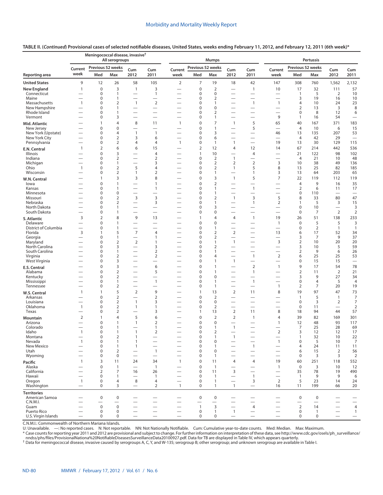|                               | Meningococcal disease, invasive <sup>†</sup> |                                    |                                | <b>Mumps</b>                                         |                                                      |                          |                   | Pertussis                        |                                                      |                                                      |                                            |                               |                         |                                   |                                 |
|-------------------------------|----------------------------------------------|------------------------------------|--------------------------------|------------------------------------------------------|------------------------------------------------------|--------------------------|-------------------|----------------------------------|------------------------------------------------------|------------------------------------------------------|--------------------------------------------|-------------------------------|-------------------------|-----------------------------------|---------------------------------|
|                               | Current                                      | Previous 52 weeks                  |                                | Cum                                                  | Cum                                                  | Current                  | Previous 52 weeks |                                  | Cum                                                  | Cum                                                  | Current                                    | Previous 52 weeks             |                         | Cum                               | Cum                             |
| Reporting area                | week                                         | Med                                | Max                            | 2012                                                 | 2011                                                 | week                     | Med               | Max                              | 2012                                                 | 2011                                                 | week                                       | Med                           | Max                     | 2012                              | 2011                            |
| <b>United States</b>          | 9                                            | 12                                 | 26                             | 58                                                   | 105                                                  | $\overline{2}$           | 7                 | 19                               | 18                                                   | 42                                                   | 147                                        | 308                           | 760                     | 1,562                             | 2,132                           |
| <b>New England</b>            | $\mathbf{1}$                                 | $\mathbf 0$                        | 3                              | $\mathbf{1}$                                         | 3                                                    |                          | $\mathbf 0$       | $\overline{2}$                   |                                                      | $\mathbf{1}$                                         | 10                                         | 17                            | 32                      | 111                               | 57                              |
| Connecticut<br>Maine          |                                              | $\mathsf{O}\xspace$<br>$\pmb{0}$   | $\mathbf{1}$<br>1              | $\overline{\phantom{0}}$                             | $\mathbf{1}$                                         | -                        | 0<br>0            | 0<br>$\overline{2}$              |                                                      | $\overline{\phantom{0}}$                             | -                                          | $\overline{1}$<br>3           | 5<br>19                 | $\overline{2}$<br>16              | 10<br>10                        |
| Massachusetts                 | $\mathbf{1}$                                 | $\mathbf 0$                        | $\overline{2}$                 | $\overline{1}$                                       | $\overline{2}$                                       |                          | 0                 | $\mathbf{1}$                     |                                                      | $\mathbf{1}$                                         | $\mathbf{1}$                               | $\overline{4}$                | 10                      | 24                                | 23                              |
| New Hampshire                 |                                              | $\mathsf{O}\xspace$                | 1                              |                                                      | $\overline{\phantom{0}}$                             |                          | 0                 | 0                                |                                                      | $\overline{\phantom{0}}$                             |                                            | $\overline{2}$                | 13                      | 3                                 | 8                               |
| Rhode Island<br>Vermont       |                                              | $\pmb{0}$<br>$\mathbf 0$           | 1<br>3                         | $\overline{\phantom{0}}$<br>$\overline{\phantom{0}}$ | $\overline{\phantom{0}}$                             | $\overline{\phantom{0}}$ | 0<br>0            | $\overline{2}$<br>$\mathbf{1}$   | $\overline{\phantom{0}}$<br>$\overline{\phantom{0}}$ |                                                      | —<br>9                                     | $\mathbf 0$<br>$\mathbf{1}$   | 8<br>16                 | 12<br>54                          | 6<br>$\overline{\phantom{m}}$   |
| Mid. Atlantic                 |                                              | 1                                  | $\overline{4}$                 | 8                                                    | 11                                                   | $\mathbf{1}$             | 0                 | $\overline{7}$                   | $\mathbf{1}$                                         | 5                                                    | 65                                         | 40                            | 167                     | 371                               | 183                             |
| New Jersey                    |                                              | $\mathbf 0$                        | 0                              |                                                      |                                                      |                          | 0                 | $\mathbf{1}$                     |                                                      | 5                                                    |                                            | $\overline{4}$                | 10                      | 6                                 | 15                              |
| New York (Upstate)            |                                              | $\mathbf 0$                        | $\overline{4}$                 | $\mathbf{1}$                                         | $\mathbf{1}$                                         |                          | 0                 | 3                                |                                                      |                                                      | 46                                         | 13                            | 135                     | 207                               | 53                              |
| New York City<br>Pennsylvania |                                              | $\mathbf 0$<br>$\mathbf 0$         | $\overline{2}$<br>$\mathbf 2$  | 3<br>$\overline{4}$                                  | 6<br>4                                               | $\mathbf{1}$             | 0<br>0            | 6<br>$\mathbf{1}$                | $\overline{\phantom{0}}$<br>$\mathbf{1}$             | $\overline{\phantom{0}}$<br>$\overline{\phantom{0}}$ | $\overline{\phantom{0}}$<br>19             | $\overline{4}$<br>13          | 42<br>30                | 29<br>129                         | $\overline{\phantom{m}}$<br>115 |
| E.N. Central                  | 1                                            | $\overline{2}$                     | 6                              | 6                                                    | 15                                                   |                          | $\overline{2}$    | 12                               | $\overline{4}$                                       | 12                                                   | 14                                         | 67                            | 214                     | 442                               | 536                             |
| Illinois                      |                                              | $\mathbf 0$                        | 3                              |                                                      | $\overline{4}$                                       |                          | 1                 | 10                               |                                                      | $\overline{4}$                                       | —                                          | 21                            | 122                     | 98                                | 102                             |
| Indiana                       |                                              | $\mathbf 0$                        | $\overline{2}$                 | $\overline{\phantom{0}}$                             | $\overline{2}$                                       |                          | 0                 | $\overline{2}$                   | $\mathbf{1}$                                         |                                                      |                                            | $\overline{4}$                | 21                      | 10                                | 48                              |
| Michigan<br>Ohio              | $\mathbf{1}$                                 | $\mathbf 0$<br>$\mathsf{O}\xspace$ | $\mathbf{1}$<br>$\overline{2}$ | $\overline{\phantom{0}}$<br>5                        | 3<br>4                                               |                          | 0<br>0            | $\overline{2}$<br>$\overline{2}$ | $\overline{2}$<br>$\mathbf{1}$                       | $\overline{2}$<br>5                                  | 3<br>8                                     | 10<br>13                      | 38<br>25                | 49<br>82                          | 136<br>185                      |
| Wisconsin                     |                                              | 0                                  | $\overline{2}$                 | $\mathbf{1}$                                         | $\overline{2}$                                       | $\overline{\phantom{0}}$ | 0                 | $\mathbf{1}$                     | $\overline{\phantom{0}}$                             | $\mathbf{1}$                                         | 3                                          | 13                            | 64                      | 203                               | 65                              |
| W.N. Central                  |                                              | $\mathbf{1}$                       | 3                              | 3                                                    | 8                                                    |                          | $\mathbf 0$       | 3                                | $\mathbf{1}$                                         | 5                                                    | $\overline{7}$                             | 22                            | 119                     | 112                               | 119                             |
| lowa                          |                                              | $\mathbf 0$                        | $\mathbf{1}$                   | $\overline{\phantom{0}}$                             | 1                                                    |                          | 0                 | $\overline{2}$                   |                                                      | $\overline{\phantom{0}}$                             |                                            | $\overline{4}$                | 9                       | 16                                | 35                              |
| Kansas<br>Minnesota           |                                              | $\pmb{0}$<br>$\mathbf 0$           | 1<br>0                         | $\overline{\phantom{0}}$                             | 1<br>$\overline{\phantom{0}}$                        | $\overline{\phantom{0}}$ | 0<br>0            | $\mathbf{1}$<br>$\mathbf{1}$     | $\overline{\phantom{0}}$                             | $\mathbf{1}$                                         | —                                          | $\overline{2}$<br>$\mathbf 0$ | 6<br>110                | 11                                | 17                              |
| Missouri                      |                                              | $\mathbf 0$                        | $\overline{2}$                 | 3                                                    | 3                                                    |                          | 0                 | $\mathbf 2$                      | $\mathbf{1}$                                         | 3                                                    | 5                                          | 8                             | 33                      | 80                                | 47                              |
| Nebraska                      |                                              | $\mathbf 0$                        | $\overline{2}$                 | $\overline{\phantom{0}}$                             | 3                                                    | $\overline{\phantom{0}}$ | 0                 | $\mathbf{1}$                     | $\overline{\phantom{0}}$                             | $\mathbf{1}$                                         | $\overline{2}$                             | 1                             | 5                       | 3                                 | 15                              |
| North Dakota<br>South Dakota  | $\overline{\phantom{0}}$                     | $\mathbf 0$<br>$\mathbf 0$         | 1<br>1                         | $\overline{\phantom{0}}$                             | $\overline{\phantom{0}}$<br>$\overline{\phantom{0}}$ | -                        | 0<br>0            | 3<br>0                           | $\overline{\phantom{0}}$                             | $\overline{\phantom{0}}$<br>$\overline{\phantom{0}}$ | —<br>$\overline{\phantom{0}}$              | $\mathbf 0$<br>$\mathbf 0$    | 10<br>7                 | $\qquad \qquad$<br>$\overline{2}$ | 3                               |
|                               | 3                                            | $\overline{2}$                     | 8                              | 9                                                    | 13                                                   |                          | 1                 | 4                                | $\overline{4}$                                       | $\mathbf{1}$                                         | 19                                         | 26                            | 51                      | 138                               | $\sqrt{2}$<br>233               |
| S. Atlantic<br>Delaware       | $\overline{\phantom{0}}$                     | $\mathbf 0$                        | 1                              | $\overline{\phantom{0}}$                             | $\overline{\phantom{0}}$                             |                          | 0                 | $\mathbf 0$                      | $\overline{\phantom{0}}$                             | $\overline{\phantom{0}}$                             | $\mathbf{1}$                               | $\mathbf 0$                   | 5                       | 5                                 | $\mathsf 3$                     |
| District of Columbia          | $\overline{\phantom{0}}$                     | $\mathbf 0$                        | 1                              | —                                                    |                                                      |                          | 0                 | $\mathbf{1}$                     | $\overline{\phantom{0}}$                             |                                                      | —                                          | $\mathbf 0$                   | $\overline{2}$          | $\mathbf{1}$                      | $\mathbf{1}$                    |
| Florida                       | 3                                            | $\mathbf{1}$                       | 5                              | $\overline{7}$                                       | 4                                                    | —                        | 0                 | $\overline{2}$                   | $\overline{2}$                                       | $\overline{\phantom{0}}$                             | 13                                         | 6                             | 17                      | 52                                | 34                              |
| Georgia<br>Maryland           |                                              | $\mathbf 0$<br>$\mathbf 0$         | 1<br>$\mathbf 2$               | $\overline{2}$                                       | 1<br>1                                               | -                        | 0<br>0            | $\overline{2}$<br>$\mathbf{1}$   | $\mathbf{1}$                                         | $\overline{\phantom{0}}$                             | 3                                          | 3<br>$\overline{2}$           | $\overline{7}$<br>10    | 9<br>20                           | 37<br>20                        |
| North Carolina                |                                              | $\mathbf 0$                        | 3                              |                                                      | 3                                                    | -                        | 0                 | $\overline{2}$                   | -                                                    | $\overline{\phantom{0}}$                             | —                                          | 3                             | 10                      | 5                                 | 59                              |
| South Carolina                | $\overline{\phantom{0}}$                     | $\mathbf 0$                        | 1                              |                                                      | $\overline{2}$                                       | —                        | 0                 | $\mathbf{1}$                     |                                                      |                                                      |                                            | $\mathbf 2$                   | 9                       | 6                                 | 26                              |
| Virginia<br>West Virginia     |                                              | 0<br>0                             | $\mathbf 2$<br>3               | $\overline{\phantom{0}}$<br>$\overline{\phantom{0}}$ | $\overline{2}$                                       |                          | 0<br>0            | 4<br>$\mathbf{1}$                | $\mathbf{1}$                                         | $\mathbf{1}$<br>$\overline{\phantom{0}}$             | $\overline{2}$<br>$\overline{\phantom{0}}$ | 6<br>$\mathbf 0$              | 25<br>15                | 25<br>15                          | 53<br>$\overline{\phantom{0}}$  |
| E.S. Central                  |                                              | $\bf 0$                            | 3                              | $\overline{\phantom{0}}$                             | 6                                                    | -                        | 0                 | $\mathbf{1}$                     |                                                      | $\overline{2}$                                       | $\mathbf{1}$                               | 9                             | 17                      | 54                                | 78                              |
| Alabama                       |                                              | $\mathbf 0$                        | $\overline{2}$                 | $\overline{\phantom{0}}$                             | 5                                                    | -                        | 0                 | $\mathbf{1}$                     | $\overline{\phantom{0}}$                             | $\mathbf{1}$                                         | $\overline{\phantom{0}}$                   | $\overline{2}$                | 11                      | $\overline{2}$                    | 21                              |
| Kentucky                      |                                              | $\mathbf 0$                        | $\overline{2}$                 |                                                      |                                                      | -                        | $\mathbf 0$       | $\mathbf 0$                      | -                                                    |                                                      | -                                          | 3                             | 9                       | 27                                | 34                              |
| Mississippi<br>Tennessee      |                                              | 0<br>0                             | 1<br>$\overline{2}$            | $\overline{\phantom{0}}$<br>$\overline{\phantom{0}}$ | $\mathbf{1}$<br>$\overline{\phantom{0}}$             | $\overline{\phantom{0}}$ | 0<br>0            | $\mathbf{1}$<br>$\overline{1}$   | $\overline{\phantom{0}}$<br>$\overline{\phantom{0}}$ | $\mathbf{1}$                                         | $\mathbf{1}$                               | $\boldsymbol{0}$<br>2         | 4<br>7                  | 5<br>20                           | 4<br>19                         |
| W.S. Central                  | 1                                            | $\mathbf{1}$                       | 5                              | $\overline{2}$                                       | 9                                                    |                          | $\mathbf{1}$      | 13                               | $\overline{2}$                                       | 11                                                   | 8                                          | 19                            | 97                      | 47                                | 73                              |
| Arkansas                      |                                              | $\mathbf 0$                        | $\overline{2}$                 |                                                      | $\overline{2}$                                       | —                        | 0                 | $\overline{2}$                   | $\overline{\phantom{0}}$                             |                                                      |                                            | $\mathbf{1}$                  | 5                       | $\mathbf{1}$                      | $\overline{7}$                  |
| Louisiana                     | $\overline{\phantom{0}}$                     | $\mathbf 0$                        | $\overline{2}$                 | $\mathbf{1}$                                         | 3                                                    | -                        | 0                 | $\mathbf 0$                      | $\overline{\phantom{0}}$                             |                                                      | -                                          | $\mathbf 0$                   | 3                       | 2                                 | $\overline{7}$                  |
| Oklahoma<br>Texas             | $\mathbf{1}$                                 | $\mathbf 0$<br>0                   | $\mathbf 2$<br>$\overline{2}$  | $\mathbf{1}$<br>$\overline{\phantom{0}}$             | 1<br>3                                               |                          | 0<br>1            | $\overline{2}$<br>13             | $\overline{\phantom{0}}$<br>$\overline{2}$           | 11                                                   | $\overline{\phantom{0}}$<br>8              | $\mathbf 0$<br>18             | 11<br>94                | 44                                | $\sqrt{2}$<br>57                |
| <b>Mountain</b>               | 2                                            | $\mathbf{1}$                       | 4                              | 5                                                    | 6                                                    |                          | 0                 | $\overline{2}$                   | $\overline{2}$                                       | $\mathbf{1}$                                         | 4                                          | 39                            | 82                      | 169                               | 301                             |
| Arizona                       |                                              | $\mathbf 0$                        | 1                              | $\mathbf{1}$                                         | $\overline{2}$                                       |                          | 0                 | $\mathbf 0$                      |                                                      |                                                      | 1                                          | 12                            | 48                      | 93                                | 117                             |
| Colorado                      | $\qquad \qquad$<br>$\mathbf{1}$              | $\mathbf 0$<br>$\Omega$            | 1<br>1                         | $\mathbf{1}$                                         | 1<br>$\overline{2}$                                  | $\overline{\phantom{0}}$ | 0<br>$\Omega$     | 1<br>2                           | $\mathbf{1}$                                         |                                                      | —                                          | $\overline{7}$<br>3           | 25<br>12                | 28                                | 69<br>17                        |
| Idaho<br>Montana              |                                              | $\mathbf 0$                        | $\mathbf 2$                    | $\mathbf{1}$                                         | $\overline{\phantom{0}}$                             |                          | $\mathbf 0$       | $\mathbf{1}$                     | $\mathbf{1}$                                         |                                                      | $\overline{2}$                             | $\mathbf{1}$                  | 32                      | 12<br>10                          | 22                              |
| Nevada                        | $\mathbf{1}$                                 | 0                                  | $\mathbf{1}$                   | $\mathbf{1}$                                         |                                                      | $\overline{\phantom{0}}$ | 0                 | $\pmb{0}$                        |                                                      | $\overline{\phantom{0}}$                             | $\mathbf{1}$                               | $\mathbf 0$                   | 5                       | 10                                | $\overline{7}$                  |
| New Mexico                    |                                              | 0                                  | $\mathbf{1}$                   | $\mathbf{1}$                                         | $\overline{\phantom{0}}$                             | $\overline{\phantom{0}}$ | 0                 | $\mathbf{1}$                     |                                                      | $\mathbf{1}$                                         |                                            | $\overline{4}$                | 24                      | 11                                | 11                              |
| Utah<br>Wyoming               |                                              | $\mathbf 0$<br>0                   | $\overline{2}$<br>0            | $\overline{\phantom{0}}$                             | $\mathbf{1}$                                         | $\overline{\phantom{0}}$ | 0<br>0            | $\mathbf 0$<br>$\mathbf{1}$      | $\overline{\phantom{0}}$                             | $\overbrace{\phantom{1232211}}$                      | $\overline{\phantom{0}}$                   | 6<br>0                        | 15<br>3                 | 2<br>3                            | 56<br>$\overline{2}$            |
| Pacific                       | $\mathbf{1}$                                 | 3                                  | 11                             | 24                                                   | 34                                                   | $\mathbf{1}$             | 0                 | 11                               | $\overline{4}$                                       | $\overline{4}$                                       | 19                                         | 60                            | 251                     | 118                               | 552                             |
| Alaska                        |                                              | $\pmb{0}$                          | $\mathbf{1}$                   | $\overline{\phantom{0}}$                             | $\overline{1}$                                       |                          | 0                 | $\mathbf{1}$                     |                                                      |                                                      | $\mathbf{1}$                               | $\pmb{0}$                     | 3                       | 10                                | 12                              |
| California                    | $\overline{\phantom{0}}$                     | $\overline{2}$                     | 7                              | 16                                                   | 26                                                   | $\overline{\phantom{0}}$ | 0                 | 11                               | $\mathsf 3$                                          | $\overbrace{\phantom{1232211}}$                      | $\overline{\phantom{0}}$                   | 35                            | 78                      | 19                                | 490                             |
| Hawaii<br>Oregon              | $\overline{1}$                               | $\mathbf 0$<br>$\mathbf 0$         | 1<br>4                         | $\overline{\phantom{0}}$<br>8                        | $\mathbf{1}$<br>4                                    | $\overline{\phantom{0}}$ | 0<br>$\mathbf 0$  | $\overline{1}$<br>$\mathbf{1}$   | $\overline{\phantom{0}}$<br>$\overline{\phantom{0}}$ | $\mathbf{1}$<br>3                                    | $\overline{\phantom{0}}$<br>$\overline{2}$ | $\mathbf{1}$<br>5             | 9<br>23                 | 9<br>14                           | 6<br>24                         |
| Washington                    | $\overline{\phantom{0}}$                     | $\mathbf 0$                        | 3                              | $\overline{\phantom{0}}$                             | $\overline{2}$                                       | $\mathbf{1}$             | $\mathbf 0$       | $\mathbf{1}$                     | $\mathbf{1}$                                         | $\qquad \qquad$                                      | 16                                         | 11                            | 199                     | 66                                | 20                              |
| <b>Territories</b>            |                                              |                                    |                                |                                                      |                                                      |                          |                   |                                  |                                                      |                                                      |                                            |                               |                         |                                   |                                 |
| American Samoa                |                                              | $\mathbf 0$                        | 0                              |                                                      |                                                      |                          | $\mathbf 0$       | $\pmb{0}$                        |                                                      |                                                      |                                            | $\boldsymbol{0}$              | $\boldsymbol{0}$        |                                   |                                 |
| C.N.M.I.<br>Guam              |                                              | $\mathbf 0$                        | $\pmb{0}$                      |                                                      |                                                      |                          | $\mathbf{1}$      | 3                                |                                                      | $\overline{\phantom{0}}$<br>$\overline{4}$           |                                            | $\overline{2}$                | $\qquad \qquad -$<br>14 |                                   | 4                               |
| Puerto Rico                   |                                              | $\mathbf 0$                        | 0                              |                                                      |                                                      |                          | $\mathbf 0$       | $\mathbf{1}$                     | $\mathbf{1}$                                         |                                                      |                                            | $\mathbf 0$                   | $\mathbf{1}$            |                                   | $\overline{1}$                  |
| U.S. Virgin Islands           |                                              | $\mathbf 0$                        | 0                              | $\overline{\phantom{0}}$                             |                                                      |                          | $\mathbf 0$       | 0                                | $\overline{\phantom{0}}$                             |                                                      |                                            | $\mathbf 0$                   | 0                       | $\overline{\phantom{0}}$          | $\qquad \qquad$                 |

C.N.M.I.: Commonwealth of Northern Mariana Islands.<br>U: Unavailable. —: No reported cases. N: Not reportable. NN: Not Nationally Notifiable. Cum: Cumulative year-to-date counts. Med: Median. Max: Maximum.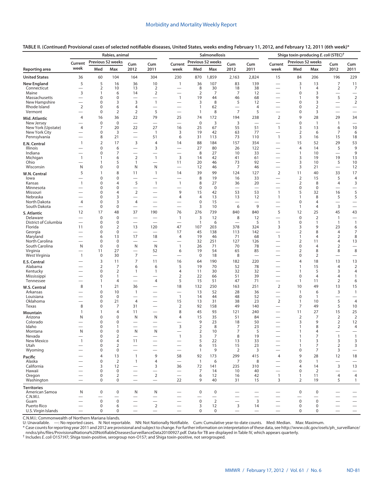|                                      |                                                      |                                      | Rabies, animal             |                                                             |                                                      |                                                      | Salmonellosis                |                      | Shiga toxin-producing E. coli (STEC) <sup>†</sup> |                                  |                                                              |                                |                                |                                                      |                                                      |
|--------------------------------------|------------------------------------------------------|--------------------------------------|----------------------------|-------------------------------------------------------------|------------------------------------------------------|------------------------------------------------------|------------------------------|----------------------|---------------------------------------------------|----------------------------------|--------------------------------------------------------------|--------------------------------|--------------------------------|------------------------------------------------------|------------------------------------------------------|
|                                      | Current                                              | Previous 52 weeks                    |                            | Cum                                                         | Cum                                                  | Current                                              |                              | Previous 52 weeks    | Cum                                               | Cum                              | Current                                                      | Previous 52 weeks              |                                | Cum                                                  | Cum                                                  |
| Reporting area                       | week                                                 | Med                                  | Max                        | 2012                                                        | 2011                                                 | week                                                 | Med                          | Max                  | 2012                                              | 2011                             | week                                                         | Med                            | Max                            | 2012                                                 | 2011                                                 |
| <b>United States</b>                 | 36                                                   | 60                                   | 104                        | 164                                                         | 304                                                  | 230                                                  | 870                          | 1,859                | 2,163                                             | 2,824                            | 15                                                           | 84                             | 206                            | 196                                                  | 229                                                  |
| <b>New England</b>                   | 5                                                    | 5                                    | 16                         | 36                                                          | 10                                                   | $\mathbf{1}$                                         | 36                           | 107                  | 83                                                | 139                              | $\overline{\phantom{0}}$                                     | 3                              | 13                             | $\overline{7}$                                       | 11                                                   |
| Connecticut                          |                                                      | $\overline{2}$                       | 10                         | 13                                                          | $\overline{2}$                                       | $\overline{\phantom{0}}$                             | 8                            | 30                   | 18                                                | 38                               | $\overline{\phantom{0}}$                                     | 1                              | $\overline{4}$                 | $\overline{2}$                                       | $\overline{7}$                                       |
| Maine<br>Massachusetts               | 3<br>$\overline{\phantom{0}}$                        | 1<br>$\mathbf 0$                     | 6<br>$\Omega$              | 14<br>$\overline{\phantom{0}}$                              | $\overline{2}$<br>$\overline{\phantom{0}}$           | $\overline{\phantom{0}}$<br>$\mathbf{1}$             | $\overline{2}$<br>19         | 7<br>44              | 7<br>46                                           | 12<br>68                         | $\overline{\phantom{0}}$<br>—                                | 0<br>1                         | 3<br>9                         | $\overline{\phantom{0}}$<br>5                        | $\overline{\phantom{0}}$<br>$\overline{2}$           |
| New Hampshire                        | $\overline{\phantom{0}}$                             | $\mathbf 0$                          | 3                          | 3                                                           | $\mathbf{1}$                                         | $\overline{\phantom{0}}$                             | 3                            | 8                    | 5                                                 | 12                               |                                                              | $\mathbf 0$                    | 3                              | $\overline{\phantom{0}}$                             | $\overline{2}$                                       |
| Rhode Island<br>Vermont              | $\overline{2}$<br>$\overline{\phantom{0}}$           | $\mathbf 0$<br>0                     | 6<br>2                     | $\overline{4}$<br>$\overline{2}$                            | 5                                                    | $\overline{\phantom{0}}$<br>$\overline{\phantom{0}}$ | $\mathbf{1}$<br>$\mathbf{1}$ | 62<br>8              | $\overline{\phantom{0}}$<br>$\overline{7}$        | 4<br>5                           | $\overline{\phantom{0}}$<br>$\overline{\phantom{0}}$         | 0<br>0                         | $\overline{2}$<br>3            | $\overline{\phantom{0}}$<br>$\overline{\phantom{0}}$ | $\overline{\phantom{0}}$<br>$\overline{\phantom{0}}$ |
| Mid. Atlantic                        | 4                                                    | 16                                   | 36                         | 22                                                          | 79                                                   | 25                                                   | 74                           | 172                  | 194                                               | 238                              | $\overline{2}$                                               | 9                              | 28                             | 29                                                   | 34                                                   |
| New Jersey                           |                                                      | $\bf 0$                              | $\mathbf 0$                | $\overbrace{\phantom{1232211}}$                             | $\overline{\phantom{0}}$                             | $\overline{\phantom{0}}$                             | $\mathbf 0$                  | 3                    | 3                                                 | $\overline{\phantom{0}}$         | $\overline{\phantom{0}}$                                     | 0                              | $\overline{1}$                 | $\mathbf{1}$                                         | $\overline{\phantom{0}}$                             |
| New York (Upstate)                   | 4                                                    | 7                                    | 20                         | 22                                                          | 27                                                   | 16                                                   | 25                           | 67                   | 55                                                | 51                               | $\mathbf{1}$                                                 | 3                              | 13                             | 6                                                    | 10                                                   |
| New York City<br>Pennsylvania        | $\overline{\phantom{0}}$                             | $\pmb{0}$<br>8                       | 3<br>21                    | $\overline{\phantom{0}}$<br>$\overline{\phantom{0}}$        | $\overline{1}$<br>51                                 | 3<br>6                                               | 19<br>31                     | 42<br>113            | 63<br>73                                          | 77<br>110                        | $\mathbf{1}$                                                 | 2<br>3                         | 6<br>16                        | 7<br>15                                              | 6<br>18                                              |
| E.N. Central                         | $\mathbf{1}$                                         | $\overline{2}$                       | 17                         | 3                                                           | $\overline{4}$                                       | 14                                                   | 88                           | 184                  | 157                                               | 354                              | $\overline{\phantom{0}}$                                     | 15                             | 52                             | 29                                                   | 53                                                   |
| Illinois                             |                                                      | $\mathbf 0$                          | 6                          | $\overline{\phantom{0}}$                                    | 3                                                    | $\overline{\phantom{0}}$                             | 27                           | 80                   | 26                                                | 122                              | $\overline{\phantom{0}}$                                     | 4                              | 14                             | 5                                                    | 9                                                    |
| Indiana<br>Michigan                  | $\overline{\phantom{0}}$<br>$\mathbf{1}$             | 0<br>$\mathbf{1}$                    | 7<br>6                     | $\overline{\phantom{0}}$<br>$\mathbf 2$                     | $\overline{\phantom{0}}$<br>$\mathbf{1}$             | $\overline{\phantom{0}}$<br>$\overline{3}$           | 8<br>14                      | 27<br>42             | 10<br>41                                          | 33<br>61                         | $\overline{\phantom{0}}$<br>$\overline{\phantom{0}}$         | 1<br>3                         | 10<br>19                       | $\overline{\phantom{0}}$<br>19                       | 9<br>13                                              |
| Ohio                                 |                                                      | $\mathbf{1}$                         | 5                          | $\mathbf{1}$                                                | $\overline{\phantom{0}}$                             | 11                                                   | 20                           | 46                   | 73                                                | 92                               | $\overline{\phantom{0}}$                                     | 3                              | 10                             | 5                                                    | 10                                                   |
| Wisconsin                            | N                                                    | $\mathbf 0$                          | 0                          | N                                                           | N                                                    | $\overline{\phantom{0}}$                             | 12                           | 46                   | $\overline{7}$                                    | 46                               | $\overline{\phantom{0}}$                                     | 3                              | 21                             | $\overline{\phantom{0}}$                             | 12                                                   |
| W.N. Central                         | 5                                                    | $\mathbf{1}$                         | 8                          | 11                                                          | $\mathbf{1}$                                         | 14                                                   | 39                           | 99                   | 124                                               | 127                              | 2                                                            | 11                             | 40                             | 33                                                   | 17                                                   |
| lowa<br>Kansas                       | $\mathbf{1}$                                         | $\mathbf 0$<br>0                     | $\Omega$<br>4              | $\overline{\phantom{0}}$<br>5                               | $\overline{1}$                                       | $\overline{\phantom{0}}$<br>$\mathbf{1}$             | 8<br>8                       | 19<br>27             | 16<br>36                                          | 33<br>20                         | $\overline{\phantom{0}}$<br>$\overline{\phantom{0}}$         | $\overline{2}$<br>2            | 15<br>8                        | 5<br>4                                               | 4<br>3                                               |
| Minnesota                            |                                                      | $\mathbf 0$                          | $\Omega$                   |                                                             | $\overline{\phantom{0}}$                             | $\overline{\phantom{0}}$                             | $\mathbf 0$                  | $\mathbf 0$          |                                                   | $\overbrace{\phantom{12322111}}$ | $\overline{\phantom{0}}$                                     | 0                              | $\mathbf 0$                    | $\overline{\phantom{0}}$                             | $\overbrace{\phantom{123221111}}$                    |
| Missouri<br>Nebraska                 | $\overline{\phantom{0}}$                             | $\mathbf 0$<br>$\mathbf 0$           | 4<br>3                     | $\overline{2}$                                              | $\overline{\phantom{0}}$<br>—                        | 9<br>$\overline{4}$                                  | 15<br>$\overline{4}$         | 42<br>13             | 53<br>13                                          | 53<br>12                         | $\overline{1}$<br>$\mathbf{1}$                               | 5<br>$\mathbf{1}$              | 32<br>8                        | 16<br>5                                              | 5<br>5                                               |
| North Dakota                         | 4                                                    | $\mathbf 0$                          | 3                          | $\overline{4}$                                              | $\overline{\phantom{0}}$                             | $\overline{\phantom{0}}$                             | $\mathbf 0$                  | 15                   | $\overline{\phantom{0}}$                          | $\overline{\phantom{0}}$         | $\overline{\phantom{0}}$                                     | $\pmb{0}$                      | $\overline{4}$                 | $\overline{\phantom{0}}$                             |                                                      |
| South Dakota                         | $\overline{\phantom{0}}$                             | $\mathbf 0$                          | $\mathbf 0$                | $\overline{\phantom{0}}$                                    | $\overline{\phantom{0}}$                             | $\overline{\phantom{0}}$                             | 3                            | 10                   | 6                                                 | 9                                | $\equiv$                                                     | 1                              | $\overline{4}$                 | 3                                                    | $\overbrace{\phantom{12322111}}$                     |
| S. Atlantic                          | 12                                                   | 17                                   | 48                         | 37                                                          | 190                                                  | 76                                                   | 276                          | 739                  | 840                                               | 840                              | 5                                                            | 12                             | 25                             | 45                                                   | 43                                                   |
| Delaware<br>District of Columbia     | $\overline{\phantom{0}}$<br>$\overline{\phantom{0}}$ | $\mathbf 0$<br>$\mathbf 0$           | $\mathbf 0$<br>$\mathbf 0$ | $\overbrace{\phantom{1232211}}$<br>$\overline{\phantom{0}}$ | $\overline{\phantom{0}}$<br>$\overline{\phantom{0}}$ | $\mathbf{1}$<br>$\overline{\phantom{0}}$             | 3<br>$\overline{1}$          | 12<br>6              | 8<br>$\overline{\phantom{0}}$                     | 12<br>5                          | $\overline{\phantom{0}}$<br>$\mathbf{1}$                     | $\mathbf 0$<br>$\mathbf 0$     | $\overline{2}$<br>$\mathbf{1}$ | $\overline{1}$<br>$\overline{1}$                     | $\overline{\phantom{0}}$<br>$\mathbf{1}$             |
| Florida                              | 11                                                   | $\mathbf 0$                          | $\overline{2}$             | 13                                                          | 120                                                  | 47                                                   | 107                          | 203                  | 378                                               | 324                              | 3                                                            | 3                              | 9                              | 23                                                   | 6                                                    |
| Georgia                              | $\overline{\phantom{0}}$<br>$\overline{\phantom{0}}$ | 0                                    | 0                          | $\overline{\phantom{0}}$<br>17                              | $\overline{\phantom{0}}$<br>18                       | 17<br>$\overline{4}$                                 | 45<br>19                     | 138                  | 113                                               | 142<br>68                        | $\overline{\phantom{0}}$<br>$\overline{1}$                   | 2                              | 8<br>$\overline{4}$            | 4<br>$\overline{2}$                                  | 7<br>8                                               |
| Maryland<br>North Carolina           | $\overline{\phantom{0}}$                             | 6<br>$\mathbf 0$                     | 13<br>$\mathbf 0$          | $\overline{\phantom{0}}$                                    | $\overline{\phantom{0}}$                             | $\overline{\phantom{0}}$                             | 32                           | 46<br>251            | 71<br>127                                         | 126                              | $\overline{\phantom{0}}$                                     | 1<br>$\overline{2}$            | 11                             | 4                                                    | 13                                                   |
| South Carolina                       | N                                                    | $\mathbf 0$                          | $\mathbf 0$                | N                                                           | ${\sf N}$                                            | $\overline{1}$                                       | 26                           | 71                   | 70                                                | 78                               | $\overline{\phantom{0}}$                                     | 0                              | $\overline{4}$                 | $\overline{2}$                                       |                                                      |
| Virginia<br>West Virginia            | $\overline{\phantom{0}}$<br>$\mathbf{1}$             | 11<br>$\mathbf 0$                    | 27<br>30                   | $\overline{\phantom{0}}$<br>7                               | 52                                                   | 6<br>$\overline{\phantom{0}}$                        | 19<br>$\mathbf 0$            | 54<br>18             | 65<br>8                                           | 85<br>$\overline{\phantom{0}}$   | $\overbrace{\phantom{12322111}}$<br>$\overline{\phantom{0}}$ | 2<br>0                         | 8<br>$\overline{2}$            | 8<br>$\overline{\phantom{0}}$                        | 8                                                    |
| E.S. Central                         |                                                      | 3                                    | 11                         | $\overline{7}$                                              | 11                                                   | 16                                                   | 64                           | 190                  | 182                                               | 220                              | $\overline{\phantom{0}}$                                     | 4                              | 18                             | 13                                                   | 13                                                   |
| Alabama                              |                                                      | $\overline{2}$                       | 7                          | 6                                                           | 6                                                    | 5                                                    | 19                           | 70                   | 52                                                | 78                               | $\overline{\phantom{0}}$                                     | 1                              | 15                             | $\overline{4}$                                       | $\overline{2}$                                       |
| Kentucky                             |                                                      | $\mathbf 0$                          | $\overline{2}$             | $\mathbf{1}$                                                | $\mathbf{1}$                                         | 4                                                    | 11                           | 30                   | 32                                                | 32                               |                                                              | 1                              | 5                              | 3                                                    | 4                                                    |
| Mississippi<br>Tennessee             | $\overline{\phantom{0}}$<br>$\overline{\phantom{0}}$ | $\mathbf 0$<br>$\mathbf{1}$          | 1<br>4                     |                                                             | 4                                                    | $\overline{2}$<br>5                                  | 22<br>15                     | 66<br>51             | 51<br>47                                          | 39<br>71                         | $\overline{\phantom{0}}$<br>$\overbrace{\phantom{12322111}}$ | $\mathbf 0$<br>$\mathbf{1}$    | $\overline{4}$<br>11           | 4<br>$\overline{2}$                                  | $\mathbf{1}$<br>6                                    |
| W.S. Central                         | 8                                                    | $\mathbf{1}$                         | 21                         | 36                                                          |                                                      | 18                                                   | 132                          | 250                  | 163                                               | 251                              | 2                                                            | 10                             | 49                             | 13                                                   | 15                                                   |
| Arkansas                             |                                                      | $\mathbf 0$                          | 10                         | $\mathbf{1}$                                                | $\overline{\phantom{0}}$                             | $\overline{\phantom{0}}$                             | 13                           | 52                   | 28                                                | 36                               | $\overline{\phantom{0}}$                                     | $\mathbf{1}$                   | 6                              | 3                                                    | $\mathbf{1}$                                         |
| Louisiana<br>Oklahoma                | $\overline{\phantom{0}}$<br>$\overline{\phantom{0}}$ | $\mathbf 0$<br>$\mathbf 0$           | $\mathbf 0$<br>21          | $\overline{\phantom{0}}$<br>$\overline{4}$                  | $\overline{\phantom{0}}$<br>$\overline{\phantom{0}}$ | $\overline{1}$<br>15                                 | 14<br>13                     | 44<br>31             | 48<br>38                                          | 52<br>23                         | 2                                                            | 0<br>$\mathbf{1}$              | $\overline{1}$<br>10           | $\overline{\phantom{0}}$<br>5                        | $\overline{\phantom{0}}$<br>$\overline{4}$           |
| Texas                                | 8                                                    | $\mathbf 0$                          | 7                          | 31                                                          | $\overline{\phantom{0}}$                             | 2                                                    | 92                           | 158                  | 49                                                | 140                              | $\overbrace{\qquad \qquad }$                                 | 7                              | 49                             | 5                                                    | 10                                                   |
| <b>Mountain</b>                      | 1                                                    | $\mathbf{1}$                         | 4                          | 11                                                          |                                                      | 8                                                    | 45                           | 93                   | 121                                               | 240                              | $\overline{\phantom{0}}$                                     | 11                             | 27                             | 15                                                   | 25                                                   |
| Arizona<br>Colorado                  | N                                                    | $\mathbf 0$<br>0                     | 0<br>0                     | N<br>$\overline{\phantom{0}}$                               | N                                                    | $\overline{4}$                                       | 15<br>9                      | 35<br>23             | 51<br>18                                          | 84<br>50                         | $\overline{\phantom{0}}$<br>$\overline{\phantom{0}}$         | $\overline{2}$<br>3            | 7<br>9                         | $\overline{2}$<br>$\overline{2}$                     | $\overline{2}$<br>12                                 |
| Idaho                                |                                                      | $\mathbf 0$                          | $\mathbf{1}$               |                                                             | $\overline{\phantom{0}}$                             | -<br>3                                               | $\overline{2}$               | 8                    | $\overline{7}$                                    | 23                               | $\overline{\phantom{0}}$                                     | 1                              | 8                              | $\overline{2}$                                       | 4                                                    |
| Montana                              | N                                                    | 0                                    | 0                          | N                                                           | N                                                    |                                                      | 2                            | 10                   | 7                                                 | 5                                |                                                              | 1                              | 4                              |                                                      |                                                      |
| Nevada<br>New Mexico                 | $\overline{\phantom{0}}$<br>$\mathbf{1}$             | $\boldsymbol{0}$<br>$\boldsymbol{0}$ | $\overline{2}$<br>4        | $\overline{\phantom{0}}$<br>11                              | $\qquad \qquad -$                                    | $\mathbf{1}$                                         | 3<br>5                       | 7<br>22              | 8<br>13                                           | 19<br>33                         | —<br>$\overline{\phantom{0}}$                                | $\overline{1}$<br>$\mathbf{1}$ | $\overline{7}$<br>3            | $\mathbf{1}$<br>3                                    | $\overline{1}$<br>3                                  |
| Utah                                 |                                                      | $\boldsymbol{0}$                     | $\overline{2}$             | $\overline{\phantom{0}}$                                    | $\overline{\phantom{0}}$                             | $\overline{\phantom{0}}$                             | 6                            | 15                   | 15                                                | 23                               | $\overline{\phantom{0}}$                                     | 1                              | $\overline{7}$                 | $\overline{2}$                                       | 3                                                    |
| Wyoming                              |                                                      | $\boldsymbol{0}$                     | $\mathbf 0$                |                                                             |                                                      | $\overline{\phantom{0}}$                             | $\mathbf{1}$                 | 9                    | 2                                                 | 3                                | $\overline{\phantom{0}}$                                     | $\pmb{0}$                      | 7                              | 3                                                    | $\qquad \qquad -$                                    |
| Pacific                              |                                                      | $\overline{4}$<br>$\pmb{0}$          | 13<br>$\overline{2}$       | $\mathbf{1}$<br>$\mathbf{1}$                                | 9<br>4                                               | 58<br>$\overline{\phantom{0}}$                       | 92<br>$\overline{1}$         | 173<br>6             | 299<br>$\overline{7}$                             | 415                              | $\overline{4}$<br>$\overline{\phantom{0}}$                   | 9<br>$\pmb{0}$                 | 28<br>$\overline{1}$           | 12<br>$\overline{\phantom{0}}$                       | 18                                                   |
| Alaska<br>California                 |                                                      | 3                                    | 12                         |                                                             | 3                                                    | 36                                                   | 72                           | 141                  | 235                                               | 8<br>310                         |                                                              | 4                              | 14                             | $\overline{3}$                                       | 13                                                   |
| Hawaii                               |                                                      | $\boldsymbol{0}$                     | $\pmb{0}$                  |                                                             |                                                      |                                                      | 7                            | 14                   | 10                                                | 40                               | $\overline{\phantom{0}}$                                     | $\mathbf 0$                    | 2                              | $\overline{\phantom{0}}$                             |                                                      |
| Oregon<br>Washington                 | $\overline{\phantom{0}}$                             | $\mathbf 0$<br>$\mathbf 0$           | 2<br>$\mathbf 0$           | $\overline{\phantom{0}}$                                    | $\overline{2}$                                       | 22                                                   | 6<br>9                       | 12<br>40             | 16<br>31                                          | 42<br>15                         | $\overline{1}$<br>3                                          | $\mathbf{1}$<br>2              | 11<br>19                       | $\overline{4}$<br>5                                  | $\overline{4}$<br>$\mathbf{1}$                       |
|                                      |                                                      |                                      |                            |                                                             |                                                      |                                                      |                              |                      |                                                   |                                  |                                                              |                                |                                |                                                      |                                                      |
| <b>Territories</b><br>American Samoa | N                                                    | $\pmb{0}$                            | $\pmb{0}$                  | N                                                           | N                                                    | -                                                    | $\mathsf 0$                  | $\pmb{0}$            |                                                   |                                  |                                                              | $\mathbf 0$                    | $\pmb{0}$                      |                                                      |                                                      |
| C.N.M.I.                             |                                                      | $\overline{\phantom{0}}$             |                            | $\overbrace{\phantom{1232211}}$                             | $\overline{\phantom{0}}$                             | $\overline{\phantom{0}}$                             |                              | $\equiv$             | $\equiv$                                          | $\overline{\phantom{0}}$         | $\overline{\phantom{0}}$                                     | $\overline{\phantom{0}}$       | $\overline{\phantom{0}}$       | $\overline{\phantom{0}}$                             |                                                      |
| Guam<br>Puerto Rico                  | $\overline{\phantom{0}}$<br>$\overline{\phantom{0}}$ | $\pmb{0}$<br>$\pmb{0}$               | $\pmb{0}$<br>6             | $\overline{\phantom{0}}$                                    | $\overline{\phantom{0}}$<br>$\overline{2}$           | $\overline{\phantom{0}}$                             | $\mathsf 0$<br>3             | $\overline{2}$<br>12 | $\mathsf{3}$                                      | $\overline{3}$<br>14             | $\overbrace{\phantom{12322111}}$                             | $\mathbf 0$<br>$\mathbf 0$     | $\pmb{0}$<br>$\pmb{0}$         | $\overline{\phantom{0}}$<br>$\overline{\phantom{0}}$ | $\qquad \qquad -$<br>$\overline{\phantom{0}}$        |
| U.S. Virgin Islands                  |                                                      | $\mathbf 0$                          | 0                          |                                                             | $\overline{\phantom{m}}$                             | $\overline{\phantom{0}}$                             | $\mathbf 0$                  | $\mathbf 0$          | $\overline{\phantom{m}}$                          | $\hspace{0.1mm}-\hspace{0.1mm}$  | $\overline{\phantom{0}}$                                     | 0                              | $\mathbf 0$                    |                                                      | $\qquad \qquad -$                                    |

**TABLE II. (***Continued***) Provisional cases of selected notifiable diseases, United States, weeks ending February 11, 2012, and February 12, 2011 (6th week)\***

C.N.M.I.: Commonwealth of Northern Mariana Islands.<br>U: Unavailable. —: No reported cases. N: Not reportable. NN: Not Nationally Notifiable. Cum: Cumulative year-to-date counts. Med: Median. Max: Maximum.

\* Case counts for reporting year 2011 and 2012 are provisional and subject to change. For further information on interpretation of these data, see [http://www.cdc.gov/osels/ph\\_surveillance/](http://www.cdc.gov/osels/ph_surveillance/nndss/phs/files/ProvisionalNationa%20NotifiableDiseasesSurveillanceData20100927.pdf)<br>nndss/phs/files/ProvisionalNation

† Includes *E. coli* O157:H7; Shiga toxin-positive, serogroup non-O157; and Shiga toxin-positive, not serogrouped.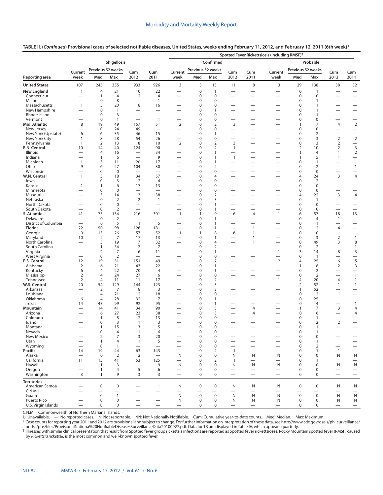## **TABLE II. (***Continued***) Provisional cases of selected notifiable diseases, United States, weeks ending February 11, 2012, and February 12, 2011 (6th week)\***

|                                      |                                                      |                            |                               |                                   |                                                              | Spotted Fever Rickettsiosis (including RMSF) <sup>†</sup> |                            |                                    |                                                      |                                                      |                                          |                            |                             |                                        |                                            |  |
|--------------------------------------|------------------------------------------------------|----------------------------|-------------------------------|-----------------------------------|--------------------------------------------------------------|-----------------------------------------------------------|----------------------------|------------------------------------|------------------------------------------------------|------------------------------------------------------|------------------------------------------|----------------------------|-----------------------------|----------------------------------------|--------------------------------------------|--|
|                                      |                                                      |                            | Shigellosis                   |                                   |                                                              |                                                           | Confirmed                  |                                    |                                                      |                                                      |                                          | Probable                   |                             |                                        |                                            |  |
|                                      | Current                                              |                            | Previous 52 weeks             | Cum                               | Cum                                                          | Current                                                   |                            | Previous 52 weeks                  | Cum                                                  | Cum                                                  | Current                                  | Previous 52 weeks          |                             | Cum                                    | Cum                                        |  |
| Reporting area                       | week                                                 | Med                        | Max                           | 2012                              | 2011                                                         | week                                                      | Med                        | Max                                | 2012                                                 | 2011                                                 | week                                     | Med                        | Max                         | 2012                                   | 2011                                       |  |
| <b>United States</b>                 | 107                                                  | 245                        | 355                           | 933                               | 926                                                          | 3                                                         | 3                          | 15                                 | 11                                                   | 8                                                    | 3                                        | 29                         | 138                         | 38                                     | 32                                         |  |
| <b>New England</b>                   | $\mathbf{1}$                                         | $\overline{4}$             | 21                            | 10                                | 22                                                           | $\overline{\phantom{0}}$                                  | $\mathbf 0$                | $\overline{1}$                     | —                                                    | -                                                    |                                          | $\mathbf 0$                | 1                           |                                        |                                            |  |
| Connecticut<br>Maine                 | $\overline{\phantom{0}}$<br>$\overline{\phantom{0}}$ | $\mathbf{1}$<br>0          | $\overline{4}$<br>8           | 2<br>$\qquad \qquad$              | 4<br>$\overline{1}$                                          | $\overline{\phantom{0}}$<br>—                             | 0<br>0                     | $\mathbf 0$<br>$\mathbf 0$         | $\overline{\phantom{0}}$                             | $\overline{\phantom{0}}$<br>$\overline{\phantom{0}}$ | $\overline{\phantom{0}}$                 | $\mathbf 0$<br>$\mathbf 0$ | 0<br>1                      | $\overline{\phantom{0}}$               | $\overline{\phantom{0}}$                   |  |
| Massachusetts                        | $\mathbf{1}$                                         | 3                          | 20                            | $\,8\,$                           | 16                                                           |                                                           | 0                          | $\mathbf 0$                        | $\overline{\phantom{0}}$                             | $\overline{\phantom{0}}$                             |                                          | $\mathbf 0$                | 1                           |                                        |                                            |  |
| New Hampshire                        |                                                      | 0                          | 1                             |                                   |                                                              |                                                           | 0                          | $\mathbf{1}$                       | $\overline{\phantom{0}}$                             | $\overline{\phantom{0}}$                             | $\overline{\phantom{0}}$                 | $\mathbf 0$                | $\mathbf{1}$                |                                        | $\overline{\phantom{0}}$                   |  |
| Rhode Island                         | $\overline{\phantom{0}}$                             | 0                          | 3                             |                                   |                                                              | —                                                         | 0                          | $\mathbf 0$                        |                                                      | $\overline{\phantom{0}}$                             | —                                        | $\mathbf 0$                | $\mathbf{1}$                |                                        |                                            |  |
| Vermont<br>Mid. Atlantic             | 8                                                    | $\mathbf 0$<br>19          | $\mathbf{1}$<br>49            | 157                               | $\overline{1}$<br>51                                         | $\overline{2}$                                            | 0<br>0                     | $\mathbf 0$<br>$\overline{2}$      | $\overline{\phantom{0}}$<br>3                        | $\overline{\phantom{0}}$<br>$\overline{\phantom{0}}$ | $\overline{\phantom{0}}$<br>—            | $\mathbf 0$<br>1           | 0<br>7                      | $\overline{4}$                         | $\overline{2}$                             |  |
| New Jersey                           |                                                      | $\mathbf 0$                | 24                            | 49                                | $\overline{\phantom{0}}$                                     | $\overline{\phantom{0}}$                                  | 0                          | $\mathbf 0$                        | $\overline{\phantom{0}}$                             | $\overline{\phantom{0}}$                             | —                                        | $\mathbf 0$                | 0                           |                                        |                                            |  |
| New York (Upstate)                   | 6                                                    | 6                          | 35                            | 46                                | 15                                                           | $\overline{\phantom{0}}$                                  | 0                          | $\mathbf{1}$                       | $\overline{\phantom{0}}$                             | $\equiv$                                             | $\overline{\phantom{0}}$                 | $\mathbf 0$                | 2                           | $\overline{\phantom{0}}$               | $\equiv$                                   |  |
| New York City                        | 1                                                    | 8                          | 28                            | 54                                | 26                                                           | —                                                         | 0                          | $\mathbf 0$                        | -                                                    |                                                      | -                                        | $\mathbf 0$                | 3                           | $\overline{2}$                         | $\mathbf 2$                                |  |
| Pennsylvania<br><b>E.N. Central</b>  | 1<br>10                                              | $\overline{2}$<br>14       | 13<br>40                      | 8                                 | 10<br>90                                                     | $\overline{2}$<br>$\overline{\phantom{0}}$                | 0<br>$\Omega$              | $\overline{2}$<br>$\overline{2}$   | 3<br>$\mathbf{1}$                                    | $\equiv$<br>$\equiv$                                 | $\overline{\phantom{0}}$                 | $\pmb{0}$                  | 3<br>10                     | $\overline{2}$<br>$\overline{2}$       | $\overline{\phantom{0}}$<br>$\overline{3}$ |  |
| Illinois                             | $\overline{\phantom{0}}$                             | 4                          | 16                            | 124<br>$\overline{\phantom{0}}$   | 34                                                           | —                                                         | 0                          | $\mathbf{1}$                       | $\overline{\phantom{0}}$                             | $\overline{\phantom{0}}$                             | —<br>—                                   | 2<br>1                     | 4                           | 1                                      | $\overline{2}$                             |  |
| Indiana                              |                                                      | $\mathbf{1}$               | 6                             | $\overbrace{\phantom{12322111}}$  | 9                                                            | $\overline{\phantom{0}}$                                  | 0                          | $\overline{1}$                     | $\mathbf{1}$                                         | $\overline{\phantom{0}}$                             | $\overline{\phantom{0}}$                 | $\mathbf{1}$               | 5                           | 1                                      | $\qquad \qquad -$                          |  |
| Michigan                             | $\mathbf{1}$                                         | 3                          | 11                            | 20                                | 17                                                           | $\overline{\phantom{0}}$                                  | 0                          | $\mathbf{1}$                       |                                                      | $\overline{\phantom{0}}$                             |                                          | 0                          | $\mathbf{1}$                |                                        |                                            |  |
| Ohio                                 | 9                                                    | 6                          | 27                            | 104                               | 30                                                           |                                                           | 0                          | $\overline{2}$                     |                                                      |                                                      |                                          | $\mathbf 0$                | $\overline{2}$              | $\overline{\phantom{0}}$               | $\overline{1}$                             |  |
| Wisconsin<br>W.N. Central            | $\mathbf{1}$                                         | $\boldsymbol{0}$<br>5      | 0<br>18                       | 34                                | $\overline{\phantom{0}}$<br>57                               | -                                                         | 0<br>0                     | $\boldsymbol{0}$<br>$\overline{4}$ | $\overline{\phantom{0}}$                             |                                                      | —                                        | 0<br>4                     | $\boldsymbol{0}$<br>24      | $\overbrace{\phantom{12322111}}$<br>3  | $\overline{4}$                             |  |
| lowa                                 | $\overline{\phantom{0}}$                             | 0                          | 3                             | $\overline{2}$                    | 4                                                            | $\overline{\phantom{0}}$                                  | 0                          | $\boldsymbol{0}$                   | $\overline{\phantom{0}}$                             | $\overline{\phantom{0}}$                             |                                          | 0                          | $\overline{2}$              | $\overbrace{\phantom{12322111}}$       | $\overline{\phantom{0}}$                   |  |
| Kansas                               | $\mathbf{1}$                                         | $\mathbf{1}$               | 6                             | 17                                | 13                                                           | $\overline{\phantom{0}}$                                  | 0                          | $\mathbf 0$                        |                                                      | $\overline{\phantom{0}}$                             | $\overline{\phantom{0}}$                 | $\mathbf 0$                | $\mathbf 0$                 | $\overline{\phantom{m}}$               | $\qquad \qquad -$                          |  |
| Minnesota                            |                                                      | $\bf 0$                    | $\mathbf 0$                   | $\overline{\phantom{0}}$          | $\overline{\phantom{0}}$                                     |                                                           | 0                          | $\mathbf 0$                        |                                                      | $\overline{\phantom{0}}$                             |                                          | $\mathbf 0$                | $\mathbf 0$                 | $\overbrace{\phantom{123221111}}$      |                                            |  |
| Missouri                             |                                                      | 3                          | 14                            | 13                                | 38                                                           | $\overline{\phantom{0}}$                                  | 0                          | $\overline{2}$                     |                                                      |                                                      | -                                        | 4                          | 22                          | 3                                      | 4                                          |  |
| Nebraska<br>North Dakota             |                                                      | 0<br>$\mathbf 0$           | $\overline{2}$<br>$\mathbf 0$ | $\overline{2}$<br>$\qquad \qquad$ | $\overline{1}$<br>$\overline{\phantom{0}}$                   |                                                           | 0<br>0                     | 3<br>$\mathbf{1}$                  |                                                      | $\overline{\phantom{0}}$                             | -<br>$\overline{\phantom{0}}$            | $\mathbf 0$<br>$\mathbf 0$ | $\mathbf{1}$<br>$\mathbf 0$ | $\overline{\phantom{0}}$               | $\qquad \qquad$                            |  |
| South Dakota                         |                                                      | $\mathbf 0$                | $\overline{2}$                | $\equiv$                          | $\overline{1}$                                               | $\overline{\phantom{0}}$                                  | $\mathbf 0$                | $\overline{1}$                     | $\overline{\phantom{0}}$                             | $\overline{\phantom{0}}$                             | $\overline{\phantom{0}}$                 | $\pmb{0}$                  | $\mathbf 0$                 | $\overline{\phantom{0}}$               |                                            |  |
| S. Atlantic                          | 41                                                   | 75                         | 134                           | 216                               | 301                                                          | $\mathbf{1}$                                              | $\mathbf{1}$               | 9                                  | 6                                                    | $\overline{4}$                                       | $\mathbf{1}$                             | 6                          | 57                          | 18                                     | 13                                         |  |
| Delaware                             |                                                      | $\mathbf 0$                | $\overline{2}$                |                                   |                                                              | $\overline{\phantom{0}}$                                  | 0                          | $\mathbf{1}$                       | $\overline{\phantom{0}}$                             | $\overline{\phantom{0}}$                             | $\overline{\phantom{0}}$                 | 0                          | $\overline{4}$              | 1                                      |                                            |  |
| District of Columbia<br>Florida      | $\overline{\phantom{0}}$<br>22                       | $\mathbf 0$<br>50          | 5<br>98                       | $\overline{1}$                    | 5<br>181                                                     |                                                           | 0<br>0                     | $\overline{1}$<br>$\overline{1}$   | $\overline{\phantom{0}}$                             | $\mathbf{1}$                                         | -                                        | $\mathbf 0$<br>0           | $\mathbf{1}$<br>2           | $\overline{4}$                         |                                            |  |
| Georgia                              | 9                                                    | 13                         | 26                            | 126<br>57                         | 52                                                           | —<br>$\mathbf{1}$                                         | $\mathbf{1}$               | 8                                  | 6                                                    | $\mathbf{1}$                                         |                                          | 0                          | $\mathbf 0$                 |                                        | $\overline{\phantom{0}}$                   |  |
| Maryland                             | 10                                                   | $\overline{2}$             | $\overline{7}$                | 17                                | 13                                                           | $\overline{\phantom{0}}$                                  | 0                          | $\mathbf{1}$                       |                                                      | $\mathbf{1}$                                         |                                          | $\mathbf 0$                | 3                           | $\overline{2}$                         | $\mathbf{1}$                               |  |
| North Carolina                       | $\overline{\phantom{0}}$                             | 3                          | 19                            | 7                                 | 32                                                           | $\overline{\phantom{0}}$                                  | 0                          | $\overline{4}$                     | $\overline{\phantom{0}}$                             | $\mathbf{1}$                                         | $\overline{\phantom{0}}$                 | $\mathbf 0$                | 49                          | 3                                      | $\,8\,$                                    |  |
| South Carolina                       | $\overline{\phantom{0}}$                             | 1                          | 54                            | $\overline{2}$                    | $\overline{7}$                                               | —                                                         | 0                          | $\overline{2}$                     | $\overline{\phantom{0}}$                             |                                                      | -                                        | $\mathbf 0$                | 2                           |                                        | $\overline{1}$                             |  |
| Virginia<br>West Virginia            | $\overline{\phantom{0}}$<br>$\overline{\phantom{0}}$ | 2<br>$\mathbf 0$           | 7<br>$\overline{2}$           | 6<br>$\overline{\phantom{0}}$     | 11                                                           | —                                                         | 0<br>0                     | $\mathbf{1}$<br>$\mathbf 0$        | $\overline{\phantom{0}}$<br>$\overline{\phantom{0}}$ | $\overline{\phantom{0}}$<br>$\overline{\phantom{0}}$ | $\mathbf{1}$                             | 3<br>$\mathbf 0$           | 14<br>$\mathbf{1}$          | 8                                      | 3<br>$\qquad \qquad -$                     |  |
| E.S. Central                         | 12                                                   | 19                         | 51                            | 151                               | 49                                                           |                                                           | 0                          | $\overline{2}$                     | -                                                    | $\overline{\phantom{0}}$                             | $\overline{2}$                           | 4                          | 25                          | 6                                      | 5                                          |  |
| Alabama                              | $\overline{2}$                                       | 6                          | 21                            | 43                                | 22                                                           |                                                           | 0                          | $\mathbf{1}$                       |                                                      | $\equiv$                                             | $\mathbf{1}$                             | 1                          | 8                           | 2                                      | 3                                          |  |
| Kentucky                             | 6                                                    | 4                          | 22                            | 70                                | 4                                                            | $\overline{\phantom{0}}$                                  | 0                          | $\mathbf{1}$                       | $\overline{\phantom{0}}$                             | $\overline{\phantom{0}}$                             | $\overline{\phantom{0}}$                 | 0                          | $\overline{2}$              | $\overline{\phantom{0}}$               |                                            |  |
| Mississippi<br>Tennessee             | $\overline{2}$<br>$\overline{2}$                     | 4<br>$\overline{4}$        | 24<br>11                      | 27<br>11                          | 6<br>17                                                      | $\overline{\phantom{0}}$<br>$\overline{\phantom{0}}$      | 0<br>0                     | $\mathbf 0$<br>$\overline{2}$      | $\overline{\phantom{0}}$                             | $\equiv$<br>$\equiv$                                 | $\overline{\phantom{0}}$<br>$\mathbf{1}$ | 0<br>4                     | $\overline{2}$<br>20        | $\overbrace{\phantom{123221111}}$<br>4 | $\mathbf{1}$<br>$\mathbf{1}$               |  |
| W.S. Central                         | 20                                                   | 54                         | 129                           | 144                               | 123                                                          | -                                                         | 0                          | 3                                  |                                                      |                                                      |                                          | $\overline{2}$             | 52                          | 1                                      | $\mathbf{1}$                               |  |
| Arkansas                             |                                                      | $\overline{2}$             | 7                             | 8                                 | 3                                                            | $\overline{\phantom{0}}$                                  | 0                          | 3                                  | $\overline{\phantom{0}}$                             | $\equiv$                                             | $\overline{\phantom{0}}$                 | 1                          | 52                          | $\overbrace{\phantom{123221111}}$      | $\overline{\phantom{0}}$                   |  |
| Louisiana                            |                                                      | 4                          | 21                            | 12                                | 18                                                           | $\overline{\phantom{0}}$                                  | 0                          | $\mathbf 0$                        | $\overline{\phantom{0}}$                             | $\overline{\phantom{0}}$                             |                                          | $\mathbf 0$                | $\overline{2}$              | $\mathbf{1}$                           |                                            |  |
| Oklahoma                             | 6                                                    | $\overline{4}$             | 28                            | 32                                | 7                                                            | $\overline{\phantom{0}}$                                  | 0                          | $\mathbf{1}$                       | $\overline{\phantom{0}}$                             | $\overline{\phantom{0}}$                             | $\overline{\phantom{0}}$                 | 0                          | 25                          |                                        | $\overline{\phantom{0}}$                   |  |
| Texas<br>Mountain                    | 14                                                   | 43<br>14                   | 99<br>41                      | 92<br>34                          | 95<br>90                                                     | $\overline{\phantom{0}}$                                  | 0<br>0                     | $\overline{1}$<br>3                | $\overline{\phantom{0}}$<br>$\overline{\phantom{0}}$ | $\overline{\phantom{0}}$<br>4                        | $\overline{\phantom{0}}$<br>—            | $\mathbf 0$<br>1           | $\overline{4}$<br>7         | $\overline{\phantom{0}}$<br>3          | $\overline{1}$<br>4                        |  |
| Arizona                              |                                                      | 6                          | 27                            | 23                                | 38                                                           | $\overline{\phantom{0}}$                                  | 0                          | 3                                  |                                                      | $\overline{4}$                                       | $\overline{\phantom{0}}$                 | $\mathbf 0$                | 6                           | $\overline{\phantom{0}}$               | $\overline{4}$                             |  |
| Colorado                             |                                                      | $\mathbf{1}$               | 8                             | $\overline{2}$                    | 13                                                           |                                                           | 0                          | $\mathbf 0$                        | $\overline{\phantom{0}}$                             |                                                      | $\overline{\phantom{0}}$                 | 0                          | 1                           | $\overline{\phantom{m}}$               | $\overline{\phantom{0}}$                   |  |
| Idaho                                |                                                      | 0                          | 3                             | 1                                 | 3                                                            |                                                           | 0                          | 0                                  |                                                      | $\overline{\phantom{0}}$                             |                                          | $\pmb{0}$                  | 2                           | $\overline{2}$                         |                                            |  |
| Montana<br>Nevada                    |                                                      | 1<br>0                     | 15<br>$\overline{4}$          | 3<br>1                            | 5<br>6                                                       |                                                           | 0<br>0                     | 0<br>0                             | $\overline{\phantom{0}}$                             | $\overline{\phantom{0}}$                             | $\overline{\phantom{0}}$                 | $\pmb{0}$<br>$\mathbf 0$   | 1<br>1                      |                                        | $\overline{\phantom{0}}$                   |  |
| New Mexico                           |                                                      | $\overline{2}$             | $\overline{7}$                | 3                                 | 20                                                           |                                                           | $\mathbf 0$                | $\mathbf 0$                        |                                                      |                                                      |                                          | $\pmb{0}$                  | $\boldsymbol{0}$            |                                        |                                            |  |
| Utah                                 |                                                      | $\mathbf{1}$               | $\overline{4}$                | $\mathbf{1}$                      | 5                                                            |                                                           | $\mathbf 0$                | $\mathbf 0$                        |                                                      |                                                      | $\overline{\phantom{0}}$                 | $\pmb{0}$                  | $\mathbf{1}$                | $\overline{1}$                         |                                            |  |
| Wyoming                              |                                                      | $\mathbf 0$                | $\mathbf{1}$                  |                                   | $\overline{\phantom{0}}$                                     |                                                           | 0                          | $\mathbf 0$                        |                                                      |                                                      |                                          | $\mathbf 0$                | 2                           |                                        | $\overline{\phantom{0}}$                   |  |
| Pacific                              | 14                                                   | 19                         | 44                            | 63                                | 143                                                          | $\overline{\phantom{0}}$                                  | 0                          | $\overline{2}$                     | $\mathbf{1}$                                         | $\overline{\phantom{0}}$                             | $\overline{\phantom{0}}$                 | $\mathbf 0$                | 1                           | $\mathbf{1}$                           |                                            |  |
| Alaska<br>California                 | 11                                                   | $\mathbf 0$<br>15          | $\overline{2}$<br>41          | 2<br>53                           | 125                                                          | N                                                         | $\mathbf 0$<br>0           | $\mathbf 0$<br>$\overline{2}$      | N<br>$\mathbf{1}$                                    | N                                                    | N                                        | $\mathbf 0$<br>$\mathbf 0$ | $\mathbf 0$<br>1            | N<br>$\mathbf{1}$                      | ${\sf N}$                                  |  |
| Hawaii                               | $\overline{\phantom{0}}$                             | $\mathbf{1}$               | 3                             | $\qquad \qquad$                   | 9                                                            | N                                                         | $\mathbf 0$                | $\mathbf 0$                        | N                                                    | N                                                    | N                                        | $\mathbf 0$                | $\mathbf 0$                 | N                                      | $\mathsf{N}$                               |  |
| Oregon                               | $\qquad \qquad$                                      | $\mathbf{1}$               | 4                             | 5                                 | 6                                                            |                                                           | 0                          | $\mathbf 0$                        |                                                      |                                                      |                                          | $\mathbf 0$                | $\mathbf 0$                 |                                        | $\overline{\phantom{0}}$                   |  |
| Washington                           | 3                                                    | $\mathbf{1}$               | 9                             | 3                                 | 3                                                            | $\overline{\phantom{0}}$                                  | $\mathbf 0$                | $\mathbf 0$                        |                                                      |                                                      | $\overline{\phantom{0}}$                 | $\mathbf 0$                | $\mathbf 0$                 | $\overline{\phantom{m}}$               | $\qquad \qquad -$                          |  |
| <b>Territories</b><br>American Samoa |                                                      | $\mathbf 0$                | $\pmb{0}$                     | $\overline{\phantom{0}}$          | $\mathbf{1}$                                                 | N                                                         | $\mathbf 0$                | $\boldsymbol{0}$                   | N                                                    | N                                                    | N                                        | $\mathbf 0$                | $\mathbf 0$                 | N                                      | N                                          |  |
| C.N.M.I.                             |                                                      |                            | $\overline{\phantom{0}}$      | $\overbrace{\phantom{1232211}}$   | $\overline{\phantom{0}}$                                     |                                                           | $\overline{\phantom{0}}$   |                                    | $\overline{\phantom{0}}$                             | $\overline{\phantom{0}}$                             |                                          | $\overline{\phantom{0}}$   | $\overline{\phantom{0}}$    | $\overbrace{\phantom{123221111}}$      | $\overline{\phantom{0}}$                   |  |
| Guam<br>Puerto Rico                  |                                                      | $\mathbf 0$<br>$\mathbf 0$ | $\mathbf{1}$<br>$\pmb{0}$     | $\overline{\phantom{0}}$          | $\overbrace{\phantom{12322111}}$<br>$\overline{\phantom{0}}$ | $\mathsf{N}$<br>N                                         | $\mathbf 0$<br>$\mathbf 0$ | $\mathbf 0$<br>$\mathbf 0$         | N<br>N                                               | ${\sf N}$<br>N                                       | N<br>N                                   | $\pmb{0}$<br>$\pmb{0}$     | $\mathsf 0$<br>$\mathbf 0$  | N<br>N                                 | $\mathsf{N}$<br>N                          |  |
| U.S. Virgin Islands                  | $\overline{\phantom{0}}$                             | $\mathbf 0$                | $\mathbf 0$                   |                                   | $\overline{\phantom{0}}$                                     | $\overline{\phantom{m}}$                                  | $\mathbf 0$                | $\mathbf 0$                        |                                                      | $\overbrace{\phantom{12322111}}$                     | $\overline{\phantom{0}}$                 | $\mathbf 0$                | $\mathbf 0$                 |                                        | $\overline{\phantom{m}}$                   |  |

C.N.M.I.: Commonwealth of Northern Mariana Islands.

U: Unavailable. —: No reported cases. N: Not reportable. NN: Not Nationally Notifiable. Cum: Cumulative year-to-date counts. Med: Median. Max: Maximum.

\* Case counts for reporting year 2011 and 2012 are provisional and subject to change. For further information on interpretation of these data, see [http://www.cdc.gov/osels/ph\\_surveillance/](http://www.cdc.gov/osels/ph_surveillance/nndss/phs/files/ProvisionalNationa%20NotifiableDiseasesSurveillanceData20100927.pdf) [nndss/phs/files/ProvisionalNationa%20NotifiableDiseasesSurveillanceData20100927.pdf.](http://www.cdc.gov/osels/ph_surveillance/nndss/phs/files/ProvisionalNationa%20NotifiableDiseasesSurveillanceData20100927.pdf) Data for TB are displayed in Table IV, which appears quarterly.

† Illnesses with similar clinical presentation that result from Spotted fever group rickettsia infections are reported as Spotted fever rickettsioses. Rocky Mountain spotted fever (RMSF) caused<br>by *Rickettsia rickettsii,*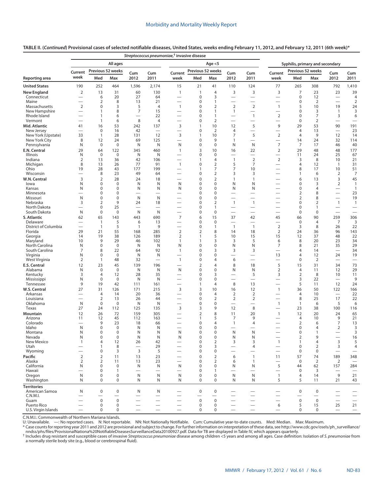|                                  | Streptococcus pneumoniae, <sup>†</sup> invasive disease |                               |                            |                                               |                                             |                                 |                   |                                |                                            |                                  |                                            |                            |                                         |                                |                                         |
|----------------------------------|---------------------------------------------------------|-------------------------------|----------------------------|-----------------------------------------------|---------------------------------------------|---------------------------------|-------------------|--------------------------------|--------------------------------------------|----------------------------------|--------------------------------------------|----------------------------|-----------------------------------------|--------------------------------|-----------------------------------------|
|                                  |                                                         |                               | All ages                   |                                               |                                             |                                 |                   | Age $<$ 5                      |                                            |                                  | Syphilis, primary and secondary            |                            |                                         |                                |                                         |
|                                  | Current                                                 |                               | Previous 52 weeks          | Cum                                           | Cum                                         | Current                         | Previous 52 weeks |                                | Cum                                        | Cum                              | Current                                    | Previous 52 weeks          |                                         | Cum                            | Cum                                     |
| Reporting area                   | week                                                    | Med                           | Max                        | 2012                                          | 2011                                        | week                            | Med               | Max                            | 2012                                       | 2011                             | week                                       | Med                        | Max                                     | 2012                           | 2011                                    |
| <b>United States</b>             | 190                                                     | 252                           | 464                        | 1,596                                         | 2,174                                       | 15                              | 21                | 41                             | 110                                        | 124                              | 77                                         | 265                        | 308                                     | 792                            | 1,410                                   |
| New England                      | $\overline{2}$                                          | 13                            | 31                         | 60                                            | 130                                         | $\mathbf{1}$                    | $\mathbf{1}$      | 4                              | 3                                          | 3                                | 3                                          | $\overline{7}$             | 23                                      | 23                             | 39                                      |
| Connecticut                      | $\overline{\phantom{0}}$                                | 6                             | 20                         | 27                                            | 64                                          | $\overline{\phantom{0}}$        | $\pmb{0}$<br>0    | 3                              | $\overline{\phantom{0}}$                   | $\overline{\phantom{0}}$         | $\overline{\phantom{0}}$                   | $\mathbf 0$<br>$\mathbf 0$ | 12<br>$\overline{2}$                    |                                | 4                                       |
| Maine<br>Massachusetts           | —<br>$\overline{2}$                                     | $\overline{2}$<br>$\mathbf 0$ | 8<br>3                     | 13<br>5                                       | 21<br>$\overline{4}$                        | —<br>$\mathbf{1}$               | 0                 | 1<br>$\overline{2}$            | $\overline{\phantom{0}}$<br>$\overline{2}$ | $\overline{2}$                   | —<br>$\mathbf{1}$                          | 5                          | 10                                      | —<br>19                        | $\overline{2}$<br>24                    |
| New Hampshire                    | $\overline{\phantom{0}}$                                | 1                             | 8                          | $\overline{7}$                                | 15                                          | $\overline{\phantom{0}}$        | 0                 | 1                              | $\mathbf{1}$                               |                                  |                                            | $\mathbf 0$                | 3                                       | $\mathbf{1}$                   | 3                                       |
| Rhode Island                     | $\overline{\phantom{0}}$                                | 1                             | 6                          |                                               | 22                                          |                                 | 0                 | 1                              |                                            | $\overline{1}$                   | $\overline{2}$                             | $\mathbf 0$                | $\overline{7}$                          | 3                              | 6                                       |
| Vermont                          | —                                                       | 1                             | 6                          | 8                                             | $\overline{4}$                              | —                               | 0                 | $\mathbf 2$                    | $\overline{\phantom{0}}$                   |                                  | $\overline{\phantom{0}}$                   | $\mathbf 0$                | $\overline{2}$                          |                                | $\overline{\phantom{0}}$                |
| Mid. Atlantic<br>New Jersey      | 41                                                      | 16                            | 53                         | 242                                           | 137                                         | 3                               | 1<br>0            | 10                             | 12                                         | 5                                | 9                                          | 29<br>$\overline{4}$       | 53                                      | 90                             | 191                                     |
| New York (Upstate)               | $\overline{\phantom{0}}$<br>33                          | $\pmb{0}$<br>1                | 16<br>28                   | 42<br>131                                     | $\overline{\phantom{a}}$<br>12              | -<br>3                          | 1                 | $\overline{2}$<br>10           | $\overline{4}$<br>7                        | 5                                | $\overline{2}$                             | 4                          | 13<br>9                                 | 12                             | 23<br>14                                |
| New York City                    | 8                                                       | 12                            | 24                         | 69                                            | 125                                         | -                               | 0                 | 9                              | 1                                          | $\overline{\phantom{0}}$         | —                                          | 14                         | 24                                      | 32                             | 114                                     |
| Pennsylvania                     | N                                                       | $\pmb{0}$                     | $\mathbf 0$                | N                                             | N                                           | N                               | 0                 | $\mathbf 0$                    | N                                          | N                                | 7                                          | 7                          | 17                                      | 46                             | 40                                      |
| E.N. Central                     | 29                                                      | 64                            | 122                        | 345                                           | 460                                         | $\mathbf{1}$                    | 3                 | 10                             | 16                                         | 22                               | $\overline{2}$                             | 29                         | 48                                      | 48                             | 177                                     |
| Illinois                         | N                                                       | 0                             | 0                          | N                                             | N                                           |                                 | 0                 | 0                              |                                            | $\overline{\phantom{0}}$         | $\overline{\phantom{0}}$                   | 11                         | 24                                      | 25                             | 67                                      |
| Indiana<br>Michigan              | 2<br>8                                                  | 13<br>13                      | 36<br>26                   | 42<br>77                                      | 106<br>91                                   | $\mathbf{1}$                    | 1<br>0            | 4<br>$\overline{2}$            | $\mathbf{1}$<br>5                          | $\overline{2}$<br>7              | $\overline{2}$<br>$\overline{\phantom{0}}$ | 3<br>4                     | 8<br>12                                 | 10<br>$\overline{1}$           | 21<br>31                                |
| Ohio                             | 19                                                      | 28                            | 43                         | 177                                           | 199                                         | $\overline{\phantom{0}}$        | 1                 | 7                              | 7                                          | 10                               | $\overline{\phantom{0}}$                   | 8                          | 17                                      | 10                             | 51                                      |
| Wisconsin                        |                                                         | 8                             | 23                         | 49                                            | 64                                          |                                 | 0                 | $\overline{2}$                 | 3                                          | 3                                |                                            | $\mathbf{1}$               | 6                                       | $\overline{2}$                 | 7                                       |
| W.N. Central                     | 3                                                       | 2                             | 28                         | 24                                            | 18                                          | $\overline{\phantom{0}}$        | 0                 | $\overline{2}$                 | $\mathbf{1}$                               | $\mathbf{1}$                     | $\overline{\phantom{0}}$                   | 6                          | 13                                      | 3                              | 45                                      |
| lowa                             | N                                                       | 0                             | 0                          | N                                             | N                                           | N                               | 0                 | 0                              | N                                          | N                                |                                            | 0                          | 3                                       | 2                              | $\mathbf{1}$                            |
| Kansas<br>Minnesota              | N                                                       | 0<br>0                        | $\mathbf 0$<br>$\mathbf 0$ | N<br>$\overline{\phantom{0}}$                 | N                                           | N                               | 0<br>0            | 0<br>0                         | N<br>$\overline{\phantom{0}}$              | N<br>$\overline{\phantom{0}}$    | —                                          | 0<br>2                     | 4<br>8                                  | $\overline{\phantom{0}}$       | $\mathbf{1}$<br>23                      |
| Missouri                         | N                                                       | 0                             | $\mathbf 0$                | N                                             | N                                           |                                 | 0                 | 0                              |                                            |                                  |                                            | $\overline{2}$             | 8                                       |                                | 19                                      |
| Nebraska                         | 3                                                       | $\overline{2}$                | 9                          | 24                                            | 18                                          |                                 | 0                 | $\overline{2}$                 | $\mathbf{1}$                               | $\mathbf{1}$                     |                                            | $\mathbf 0$                | 2                                       | $\mathbf{1}$                   | $\overline{1}$                          |
| North Dakota                     |                                                         | 0                             | 25                         | $\overline{\phantom{0}}$                      | $\overline{\phantom{0}}$                    | -                               | 0                 | $\mathbf{1}$                   |                                            | $\overline{\phantom{0}}$         | —                                          | 0                          | 1                                       |                                | $\overline{\phantom{0}}$                |
| South Dakota                     | N                                                       | 0                             | 0                          | N                                             | N                                           | $\overline{\phantom{0}}$        | 0                 | 0                              | $\overline{\phantom{0}}$                   | $\overline{\phantom{0}}$         | —                                          | 0                          | $\boldsymbol{0}$                        | $\overline{\phantom{0}}$       | $\overline{\phantom{0}}$                |
| S. Atlantic                      | 62                                                      | 65                            | 143                        | 443                                           | 690                                         | $\overline{7}$                  | 6                 | 15                             | 37                                         | 42                               | 45                                         | 66                         | 90                                      | 259                            | 306                                     |
| Delaware<br>District of Columbia |                                                         | 1<br>$\mathbf{1}$             | 5<br>5                     | 6<br>$\mathbf{1}$                             | 13<br>9                                     | -                               | 0<br>0            | $\mathbf 0$<br>$\mathbf{1}$    | —<br>$\overline{1}$                        | $\overline{1}$                   | -<br>$\overline{2}$                        | $\mathbf 0$<br>3           | $\overline{4}$<br>8                     | 7<br>26                        | 3<br>22                                 |
| Florida                          | 29                                                      | 21                            | 55                         | 168                                           | 285                                         | $\overline{2}$                  | 2                 | 8                              | 14                                         | 18                               | $\overline{2}$                             | 24                         | 36                                      | 96                             | 143                                     |
| Georgia                          | 14                                                      | 19                            | 38                         | 126                                           | 189                                         | $\overline{2}$                  | 1                 | 5                              | 10                                         | 15                               | 15                                         | 12                         | 37                                      | 48                             | 22                                      |
| Maryland                         | 10                                                      | 9                             | 29                         | 46                                            | 102                                         | 1                               | 1                 | 3                              | 3                                          | 5                                | 6                                          | 8                          | 20                                      | 23                             | 34                                      |
| North Carolina<br>South Carolina | N<br>7                                                  | 0<br>8                        | $\mathbf 0$<br>22          | N<br>64                                       | N<br>92                                     | N<br>$\mathbf{1}$               | 0<br>0            | 0<br>3                         | N<br>3                                     | N<br>3                           | 7<br>$\overline{\phantom{0}}$              | 8<br>4                     | 21<br>14                                | 35<br>$\overline{\phantom{0}}$ | 29<br>34                                |
| Virginia                         | N                                                       | 0                             | $\mathbf 0$                | N                                             | N                                           |                                 | 0                 | 0                              | $\overline{\phantom{0}}$                   |                                  | 13                                         | $\overline{4}$             | 12                                      | 24                             | 19                                      |
| West Virginia                    | 2                                                       | 1                             | 48                         | 32                                            | $\overline{\phantom{0}}$                    | $\mathbf{1}$                    | 0                 | 4                              | 6                                          | $\overbrace{\phantom{12322111}}$ | $\overline{\phantom{0}}$                   | $\boldsymbol{0}$           | 2                                       |                                | $\overline{\phantom{0}}$                |
| E.S. Central                     | 12                                                      | 23                            | 45                         | 139                                           | 196                                         |                                 | 2                 | 4                              | 8                                          | 18                               | 5                                          | 15                         | 31                                      | 34                             | 73                                      |
| Alabama                          | N                                                       | 0                             | 0                          | N                                             | N                                           | N                               | 0                 | 0                              | N                                          | N                                | $\overline{2}$                             | 4                          | 11                                      | 12                             | 29                                      |
| Kentucky<br>Mississippi          | 3<br>N                                                  | $\overline{4}$<br>0           | 12<br>0                    | 28<br>N                                       | 35<br>N                                     | -<br>-                          | 0<br>0            | 3<br>0                         | $\overline{\phantom{0}}$                   | 5<br>$\overline{\phantom{0}}$    | 3<br>$\overline{\phantom{0}}$              | $\overline{2}$<br>3        | 8<br>22                                 | 10<br>$\overline{\phantom{0}}$ | 11<br>9                                 |
| Tennessee                        | 9                                                       | 19                            | 42                         | 111                                           | 161                                         | $\overline{\phantom{0}}$        | 1                 | 4                              | 8                                          | 13                               |                                            | 5                          | 11                                      | 12                             | 24                                      |
| W.S. Central                     | 27                                                      | 31                            | 126                        | 171                                           | 215                                         | 3                               | 3                 | 10                             | 16                                         | 12                               | $\mathbf{1}$                               | 36                         | 50                                      | 122                            | 166                                     |
| Arkansas                         |                                                         | 4                             | 14                         | 20                                            | 36                                          | $\overline{\phantom{0}}$        | 0                 | 4                              | $\overline{2}$                             | 2                                | $\overline{\phantom{0}}$                   | 4                          | 10                                      | $\overline{\phantom{0}}$       | 22                                      |
| Louisiana                        | $\overline{\phantom{0}}$                                | $\overline{2}$                | 13                         | 26                                            | 44                                          | —                               | 0                 | $\overline{2}$                 | $\overline{2}$                             | $\overline{2}$                   |                                            | 8                          | 25                                      | 17                             | 22                                      |
| Oklahoma<br>Texas                | N<br>27                                                 | $\mathbf 0$<br>24             | $\mathbf 0$<br>112         | N<br>125                                      | N<br>135                                    | $\overline{\phantom{0}}$<br>3   | 0<br>3            | 0<br>9                         | $\overline{\phantom{0}}$<br>12             | $\overline{\phantom{0}}$<br>8    | 1<br>—                                     | $\overline{1}$<br>23       | 6<br>38                                 | 5<br>100                       | 6<br>116                                |
| Mountain                         | 12                                                      | 26                            | 72                         | 159                                           | 305                                         | —                               | 2                 | 8                              | 11                                         | 20                               | 1                                          | 12                         | 20                                      | 24                             | 65                                      |
| Arizona                          | 11                                                      | 12                            | 45                         | 112                                           | 163                                         |                                 | $\mathbf{1}$      | 5                              | 7                                          | 9                                |                                            | $\overline{4}$             | 10                                      | 9                              | 21                                      |
| Colorado                         |                                                         | 9                             | 23                         | 18                                            | 66                                          |                                 | 0                 | 4                              | 1                                          | 4                                |                                            | $\overline{2}$             | 6                                       | 7                              | 13                                      |
| Idaho                            | N                                                       | 0                             | $\mathbf 0$                | N                                             | N                                           |                                 | 0                 | 0                              |                                            |                                  |                                            | $\mathbf 0$                | 4                                       | $\overline{2}$                 | 3                                       |
| Montana<br>Nevada                | N<br>N                                                  | 0<br>0                        | 0<br>$\pmb{0}$             | N<br>N                                        | N<br>N                                      | N<br>N                          | 0<br>$\mathbf 0$  | $\Omega$<br>$\pmb{0}$          | N<br>N                                     | N<br>N                           | $\overline{\phantom{0}}$                   | $\Omega$<br>2              | $\mathbf{1}$<br>9                       |                                | 3<br>16                                 |
| New Mexico                       | $\mathbf{1}$                                            | $\overline{4}$                | 12                         | 26                                            | 42                                          | —                               | $\mathbf 0$       | $\overline{2}$                 | 3                                          | 3                                | $\mathbf{1}$                               | $\mathbf{1}$               | $\overline{4}$                          | 3                              | 5                                       |
| Utah                             |                                                         | 1                             | 8                          |                                               | 29                                          |                                 | 0                 | 3                              | $\overline{\phantom{0}}$                   | 4                                | $\overline{\phantom{0}}$                   | $\mathbf 0$                | $\overline{2}$                          | 3                              | $\overline{4}$                          |
| Wyoming                          |                                                         | $\mathbf 0$                   | 3                          | $\overline{3}$                                | 5                                           | $\overline{\phantom{0}}$        | 0                 | 0                              | $\overline{\phantom{0}}$                   |                                  |                                            | $\mathbf 0$                | $\mathbf 0$                             |                                |                                         |
| Pacific                          | $\overline{2}$                                          | $\overline{2}$                | 11                         | 13                                            | 23                                          | $\overline{\phantom{0}}$        | $\mathbf 0$       | $\overline{2}$                 | 6                                          | $\mathbf{1}$                     | 11                                         | 57                         | 74                                      | 189                            | 348                                     |
| Alaska<br>California             | $\overline{2}$<br>N                                     | $\overline{2}$<br>$\mathbf 0$ | 11<br>$\mathbf 0$          | 13<br>N                                       | 23<br>N                                     | N                               | 0<br>0            | $\overline{2}$<br>0            | 6<br>N                                     | $\mathbf{1}$<br>N                | 5                                          | $\mathbf 0$<br>44          | 2<br>62                                 | 2<br>157                       | $\overbrace{\phantom{12322111}}$<br>284 |
| Hawaii                           | $\overline{\phantom{0}}$                                | $\mathbf 0$                   | $\mathbf{1}$               | $\overline{\phantom{0}}$                      | $\overline{\phantom{0}}$                    | $\overline{\phantom{0}}$        | 0                 | 1                              | $\overline{\phantom{0}}$                   | $\overline{\phantom{0}}$         |                                            | $\mathbf 0$                | 3                                       |                                | $\overline{\phantom{0}}$                |
| Oregon                           | N                                                       | 0                             | 0                          | N                                             | N                                           | N                               | 0                 | 0                              | N                                          | N                                | $\mathbf{1}$                               | 4                          | 14                                      | 9                              | 21                                      |
| Washington                       | N                                                       | $\mathbf 0$                   | 0                          | N                                             | N                                           | N                               | $\mathbf 0$       | 0                              | N                                          | N                                | 5                                          | 5                          | 11                                      | 21                             | 43                                      |
| <b>Territories</b>               |                                                         |                               |                            |                                               |                                             |                                 |                   |                                |                                            |                                  |                                            |                            |                                         |                                |                                         |
| American Samoa                   | N                                                       | 0                             | 0                          | N                                             | N                                           | $\overline{\phantom{0}}$        | $\mathbf 0$       | $\mathbf 0$                    |                                            |                                  |                                            | $\mathbf 0$                | 0                                       | $\overline{\phantom{0}}$       |                                         |
| C.N.M.I.<br>Guam                 | $\overline{\phantom{0}}$                                | —<br>0                        | $\pmb{0}$                  | $\qquad \qquad -$<br>$\overline{\phantom{0}}$ | $\qquad \qquad$<br>$\overline{\phantom{0}}$ | $\overline{\phantom{0}}$        | $\mathbf 0$       | $\qquad \qquad$<br>$\mathbf 0$ | $\overline{\phantom{0}}$                   |                                  |                                            | $\mathsf 0$                | $\overline{\phantom{m}}$<br>$\mathbf 0$ |                                | $\overline{\phantom{0}}$                |
| Puerto Rico                      | $\overline{\phantom{0}}$                                | 0                             | 0                          | $\overline{\phantom{0}}$                      | $\overline{\phantom{0}}$                    |                                 | 0                 | 0                              | $\overline{\phantom{0}}$                   | $\equiv$                         | 6                                          | 5                          | 15                                      | $\qquad \qquad$<br>25          | 21                                      |
| U.S. Virgin Islands              | $\equiv$                                                | 0                             | 0                          |                                               | $\overline{\phantom{0}}$                    | $\overbrace{\phantom{1232211}}$ | $\mathbf 0$       | 0                              | $\overline{\phantom{0}}$                   | $\equiv$                         | $\overline{\phantom{m}}$                   | 0                          | $\mathbf 0$                             | $\qquad \qquad -$              | $\qquad \qquad -$                       |

# **TABLE II. (***Continued***) Provisional cases of selected notifiable diseases, United States, weeks ending February 11, 2012, and February 12, 2011 (6th week)\***

C.N.M.I.: Commonwealth of Northern Mariana Islands.

U: Unavailable. —: No reported cases. N: Not reportable. NN: Not Nationally Notifiable. Cum: Cumulative year-to-date counts. Med: Median. Max: Maximum.

\* Case counts for reporting year 2011 and 2012 are provisional and subject to change. For further information on interpretation of these data, see [http://www.cdc.gov/osels/ph\\_surveillance/](http://www.cdc.gov/osels/ph_surveillance/nndss/phs/files/ProvisionalNationa%20NotifiableDiseasesSurveillanceData20100927.pdf)<br>† Includes drug resistant and sus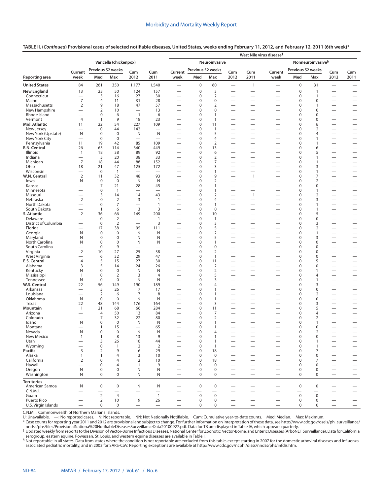|                              |                                                      |                                  |                          |                                            |                          | West Nile virus disease <sup>†</sup>                 |                                                |                                |                                                      |                                                      |                                                      |                                   |                             |                                                      |                                                      |  |
|------------------------------|------------------------------------------------------|----------------------------------|--------------------------|--------------------------------------------|--------------------------|------------------------------------------------------|------------------------------------------------|--------------------------------|------------------------------------------------------|------------------------------------------------------|------------------------------------------------------|-----------------------------------|-----------------------------|------------------------------------------------------|------------------------------------------------------|--|
|                              | Varicella (chickenpox)                               |                                  |                          |                                            |                          |                                                      | Nonneuroinvasive <sup>§</sup><br>Neuroinvasive |                                |                                                      |                                                      |                                                      |                                   |                             |                                                      |                                                      |  |
|                              | Current                                              | Previous 52 weeks                |                          | Cum                                        | Cum                      | Previous 52 weeks<br>Current                         |                                                | Cum<br>Cum                     |                                                      | Current                                              | Previous 52 weeks                                    |                                   | Cum                         | Cum                                                  |                                                      |  |
| Reporting area               | week                                                 | Med                              | Max                      | 2012                                       | 2011                     | week                                                 | Med                                            | Max                            | 2012                                                 | 2011                                                 | week                                                 | Med                               | Max                         | 2012                                                 | 2011                                                 |  |
| <b>United States</b>         | 84                                                   | 261                              | 350                      | 1,177                                      | 1,540                    | $\overline{\phantom{0}}$                             | $\mathbf 0$                                    | 60                             | $\overline{\phantom{0}}$                             | $\mathbf{1}$                                         | $\overline{\phantom{0}}$                             | $\pmb{0}$                         | 31                          | $\equiv$                                             | $\qquad \qquad$                                      |  |
| <b>New England</b>           | 13                                                   | 23                               | 50                       | 124                                        | 157                      |                                                      | $\mathbf 0$                                    | 3                              |                                                      |                                                      |                                                      | $\mathbf 0$                       | $\mathbf{1}$                |                                                      |                                                      |  |
| Connecticut                  | $\overbrace{\phantom{12322111}}$<br>$\overline{7}$   | 5                                | 16                       | 27                                         | 30                       | $\overline{\phantom{0}}$                             | 0                                              | $\overline{2}$<br>$\mathbf 0$  | $\overline{\phantom{0}}$                             | $\overline{\phantom{0}}$                             | —                                                    | $\mathbf 0$<br>$\mathbf 0$        | $\mathbf{1}$                | $\overline{\phantom{0}}$                             | $\overline{\phantom{0}}$                             |  |
| Maine<br>Massachusetts       | $\overline{2}$                                       | 4<br>9                           | 11<br>18                 | 31<br>47                                   | 28<br>57                 | -<br>$\overline{\phantom{0}}$                        | 0<br>0                                         | $\overline{2}$                 | -<br>$\overline{\phantom{0}}$                        | $\overline{\phantom{0}}$<br>$\equiv$                 | -<br>$\overline{\phantom{0}}$                        | 0                                 | 0<br>1                      | $\overline{\phantom{0}}$<br>$\overline{\phantom{0}}$ | $\overline{\phantom{0}}$                             |  |
| New Hampshire                | $\overline{\phantom{0}}$                             | 2                                | 10                       | $\overline{\phantom{0}}$                   | 13                       | $\overline{\phantom{0}}$                             | 0                                              | $\mathbf 0$                    | $\overline{\phantom{0}}$                             | $\overline{\phantom{0}}$                             | —                                                    | $\mathbf 0$                       | $\Omega$                    | $\overline{\phantom{0}}$                             | $\overline{\phantom{0}}$                             |  |
| Rhode Island                 | $\overline{\phantom{0}}$                             | $\bf 0$                          | 6                        | $\overline{1}$                             | 6                        |                                                      | 0                                              | $\mathbf{1}$                   | -                                                    | $\overline{\phantom{0}}$                             | -                                                    | $\mathbf 0$                       | 0                           | $\overline{\phantom{0}}$                             | $\overline{\phantom{0}}$                             |  |
| Vermont                      | $\overline{4}$                                       | $\mathbf{1}$                     | 9                        | 18                                         | 23                       | $\overline{\phantom{0}}$                             | 0                                              | $\overline{1}$                 |                                                      | $\overline{\phantom{0}}$                             |                                                      | $\mathbf 0$                       | $\Omega$                    | $\overline{\phantom{0}}$                             | $\overline{\phantom{0}}$                             |  |
| Mid. Atlantic<br>New Jersey  | 11                                                   | 22<br>$\mathbf 0$                | 54<br>44                 | 227<br>142                                 | 109                      | $\overline{\phantom{0}}$<br>$\overline{\phantom{0}}$ | 0<br>0                                         | 11<br>$\overline{1}$           | $\overline{\phantom{0}}$                             | $\overline{\phantom{0}}$                             | —                                                    | 0<br>$\mathbf 0$                  | 6<br>2                      | $\overline{\phantom{0}}$                             |                                                      |  |
| New York (Upstate)           | N                                                    | $\bf 0$                          | 0                        | N                                          | N                        |                                                      | 0                                              | 5                              | $\overline{\phantom{0}}$                             | $\overline{\phantom{0}}$                             | $\overline{\phantom{0}}$                             | 0                                 | 4                           | $\overline{\phantom{0}}$                             | $\overline{\phantom{0}}$                             |  |
| New York City                |                                                      | $\bf 0$                          | $\pmb{0}$                | $\overline{\phantom{0}}$                   |                          | -                                                    | 0                                              | $\overline{4}$                 | $\overline{\phantom{0}}$                             | $\overline{\phantom{0}}$                             | —                                                    | $\mathbf 0$                       | $\mathbf{1}$                | $\overline{\phantom{0}}$                             | $\overline{\phantom{0}}$                             |  |
| Pennsylvania                 | 11                                                   | 19                               | 42                       | 85                                         | 109                      | $\overline{\phantom{0}}$                             | 0                                              | $\overline{2}$                 | $\overline{\phantom{0}}$                             | $\overline{\phantom{0}}$                             |                                                      | 0                                 | $\mathbf{1}$                | $\equiv$                                             | $\overline{\phantom{0}}$                             |  |
| E.N. Central                 | 26                                                   | 63<br>18                         | 114<br>38                | 340<br>89                                  | 449                      | $\overline{\phantom{0}}$                             | 0                                              | 13<br>6                        | $\overline{\phantom{0}}$                             | $\overline{\phantom{0}}$                             | $\overline{\phantom{0}}$<br>$\overline{\phantom{0}}$ | $\mathbf 0$                       | 6                           |                                                      |                                                      |  |
| Illinois<br>Indiana          | $\mathbf{1}$<br>$\overline{\phantom{0}}$             | 5                                | 20                       | 38                                         | 92<br>33                 | -                                                    | 0<br>0                                         | $\overline{2}$                 |                                                      |                                                      | -                                                    | 0<br>$\mathbf 0$                  | 5<br>$\mathbf{1}$           |                                                      | $\overline{\phantom{0}}$                             |  |
| Michigan                     | 7                                                    | 18                               | 44                       | 88                                         | 152                      | -                                                    | 0                                              | $\overline{7}$                 |                                                      | $\overline{\phantom{0}}$                             |                                                      | $\mathbf 0$                       | 1                           | $\overline{\phantom{0}}$                             |                                                      |  |
| Ohio                         | 18                                                   | 21                               | 47                       | 125                                        | 172                      | $\overline{\phantom{0}}$                             | 0                                              | 3                              | $\overline{\phantom{0}}$                             | $\overline{\phantom{0}}$                             |                                                      | $\mathbf 0$                       | 3                           | $\equiv$                                             |                                                      |  |
| Wisconsin                    |                                                      | $\mathbf 0$                      | $\mathbf{1}$             | $\overline{\phantom{0}}$                   | $\overline{\phantom{0}}$ |                                                      | 0                                              | $\overline{1}$                 |                                                      | $\overline{\phantom{0}}$                             |                                                      | $\mathbf 0$                       | 1                           | $\overline{\phantom{0}}$                             |                                                      |  |
| W.N. Central                 | $\overline{2}$<br>N                                  | 11<br>$\bf 0$                    | 32<br>$\mathbf 0$        | 48<br>N                                    | 93<br>N                  | $\overline{\phantom{0}}$<br>$\overline{\phantom{0}}$ | 0<br>0                                         | 9<br>$\overline{2}$            | $\overline{\phantom{0}}$<br>$\overline{\phantom{0}}$ | $\mathbf{1}$                                         | -                                                    | $\mathbf 0$<br>0                  | 7<br>$\overline{2}$         | $\overline{\phantom{0}}$                             |                                                      |  |
| lowa<br>Kansas               | $\overline{\phantom{0}}$                             | 7                                | 21                       | 28                                         | 45                       |                                                      | 0                                              | $\mathbf{1}$                   |                                                      | $\overline{\phantom{0}}$                             |                                                      | 0                                 | 0                           | $\overline{\phantom{0}}$                             | $\overline{\phantom{0}}$                             |  |
| Minnesota                    |                                                      | 0                                | $\mathbf{1}$             | $\overline{\phantom{0}}$                   | $\overline{\phantom{0}}$ |                                                      | 0                                              | $\mathbf{1}$                   |                                                      | $\overline{\phantom{0}}$                             |                                                      | 0                                 | 1                           |                                                      |                                                      |  |
| Missouri                     | $\overline{\phantom{0}}$                             | 3                                | 14                       | 14                                         | 43                       |                                                      | 0                                              | $\overline{2}$                 | $\overline{\phantom{0}}$                             | $\mathbf{1}$                                         |                                                      | 0                                 | $\overline{2}$              | $\overline{\phantom{0}}$                             |                                                      |  |
| Nebraska                     | $\mathbf 2$                                          | 0                                | $\mathbf 2$              | 3                                          | $\overline{1}$           | —                                                    | 0                                              | $\overline{4}$                 | $\overline{\phantom{0}}$                             | $\overline{\phantom{0}}$                             | —                                                    | $\mathbf 0$                       | 3                           | $\overline{\phantom{0}}$                             | $\overline{\phantom{0}}$                             |  |
| North Dakota<br>South Dakota | $\overline{\phantom{0}}$<br>$\overline{\phantom{0}}$ | $\mathbf 0$<br>$\mathbf{1}$      | $\overline{7}$<br>6      | $\overline{\phantom{0}}$<br>$\overline{3}$ | $\mathbf{1}$<br>3        | $\overline{\phantom{0}}$                             | 0<br>0                                         | $\mathbf{1}$<br>$\mathbf 0$    | $\overline{\phantom{0}}$<br>-                        | $\overline{\phantom{0}}$<br>$\overline{\phantom{0}}$ | $\overline{\phantom{0}}$                             | $\mathbf 0$<br>$\mathbf 0$        | 1<br>$\mathbf{1}$           | $\overline{\phantom{0}}$<br>$\overline{\phantom{0}}$ | $\overline{\phantom{0}}$<br>$\overline{\phantom{0}}$ |  |
| S. Atlantic                  | $\overline{2}$                                       | 36                               | 66                       | 149                                        | 200                      | —                                                    | 0                                              | 10                             | $\overline{\phantom{0}}$                             | $\overline{\phantom{0}}$                             | -<br>$\overline{\phantom{0}}$                        | $\mathbf 0$                       | 5                           | $\overline{\phantom{0}}$                             |                                                      |  |
| Delaware                     | $\overline{\phantom{0}}$                             | $\mathbf 0$                      | $\overline{2}$           |                                            | $\overline{1}$           |                                                      | 0                                              | $\overline{1}$                 | $\overline{\phantom{0}}$                             | $\overline{\phantom{0}}$                             |                                                      | $\mathbf 0$                       | 0                           | $\overline{\phantom{0}}$                             |                                                      |  |
| District of Columbia         | $\overline{\phantom{0}}$                             | $\mathbf 0$                      | $\mathbf 2$              | $\overline{\phantom{0}}$                   | 3                        | —                                                    | 0                                              | 3                              | -                                                    | $\overline{\phantom{0}}$                             | -                                                    | $\mathbf 0$                       | 3                           | $\overline{\phantom{0}}$                             |                                                      |  |
| Florida                      |                                                      | 17                               | 38                       | 95                                         | 111                      | -                                                    | 0                                              | 5                              |                                                      | $\overline{\phantom{0}}$                             | -                                                    | $\mathbf 0$                       | $\overline{2}$              | $\equiv$                                             | $\overline{\phantom{0}}$                             |  |
| Georgia<br>Maryland          | N<br>N                                               | 0<br>0                           | $\pmb{0}$<br>$\mathbf 0$ | N<br>N                                     | N<br>N                   | $\overline{\phantom{0}}$                             | 0<br>0                                         | $\overline{2}$<br>5            | —                                                    | $\overline{\phantom{0}}$<br>$\equiv$                 | —<br>—                                               | $\mathbf 0$<br>$\mathbf 0$        | $\mathbf{1}$<br>3           | $\overline{\phantom{0}}$<br>$\equiv$                 | $\overline{\phantom{0}}$                             |  |
| North Carolina               | N                                                    | $\boldsymbol{0}$                 | $\pmb{0}$                | N                                          | N                        | -                                                    | 0                                              | $\mathbf{1}$                   | $\overline{\phantom{0}}$                             | $\overline{\phantom{0}}$                             | $\overline{\phantom{0}}$                             | $\mathbf 0$                       | 0                           | $\equiv$                                             | $\overline{\phantom{0}}$                             |  |
| South Carolina               | $\overline{\phantom{0}}$                             | $\mathbf 0$                      | 9                        | $\overline{\phantom{0}}$                   | -                        | -                                                    | 0                                              | $\mathbf 0$                    |                                                      |                                                      | -                                                    | $\mathbf 0$                       | $\Omega$                    | $\overline{\phantom{0}}$                             |                                                      |  |
| Virginia                     | $\overline{2}$                                       | 10                               | 27                       | 25                                         | 38                       | $\overline{\phantom{0}}$                             | 0                                              | $\mathbf 2$                    | $\overline{\phantom{0}}$                             | $\equiv$                                             | $\overline{\phantom{0}}$                             | $\mathbf 0$                       | $\Omega$                    | $\equiv$                                             | $\overline{\phantom{0}}$                             |  |
| West Virginia                | $\overline{\phantom{0}}$                             | 6                                | 32                       | 29                                         | 47                       | $\overline{\phantom{0}}$                             | 0                                              | $\overline{1}$                 | $\overline{\phantom{0}}$                             | $\overline{\phantom{0}}$<br>$\overline{\phantom{0}}$ | —                                                    | $\mathbf 0$                       | $\Omega$                    | $\overline{\phantom{0}}$                             | $\overline{\phantom{0}}$                             |  |
| E.S. Central<br>Alabama      | $\overline{4}$<br>3                                  | 5<br>5                           | 15<br>14                 | 27<br>24                                   | 30<br>26                 | $\overline{\phantom{0}}$<br>$\overline{\phantom{0}}$ | 0<br>0                                         | 11<br>2                        | $\overline{\phantom{0}}$                             | $\overline{\phantom{0}}$                             | $\overline{\phantom{0}}$<br>—                        | $\pmb{0}$<br>$\mathbf 0$          | 5<br>0                      | $\overline{\phantom{0}}$                             | $\overline{\phantom{0}}$                             |  |
| Kentucky                     | N                                                    | 0                                | $\pmb{0}$                | N                                          | N                        | $\overline{\phantom{0}}$                             | 0                                              | $\overline{2}$                 | $\overline{\phantom{0}}$                             | $\overline{\phantom{0}}$                             | —                                                    | 0                                 | 1                           | $\overline{\phantom{0}}$                             | $\overline{\phantom{0}}$                             |  |
| Mississippi                  | 1                                                    | 0                                | $\overline{2}$           | 3                                          | $\overline{4}$           | $\overline{\phantom{0}}$                             | 0                                              | 5                              |                                                      | $\overline{\phantom{0}}$                             |                                                      | $\mathbf 0$                       | 4                           |                                                      |                                                      |  |
| Tennessee                    | N                                                    | $\mathbf 0$                      | $\pmb{0}$                | N                                          | N                        |                                                      | 0                                              | 3                              | $\overline{\phantom{0}}$                             | $\overline{\phantom{0}}$                             | $\overline{\phantom{0}}$                             | 0                                 | 1                           | $\overline{\phantom{0}}$                             | $\overline{\phantom{0}}$                             |  |
| W.S. Central<br>Arkansas     | 22                                                   | 56<br>5                          | 149<br>26                | 190<br>7                                   | 189<br>17                | $\overline{\phantom{0}}$                             | 0<br>0                                         | $\overline{4}$<br>$\mathbf{1}$ | $\overline{\phantom{0}}$                             | $\overline{\phantom{0}}$<br>$\equiv$                 | —                                                    | $\mathbf 0$<br>0                  | 3<br>0                      | $\overline{\phantom{0}}$<br>$\equiv$                 | $\overline{\phantom{0}}$<br>$\overline{\phantom{0}}$ |  |
| Louisiana                    | $\overline{\phantom{0}}$                             | $\overline{2}$                   | 6                        | 7                                          | 8                        | $\overline{\phantom{0}}$                             | 0                                              | $\overline{1}$                 | $\overline{\phantom{0}}$                             | $\overline{\phantom{0}}$                             | $\overline{\phantom{0}}$                             | $\mathbf 0$                       | 2                           |                                                      |                                                      |  |
| Oklahoma                     | N                                                    | $\mathbf 0$                      | $\mathbf 0$              | N                                          | N                        |                                                      | 0                                              | $\overline{1}$                 |                                                      |                                                      |                                                      | $\mathbf 0$                       | 0                           |                                                      |                                                      |  |
| Texas                        | 22                                                   | 48                               | 144                      | 176                                        | 164                      | -                                                    | 0                                              | 3                              | $\overline{\phantom{0}}$                             |                                                      |                                                      | $\mathbf 0$                       | 3                           |                                                      |                                                      |  |
| Mountain<br>Arizona          | $\mathbf{1}$                                         | 21<br>$\overline{4}$             | 68                       | 66                                         | 284<br>84                | $\overline{\phantom{0}}$                             | 0<br>0                                         | 11                             | $\overline{\phantom{0}}$                             |                                                      | $\overline{\phantom{0}}$                             | 0<br>$\mathbf 0$                  | 5<br>4                      |                                                      |                                                      |  |
| Colorado                     |                                                      | 7                                | 50<br>32                 | 13<br>22                                   | 80                       |                                                      | 0                                              | 7<br>$\overline{2}$            |                                                      | $\overline{\phantom{0}}$                             |                                                      | $\pmb{0}$                         | $\overline{2}$              | $\overline{\phantom{0}}$                             | $\overline{\phantom{0}}$                             |  |
| Idaho                        | N                                                    | 0                                | $\pmb{0}$                | N                                          | N                        |                                                      | 0                                              | $\mathbf{1}$                   |                                                      | $\overline{\phantom{0}}$                             |                                                      | $\pmb{0}$                         | 1                           | -                                                    |                                                      |  |
| Montana                      | $\overline{\phantom{0}}$                             | $\mathbf{1}$                     | 15                       |                                            | 65                       | $\overline{\phantom{0}}$                             | 0                                              | $\mathbf{1}$                   | $\overline{\phantom{0}}$                             | $\overline{\phantom{0}}$                             | $\overline{\phantom{0}}$                             | $\mathbf 0$                       | 0                           | $\overline{\phantom{0}}$                             |                                                      |  |
| Nevada                       | N                                                    | $\Omega$                         | $\Omega$                 | N                                          | N                        |                                                      | $\Omega$                                       | 4                              |                                                      |                                                      |                                                      | 0                                 | ς                           |                                                      |                                                      |  |
| New Mexico<br>Utah           | $\mathbf{1}$                                         | $\mathbf{1}$<br>3                | 8<br>26                  | 13<br>16                                   | $\overline{9}$<br>44     |                                                      | $\pmb{0}$<br>$\mathbf 0$                       | $\mathbf{1}$<br>$\mathbf{1}$   |                                                      | $\overline{\phantom{0}}$                             |                                                      | $\pmb{0}$<br>$\pmb{0}$            | $\mathbf 0$<br>$\mathbf{1}$ |                                                      |                                                      |  |
| Wyoming                      |                                                      | $\mathbf 0$                      | 1                        | $\overline{2}$                             | $\overline{2}$           | —                                                    | $\mathbf 0$                                    | $\overline{1}$                 |                                                      | $\overline{\phantom{0}}$                             |                                                      | $\mathbf 0$                       | $\mathbf{1}$                | $\overline{\phantom{0}}$<br>$\overline{\phantom{0}}$ |                                                      |  |
| Pacific                      | 3                                                    | $\overline{2}$                   | 9                        | 6                                          | 29                       |                                                      | $\mathbf 0$                                    | 18                             | $\overline{\phantom{0}}$                             | $\overline{\phantom{0}}$                             | $\overline{\phantom{0}}$                             | $\mathbf 0$                       | 7                           | $\overline{\phantom{0}}$                             |                                                      |  |
| Alaska                       | $\mathbf{1}$                                         | $\mathbf{1}$                     | $\overline{4}$           | 3                                          | 10                       | $\overline{\phantom{0}}$                             | $\mathbf 0$                                    | $\mathbf 0$                    |                                                      | $\overline{\phantom{0}}$                             | -                                                    | $\mathbf 0$                       | 0                           | $\overline{\phantom{0}}$                             | $\qquad \qquad -$                                    |  |
| California                   | $\overline{2}$                                       | $\mathbf 0$                      | 4                        | $\overline{2}$                             | 10                       |                                                      | 0                                              | 18                             |                                                      | $\overline{\phantom{0}}$                             |                                                      | $\mathbf 0$                       | 7                           | $\overline{\phantom{0}}$                             | $\overline{\phantom{0}}$                             |  |
| Hawaii<br>Oregon             | ${\sf N}$                                            | $\mathbf 0$<br>$\pmb{0}$         | 4<br>$\pmb{0}$           | $\mathbf{1}$<br>${\sf N}$                  | 9<br>N                   | $\overline{\phantom{0}}$                             | $\mathbf 0$<br>$\mathbf 0$                     | $\mathbf 0$<br>$\bf 0$         | -<br>$\overline{\phantom{0}}$                        | $\overbrace{\phantom{12322111}}$                     | $\overline{\phantom{0}}$                             | $\mathbf 0$<br>$\mathbf 0$        | 0<br>0                      | $\overline{\phantom{0}}$<br>$\overline{\phantom{0}}$ |                                                      |  |
| Washington                   | N                                                    | $\mathbf 0$                      | $\mathbf 0$              | N                                          | N                        | $\overline{\phantom{0}}$                             | $\mathbf 0$                                    | $\mathbf 0$                    |                                                      | $\overline{\phantom{0}}$                             | $\overline{\phantom{0}}$                             | $\mathbf 0$                       | $\mathbf 0$                 | $\equiv$                                             | $\qquad \qquad -$                                    |  |
| <b>Territories</b>           |                                                      |                                  |                          |                                            |                          |                                                      |                                                |                                |                                                      |                                                      |                                                      |                                   |                             |                                                      |                                                      |  |
| American Samoa               | N                                                    | $\mathbf 0$                      | $\pmb{0}$                | N                                          | N                        |                                                      | $\mathbf 0$                                    | $\boldsymbol{0}$               |                                                      |                                                      |                                                      | $\mathbf 0$                       | $\mathbf 0$                 |                                                      |                                                      |  |
| C.N.M.I.                     |                                                      |                                  |                          | $\overline{\phantom{0}}$                   |                          |                                                      |                                                |                                |                                                      | —                                                    |                                                      | $\overbrace{\phantom{123221111}}$ | $\overline{\phantom{0}}$    | —                                                    |                                                      |  |
| Guam<br>Puerto Rico          |                                                      | $\overline{2}$<br>$\overline{2}$ | 4<br>10                  | $\overline{\phantom{0}}$<br>9              | $\overline{1}$<br>26     | $\overline{\phantom{0}}$                             | $\mathbf 0$<br>$\mathbf 0$                     | $\mathsf 0$<br>$\mathbf 0$     |                                                      |                                                      |                                                      | $\mathbf 0$<br>$\pmb{0}$          | $\mathbf 0$<br>$\mathbf 0$  |                                                      | $\qquad \qquad -$                                    |  |
| U.S. Virgin Islands          | $\overline{\phantom{0}}$                             | $\mathbf 0$                      | 0                        | $\overline{\phantom{0}}$                   | $\overline{\phantom{0}}$ | $\overline{\phantom{0}}$                             | $\mathbf 0$                                    | $\mathbf 0$                    |                                                      | $\equiv$                                             | $\overline{\phantom{0}}$                             | $\mathbf 0$                       | 0                           | $\equiv$                                             |                                                      |  |

C.N.M.I.: Commonwealth of Northern Mariana Islands.

U: Unavailable. —: No reported cases. N: Not reportable. NN: Not Nationally Notifiable. Cum: Cumulative year-to-date counts. Med: Median. Max: Maximum.

\* Case counts for reporting year 2011 and 2012 are provisional and subject to change. For further information on interpretation of these data, see [http://www.cdc.gov/osels/ph\\_surveillance/](http://www.cdc.gov/osels/ph_surveillance/nndss/phs/files/ProvisionalNationa%20NotifiableDiseasesSurveillanceData20100927.pdf) [nndss/phs/files/ProvisionalNationa%20NotifiableDiseasesSurveillanceData20100927.pdf.](http://www.cdc.gov/osels/ph_surveillance/nndss/phs/files/ProvisionalNationa%20NotifiableDiseasesSurveillanceData20100927.pdf) Data for TB are displayed in Table IV, which appears quarterly.

† Updated weekly from reports to the Division of Vector-Borne Infectious Diseases, National Center for Zoonotic, Vector-Borne, and Enteric Diseases (ArboNET Surveillance). Data for California<br>serogroup, eastern equine, Pow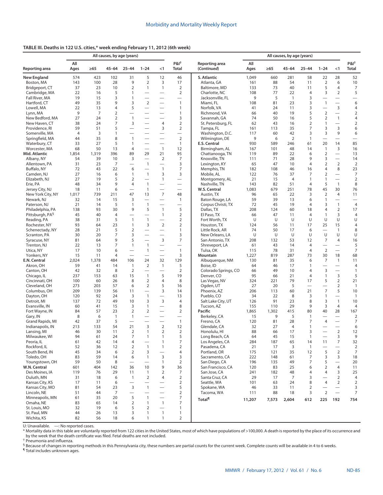# **TABLE III. Deaths in 122 U.S. cities,\* week ending February 11, 2012 (6th week)**

|                                                 |                |             | All causes, by age (years) |                                  |                                  |                                      |                                  |                                   | All causes, by age (years) |            |                      |                 |                                |                                          |                                  |  |
|-------------------------------------------------|----------------|-------------|----------------------------|----------------------------------|----------------------------------|--------------------------------------|----------------------------------|-----------------------------------|----------------------------|------------|----------------------|-----------------|--------------------------------|------------------------------------------|----------------------------------|--|
| Reporting area                                  | All<br>Ages    | $\geq 65$   | 45-64                      | $25 - 44$                        | $1 - 24$                         | $<$ 1                                | $P&I^{\dagger}$<br><b>Total</b>  | Reporting area<br>(Continued)     | All<br>Ages                | $\geq 65$  | $45 - 64$            | $25 - 44$       | $1 - 24$                       | $<$ 1                                    | P&I†<br>Total                    |  |
| <b>New England</b>                              | 574            | 423         | 102                        | 31                               | 5                                | 12                                   | 46                               | S. Atlantic                       | 1,049                      | 660        | 281                  | 58              | 22                             | 28                                       | 52                               |  |
| Boston, MA                                      | 143            | 100         | 28                         | 9                                | $\overline{2}$                   | 3                                    | 17                               | Atlanta, GA                       | 161                        | 88         | 54                   | 11              | $\overline{2}$                 | 6                                        | 10                               |  |
| Bridgeport, CT                                  | 37             | 23          | 10                         | $\overline{2}$                   | $\mathbf{1}$                     | $\mathbf{1}$                         | 2                                | Baltimore, MD                     | 133                        | 73         | 40                   | 11              | 5                              | $\overline{4}$                           | 7                                |  |
| Cambridge, MA<br>Fall River, MA                 | 22<br>19       | 16<br>15    | 5<br>3                     | $\mathbf{1}$<br>$\mathbf{1}$     |                                  |                                      | $\overline{2}$                   | Charlotte, NC<br>Jacksonville, FL | 108<br>9                   | 77<br>5    | 22<br>$\overline{1}$ | 4<br>3          | 3<br>$\overline{\phantom{0}}$  | 2<br>$\equiv$                            | 5                                |  |
| Hartford, CT                                    | 49             | 35          | 9                          | 3                                | $\overline{2}$                   |                                      | $\mathbf{1}$                     | Miami, FL                         | 108                        | 81         | 23                   | 3               | $\overline{1}$                 | $\overline{\phantom{0}}$                 | 6                                |  |
| Lowell, MA                                      | 22             | 13          | 4                          | 5                                | $\overline{\phantom{0}}$         | $\overline{\phantom{0}}$             | $\mathbf{1}$                     | Norfolk, VA                       | 41                         | 24         | 11                   | 3               |                                | $\mathsf 3$                              | $\overline{4}$                   |  |
| Lynn, MA                                        | 9              | 7           | $\overline{2}$             | $\overline{\phantom{0}}$         | $\overline{\phantom{0}}$         | $\overline{\phantom{0}}$             | $\mathbf{1}$                     | Richmond, VA                      | 66                         | 40         | 19                   | 5               | $\overline{2}$                 |                                          | 2                                |  |
| New Bedford, MA                                 | 27             | 24          | $\overline{2}$             | $\mathbf{1}$                     |                                  | $\overline{\phantom{0}}$             | 3                                | Savannah, GA                      | 74                         | 50         | 16                   | 5               | $\overline{2}$                 | $\mathbf{1}$                             | 4                                |  |
| New Haven, CT                                   | 38             | 24          | 7                          | 3                                | $\overline{\phantom{0}}$         | $\overline{4}$                       | $\overline{2}$                   | St. Petersburg, FL                | 62                         | 43         | 16                   | $\overline{2}$  | $\mathbf{1}$                   | $\overline{\phantom{0}}$                 | $\overline{2}$                   |  |
| Providence, RI                                  | 59             | 51          | 5                          | $\overline{\phantom{0}}$         | $\overline{\phantom{0}}$         | 3                                    | $\overline{2}$                   | Tampa, FL                         | 161                        | 113        | 35                   | 7               | 3                              | 3                                        | 6                                |  |
| Somerville, MA                                  | $\overline{4}$ | 3           | 1                          |                                  |                                  | $\overline{\phantom{0}}$             | $\equiv$                         | Washington, D.C.                  | 117                        | 60         | 42                   | 3               | 3                              | 9                                        | 6                                |  |
| Springfield, MA                                 | 44             | 35          | 8                          | $\overline{1}$                   |                                  | $\overline{\phantom{0}}$             | $\overline{2}$                   | Wilmington, DE                    | 9                          | 6          | 2                    | $\mathbf{1}$    |                                |                                          | $\overline{\phantom{0}}$         |  |
| Waterbury, CT                                   | 33             | 27          | 5                          | $\mathbf{1}$                     | $\overline{\phantom{0}}$         |                                      | $\mathbf{1}$                     | E.S. Central                      | 930                        | 589        | 246                  | 61              | 20                             | 14                                       | 85                               |  |
| Worcester, MA                                   | 68             | 50<br>1,319 | 13<br>396                  | 4<br>89                          | $\equiv$                         | $\mathbf{1}$<br>21                   | 12                               | Birmingham, AL<br>Chattanooga, TN | 167                        | 101        | 48<br>22             | 14              | $\mathbf{1}$<br>$\overline{2}$ | 3<br>$\overline{\phantom{0}}$            | 16                               |  |
| Mid. Atlantic<br>Albany, NY                     | 1,854<br>54    | 39          | 10                         | 3                                | 29<br>$\equiv$                   | 2                                    | 95<br>$\overline{7}$             | Knoxville, TN                     | 119<br>111                 | 89<br>71   | 28                   | 6<br>9          | 3                              | $\overline{\phantom{0}}$                 | 13<br>14                         |  |
| Allentown, PA                                   | 31             | 23          | 7                          | $\overline{\phantom{0}}$         | $\mathbf{1}$                     | $\overline{\phantom{0}}$             | 3                                | Lexington, KY                     | 65                         | 47         | 10                   | 4               | $\overline{2}$                 | 2                                        | $\overline{2}$                   |  |
| Buffalo, NY                                     | 72             | 43          | 22                         | 6                                | $\overline{\phantom{0}}$         | $\mathbf{1}$                         | $\overline{7}$                   | Memphis, TN                       | 182                        | 108        | 46                   | 16              | 4                              | 8                                        | 23                               |  |
| Camden, NJ                                      | 27             | 16          | 6                          | $\mathbf{1}$                     | $\mathbf{1}$                     | 3                                    | 3                                | Mobile, AL                        | 122                        | 76         | 37                   | 7               | 2                              | $\overline{\phantom{0}}$                 | $\overline{7}$                   |  |
| Elizabeth, NJ                                   | 27             | 19          | 5                          | $\overline{2}$                   | $\overline{\phantom{0}}$         | $\mathbf{1}$                         |                                  | Montgomery, AL                    | 21                         | 15         | $\overline{4}$       | 1               | 1                              | $\overline{\phantom{0}}$                 | $\overline{2}$                   |  |
| Erie, PA                                        | 48             | 34          | 9                          | $\overline{4}$                   | $\mathbf{1}$                     |                                      | $\overline{\phantom{0}}$         | Nashville, TN                     | 143                        | 82         | 51                   | 4               | 5                              | $\overline{1}$                           | 8                                |  |
| Jersey City, NJ                                 | 18             | 11          | 6                          | $\overline{\phantom{0}}$         | $\mathbf{1}$                     |                                      | $\equiv$                         | W.S. Central                      | 1,083                      | 679        | 251                  | 78              | 45                             | 30                                       | 76                               |  |
| New York City, NY                               | 1,017          | 739         | 211                        | 47                               | 13                               | $\overline{7}$                       | 48                               | Austin, TX                        | 96                         | 65         | 22                   | 3               | $\overline{2}$                 | $\overline{4}$                           | 11                               |  |
| Newark, NJ                                      | 32             | 14          | 15                         | 3                                | $\overline{\phantom{0}}$         |                                      | $\mathbf{1}$                     | Baton Rouge, LA                   | 59                         | 39         | 13                   | 6               | $\mathbf{1}$                   |                                          |                                  |  |
| Paterson, NJ                                    | 21<br>138      | 14<br>93    | 5<br>30                    | $\mathbf{1}$<br>9                | $\mathbf{1}$<br>5                | $\equiv$<br>$\mathbf{1}$             | $\overline{\phantom{0}}$<br>5    | Corpus Christi, TX<br>Dallas, TX  | 72<br>208                  | 45<br>124  | 19<br>60             | 4<br>18         | 3<br>4                         | $\mathbf{1}$<br>2                        | $\overline{4}$<br>17             |  |
| Philadelphia, PA<br>Pittsburgh, PA <sup>§</sup> | 45             | 40          | $\overline{4}$             | $\overline{\phantom{0}}$         | $\equiv$                         | $\mathbf{1}$                         | $\overline{2}$                   | El Paso, TX                       | 66                         | 47         | 11                   | 4               | $\mathbf{1}$                   | 3                                        | $\overline{4}$                   |  |
| Reading, PA                                     | 38             | 31          | 5                          | $\overline{1}$                   | $\mathbf{1}$                     |                                      | $\overline{2}$                   | Fort Worth, TX                    | U                          | U          | U                    | U               | U                              | U                                        | U                                |  |
| Rochester, NY                                   | 93             | 64          | 23                         | $\mathbf{1}$                     | 3                                | 2                                    | $\overline{2}$                   | Houston, TX                       | 124                        | 56         | 11                   | 17              | 25                             | 15                                       | $\overline{4}$                   |  |
| Schenectady, NY                                 | 28             | 21          | 5                          | $\overline{2}$                   | $\overline{\phantom{0}}$         | $\equiv$                             | $\mathbf{1}$                     | Little Rock, AR                   | 74                         | 50         | 17                   | 6               | $\equiv$                       | $\mathbf{1}$                             | 8                                |  |
| Scranton, PA                                    | 30             | 20          | 7                          | 3                                | $\overline{\phantom{0}}$         | $\overline{\phantom{0}}$             | 3                                | New Orleans, LA                   | U                          | U          | U                    | U               | U                              | U                                        | U                                |  |
| Syracuse, NY                                    | 81             | 64          | 9                          | 5                                | $\equiv$                         | $\mathsf 3$                          | $\overline{7}$                   | San Antonio, TX                   | 208                        | 132        | 53                   | 12              | $\overline{7}$                 | $\overline{4}$                           | 16                               |  |
| Trenton, NJ                                     | 22             | 13          | 7                          | $\mathbf{1}$                     | $\mathbf{1}$                     | $\overline{\phantom{0}}$             |                                  | Shreveport, LA                    | 61                         | 43         | 14                   | 4               |                                |                                          | 5                                |  |
| Utica, NY                                       | 17             | 10          | 6                          |                                  | $\mathbf{1}$                     | $\overline{\phantom{0}}$             | $\mathbf{1}$                     | Tulsa, OK                         | 115                        | 78         | 31                   | 4               | $\overline{2}$                 |                                          | $\overline{7}$                   |  |
| Yonkers, NY                                     | 15             | 11          | 4                          |                                  | $\overbrace{\phantom{12322111}}$ | $\equiv$                             | 3                                | Mountain                          | 1,227                      | 819        | 287                  | 73              | 30                             | 18                                       | 68                               |  |
| E.N. Central                                    | 2,024<br>59    | 1,378<br>41 | 484<br>14                  | 106<br>$\overline{1}$            | 24<br>2                          | 32<br>$\mathbf{1}$                   | 129<br>5                         | Albuquerque, NM<br>Boise, ID      | 130<br>64                  | 81<br>46   | 35<br>17             | 6<br>1          | $\overline{7}$                 | $\mathbf{1}$<br>$\overline{\phantom{0}}$ | 11<br>$\overline{4}$             |  |
| Akron, OH<br>Canton, OH                         | 42             | 32          | 8                          | $\overline{2}$                   |                                  | $\overline{\phantom{0}}$             | $\overline{2}$                   | Colorado Springs, CO              | 66                         | 49         | 10                   | 4               | 3                              | $\overline{\phantom{0}}$                 | $\mathbf{1}$                     |  |
| Chicago, IL                                     | 237            | 153         | 63                         | 15                               | $\mathbf{1}$                     | 5                                    | 19                               | Denver, CO                        | 95                         | 66         | 21                   | 4               | $\mathbf{1}$                   | $\mathsf 3$                              | 5                                |  |
| Cincinnati, OH                                  | 100            | 60          | 26                         | 8                                | 2                                | $\overline{4}$                       | 8                                | Las Vegas, NV                     | 324                        | 221        | 79                   | 17              | 5                              | 2                                        | 21                               |  |
| Cleveland, OH                                   | 273            | 203         | 57                         | 6                                | $\overline{2}$                   | 5                                    | 16                               | Ogden, UT                         | 27                         | 20         | 5                    | $\qquad \qquad$ |                                | $\overline{2}$                           | $\overline{1}$                   |  |
| Columbus, OH                                    | 209            | 139         | 56                         | 11                               |                                  | 3                                    | 14                               | Phoenix, AZ                       | 206                        | 113        | 60                   | 21              | $\overline{7}$                 | 5                                        | 10                               |  |
| Dayton, OH                                      | 120            | 92          | 24                         | 3                                | $\mathbf{1}$                     | $\overline{\phantom{0}}$             | 13                               | Pueblo, CO                        | 34                         | 22         | 8                    | 3               | $\mathbf{1}$                   | $\overline{\phantom{0}}$                 | $\overline{1}$                   |  |
| Detroit, MI                                     | 137            | 72          | 49                         | 10                               | 3                                | $\overline{3}$                       | $\overline{4}$                   | Salt Lake City, UT                | 126                        | 91         | 23                   | 8               | 3                              | $\mathbf{1}$                             | 10                               |  |
| Evansville, IN                                  | 60             | 41          | 15                         | 3                                | $\mathbf{1}$                     | $\equiv$                             | 8                                | Tucson, AZ                        | 155                        | 110        | 29                   | 9               | 3                              | $\overline{4}$                           | $\overline{4}$                   |  |
| Fort Wayne, IN                                  | 84<br>8        | 57<br>6     | 23                         | $\overline{2}$                   | $\overline{2}$                   | $\equiv$<br>$\overline{\phantom{0}}$ | $\overline{2}$                   | Pacific                           | 1,865<br>15                | 1,302<br>9 | 415<br>5             | 80              | 40                             | 28<br>$\overline{\phantom{0}}$           | 167                              |  |
| Gary, IN<br>Grand Rapids, MI                    | 42             | 37          | $\mathbf{1}$<br>5          | $\mathbf{1}$                     |                                  | $\overline{\phantom{0}}$             | $\mathbf{1}$                     | Berkeley, CA<br>Fresno, CA        | 120                        | 81         | 28                   | 1<br>7          | $\overline{4}$                 | $\overline{\phantom{0}}$                 | $\overline{2}$<br>$\overline{7}$ |  |
| Indianapolis, IN                                | 213            | 133         | 54                         | 21                               | 3                                | $\overline{2}$                       | 12                               | Glendale, CA                      | 32                         | 27         | $\overline{4}$       | $\mathbf{1}$    | $\overline{\phantom{0}}$       | $\overline{\phantom{0}}$                 | 6                                |  |
| Lansing, MI                                     | 46             | 30          | 11                         | $\overline{2}$                   | 1                                | 2                                    | $\overline{2}$                   | Honolulu, HI                      | 88                         | 66         | 17                   | 3               |                                | 2                                        | 12                               |  |
| Milwaukee, WI                                   | 94             | 61          | 24                         | $\overline{7}$                   | $\mathbf{1}$                     | $\mathbf{1}$                         | 5                                | Long Beach, CA                    | 64                         | 45         | 15                   | $\mathbf{1}$    |                                | $\mathsf 3$                              | 9                                |  |
| Peoria, IL                                      | 61             | 42          | 14                         | 4                                |                                  | $\mathbf{1}$                         | $\overline{7}$                   | Los Angeles, CA                   | 284                        | 187        | 65                   | 14              | 11                             | $\boldsymbol{7}$                         | 32                               |  |
| Rockford, IL                                    | 52             | 36          | 12                         | $\overline{2}$                   | $\mathbf{1}$                     | $\mathbf{1}$                         | $\overline{2}$                   | Pasadena, CA                      | 21                         | 17         | 3                    | $\mathbf{1}$    |                                |                                          | $\overline{2}$                   |  |
| South Bend, IN                                  | 45             | 34          | 6                          | $\overline{2}$                   | 3                                | $\overline{\phantom{0}}$             | 4                                | Portland, OR                      | 175                        | 121        | 35                   | 12              | 5                              | $\sqrt{2}$                               | $\overline{7}$                   |  |
| Toledo, OH                                      | 83             | 59          | 14                         | 6                                | $\mathbf{1}$                     | $\mathsf 3$                          | 3                                | Sacramento, CA                    | 222                        | 148        | 61                   | 7               | 3                              | 3                                        | 18                               |  |
| Youngstown, OH                                  | 59             | 50          | 8                          | $\overbrace{\phantom{12322111}}$ |                                  | $\mathbf{1}$                         | $\overline{2}$                   | San Diego, CA                     | 196                        | 135        | 49                   | 7               | 5                              | $\overline{\phantom{0}}$                 | 20                               |  |
| W.N. Central                                    | 601            | 404         | 142                        | 36                               | 10                               | 9                                    | 36                               | San Francisco, CA                 | 120                        | 83         | 25                   | 6               | $\overline{2}$                 | $\overline{4}$                           | 11                               |  |
| Des Moines, IA<br>Duluth, MN                    | 119<br>31      | 76<br>18    | 29<br>6                    | 11<br>$\overline{1}$             | $\mathbf{1}$<br>$\overline{2}$   | 2<br>4                               | $\overline{7}$<br>$\overline{2}$ | San Jose, CA<br>Santa Cruz, CA    | 241<br>29                  | 182<br>17  | 48<br>7              | 4<br>3          | 4                              | 3<br>2                                   | 25<br>$\overline{4}$             |  |
| Kansas City, KS                                 | 17             | 11          | 6                          |                                  | $\overline{\phantom{0}}$         | $\overline{\phantom{0}}$             | $\overline{2}$                   | Seattle, WA                       | 101                        | 63         | 24                   | 8               | 4                              | $\overline{2}$                           | $\overline{2}$                   |  |
| Kansas City, MO                                 | 81             | 54          | 23                         | $\mathbf{3}$                     | $\mathbf{1}$                     | $\overline{\phantom{0}}$             | 5                                | Spokane, WA                       | 46                         | 33         | 11                   | 2               |                                |                                          | 3                                |  |
| Lincoln, NE                                     | 51             | 44          | 7                          | -                                |                                  | $\overline{\phantom{0}}$             | $\overline{2}$                   | Tacoma, WA                        | 111                        | 88         | 18                   | 3               | 2                              | $\overline{\phantom{0}}$                 | $\overline{7}$                   |  |
| Minneapolis, MN                                 | 61             | 35          | 20                         | 5                                | $\mathbf{1}$                     | $\overline{\phantom{0}}$             | $\overline{7}$                   | <b>Total</b> <sup>1</sup>         | 11,207                     |            | 2,604                | 612             | 225                            | 192                                      | 754                              |  |
| Omaha, NE                                       | 83             | 65          | 14                         | $\overline{2}$                   | $\mathbf{1}$                     | $\mathbf{1}$                         | 7                                |                                   |                            | 7,573      |                      |                 |                                |                                          |                                  |  |
| St. Louis, MO                                   | 32             | 19          | 6                          | 5                                | $\overline{2}$                   | $\overline{\phantom{0}}$             | $\mathbf{1}$                     |                                   |                            |            |                      |                 |                                |                                          |                                  |  |
| St. Paul, MN                                    | 44             | 26          | 13                         | 3                                | 1                                | $\mathbf{1}$                         | $\mathbf{1}$                     |                                   |                            |            |                      |                 |                                |                                          |                                  |  |
| Wichita, KS                                     | 82             | 56          | 18                         | 6                                | $\mathbf{1}$                     | $\mathbf{1}$                         | $\overline{2}$                   |                                   |                            |            |                      |                 |                                |                                          |                                  |  |

U: Unavailable. —: No reported cases.

\* Mortality data in this table are voluntarily reported from 122 cities in the United States, most of which have populations of >100,000. A death is reported by the place of its occurrence and by the week that the death certificate was filed. Fetal deaths are not included.

† Pneumonia and influenza.

§ Because of changes in reporting methods in this Pennsylvania city, these numbers are partial counts for the current week. Complete counts will be available in 4 to 6 weeks.

¶ Total includes unknown ages.